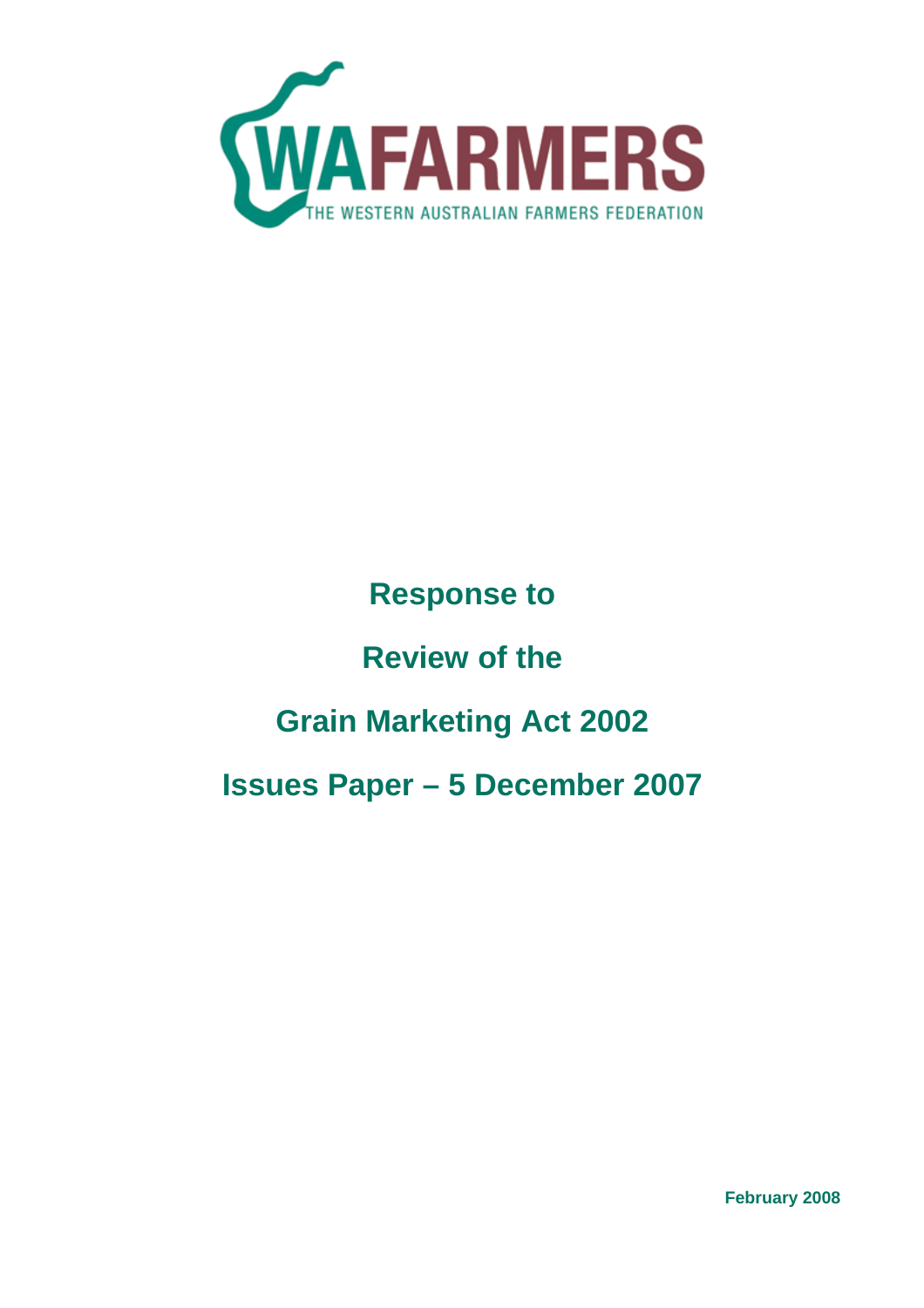

# **Response to**

# **Review of the**

# **Grain Marketing Act 2002**

# **Issues Paper – 5 December 2007**

**February 2008**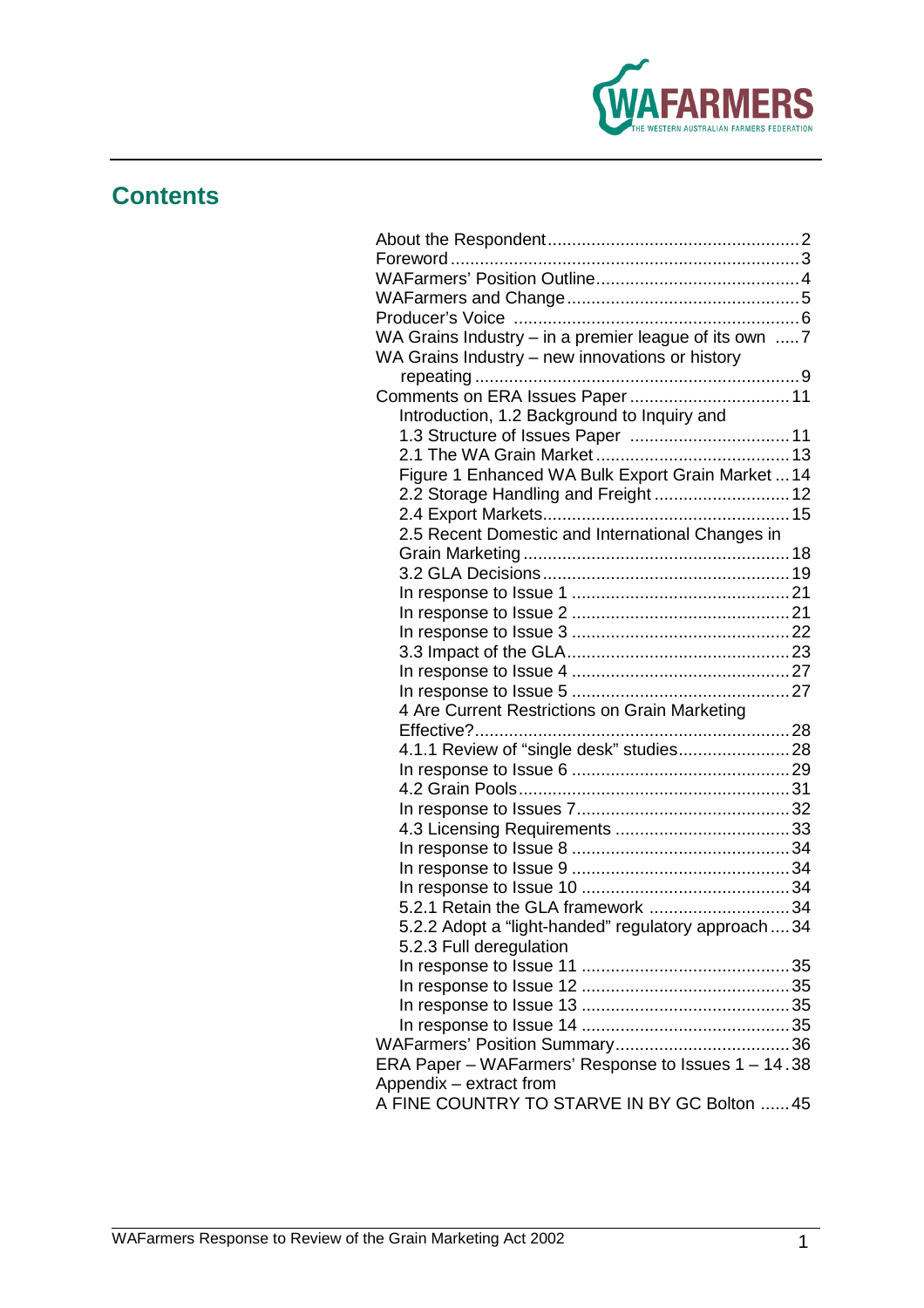

## **Contents**

| WA Grains Industry - in a premier league of its own 7 |  |
|-------------------------------------------------------|--|
| WA Grains Industry - new innovations or history       |  |
|                                                       |  |
|                                                       |  |
| Introduction, 1.2 Background to Inquiry and           |  |
|                                                       |  |
|                                                       |  |
| Figure 1 Enhanced WA Bulk Export Grain Market  14     |  |
| 2.2 Storage Handling and Freight  12                  |  |
|                                                       |  |
| 2.5 Recent Domestic and International Changes in      |  |
|                                                       |  |
|                                                       |  |
|                                                       |  |
|                                                       |  |
|                                                       |  |
|                                                       |  |
|                                                       |  |
|                                                       |  |
| 4 Are Current Restrictions on Grain Marketing         |  |
|                                                       |  |
| 4.1.1 Review of "single desk" studies 28              |  |
|                                                       |  |
|                                                       |  |
|                                                       |  |
|                                                       |  |
|                                                       |  |
|                                                       |  |
|                                                       |  |
| 5.2.1 Retain the GLA framework 34                     |  |
| 5.2.2 Adopt a "light-handed" regulatory approach  34  |  |
| 5.2.3 Full deregulation                               |  |
|                                                       |  |
|                                                       |  |
|                                                       |  |
|                                                       |  |
|                                                       |  |
| ERA Paper - WAFarmers' Response to Issues 1 - 14.38   |  |
| Appendix - extract from                               |  |
| A FINE COUNTRY TO STARVE IN BY GC Bolton  45          |  |
|                                                       |  |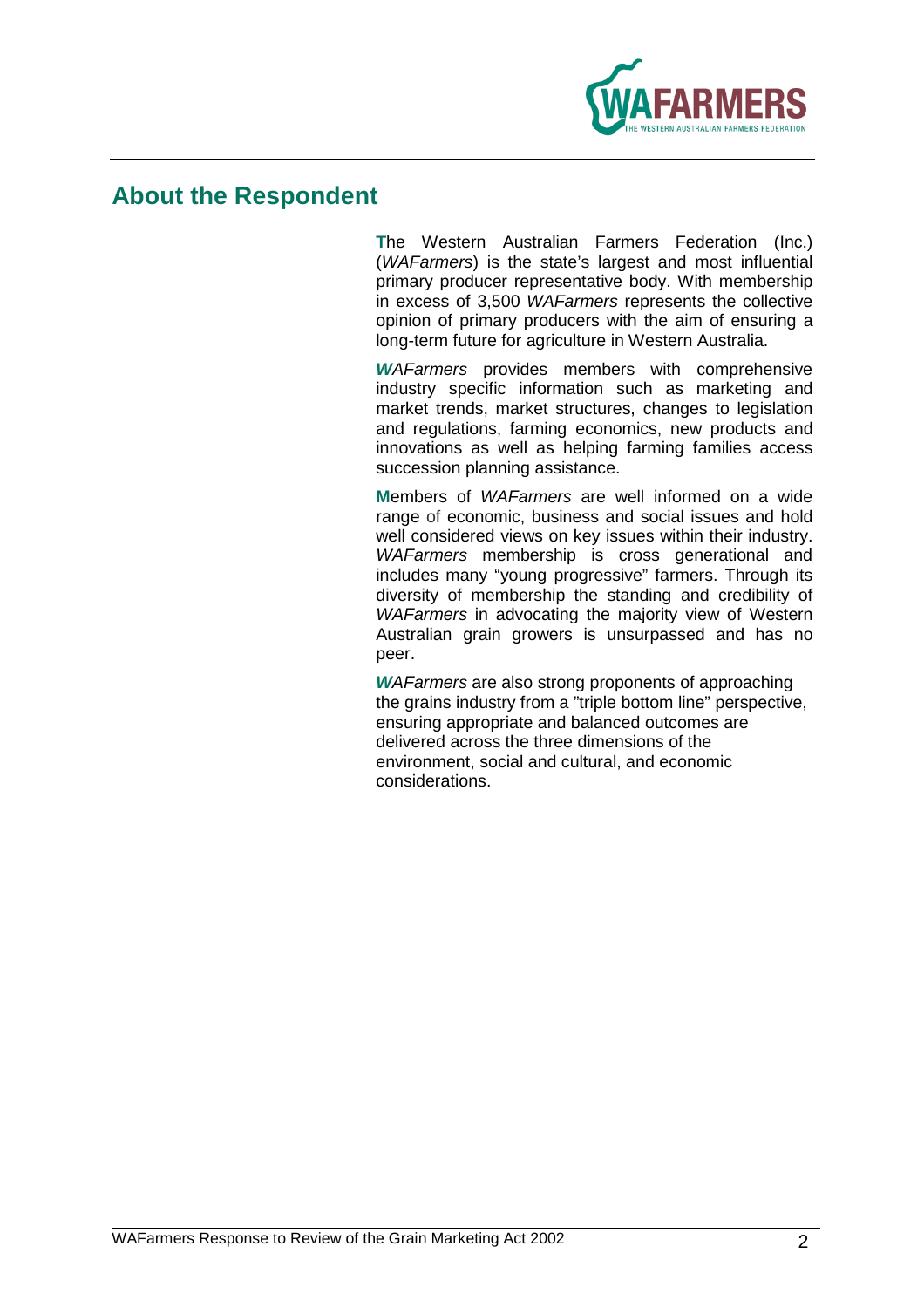

## **About the Respondent**

**T**he Western Australian Farmers Federation (Inc.) (WAFarmers) is the state's largest and most influential primary producer representative body. With membership in excess of 3,500 WAFarmers represents the collective opinion of primary producers with the aim of ensuring a long-term future for agriculture in Western Australia.

**W**AFarmers provides members with comprehensive industry specific information such as marketing and market trends, market structures, changes to legislation and regulations, farming economics, new products and innovations as well as helping farming families access succession planning assistance.

**M**embers of WAFarmers are well informed on a wide range of economic, business and social issues and hold well considered views on key issues within their industry. WAFarmers membership is cross generational and includes many "young progressive" farmers. Through its diversity of membership the standing and credibility of WAFarmers in advocating the majority view of Western Australian grain growers is unsurpassed and has no peer.

**W**AFarmers are also strong proponents of approaching the grains industry from a "triple bottom line" perspective, ensuring appropriate and balanced outcomes are delivered across the three dimensions of the environment, social and cultural, and economic considerations.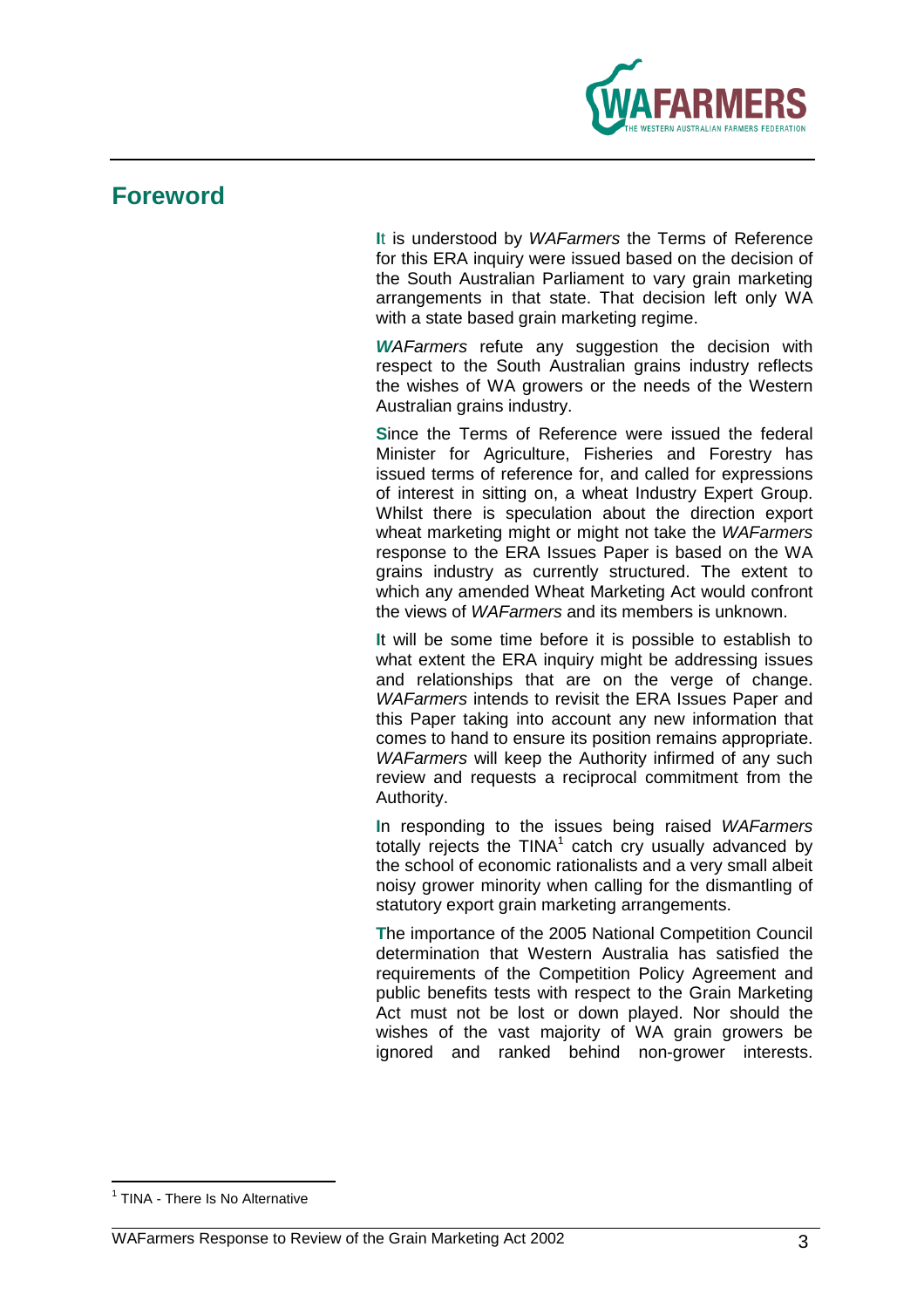

## **Foreword**

**I**t is understood by WAFarmers the Terms of Reference for this ERA inquiry were issued based on the decision of the South Australian Parliament to vary grain marketing arrangements in that state. That decision left only WA with a state based grain marketing regime.

**WAFarmers** refute any suggestion the decision with respect to the South Australian grains industry reflects the wishes of WA growers or the needs of the Western Australian grains industry.

**S**ince the Terms of Reference were issued the federal Minister for Agriculture, Fisheries and Forestry has issued terms of reference for, and called for expressions of interest in sitting on, a wheat Industry Expert Group. Whilst there is speculation about the direction export wheat marketing might or might not take the WAFarmers response to the ERA Issues Paper is based on the WA grains industry as currently structured. The extent to which any amended Wheat Marketing Act would confront the views of WAFarmers and its members is unknown.

**I**t will be some time before it is possible to establish to what extent the ERA inquiry might be addressing issues and relationships that are on the verge of change. WAFarmers intends to revisit the ERA Issues Paper and this Paper taking into account any new information that comes to hand to ensure its position remains appropriate. WAFarmers will keep the Authority infirmed of any such review and requests a reciprocal commitment from the Authority.

**I**n responding to the issues being raised WAFarmers totally rejects the  $TINA<sup>1</sup>$  catch cry usually advanced by the school of economic rationalists and a very small albeit noisy grower minority when calling for the dismantling of statutory export grain marketing arrangements.

**T**he importance of the 2005 National Competition Council determination that Western Australia has satisfied the requirements of the Competition Policy Agreement and public benefits tests with respect to the Grain Marketing Act must not be lost or down played. Nor should the wishes of the vast majority of WA grain growers be ignored and ranked behind non-grower interests.

 1 TINA - There Is No Alternative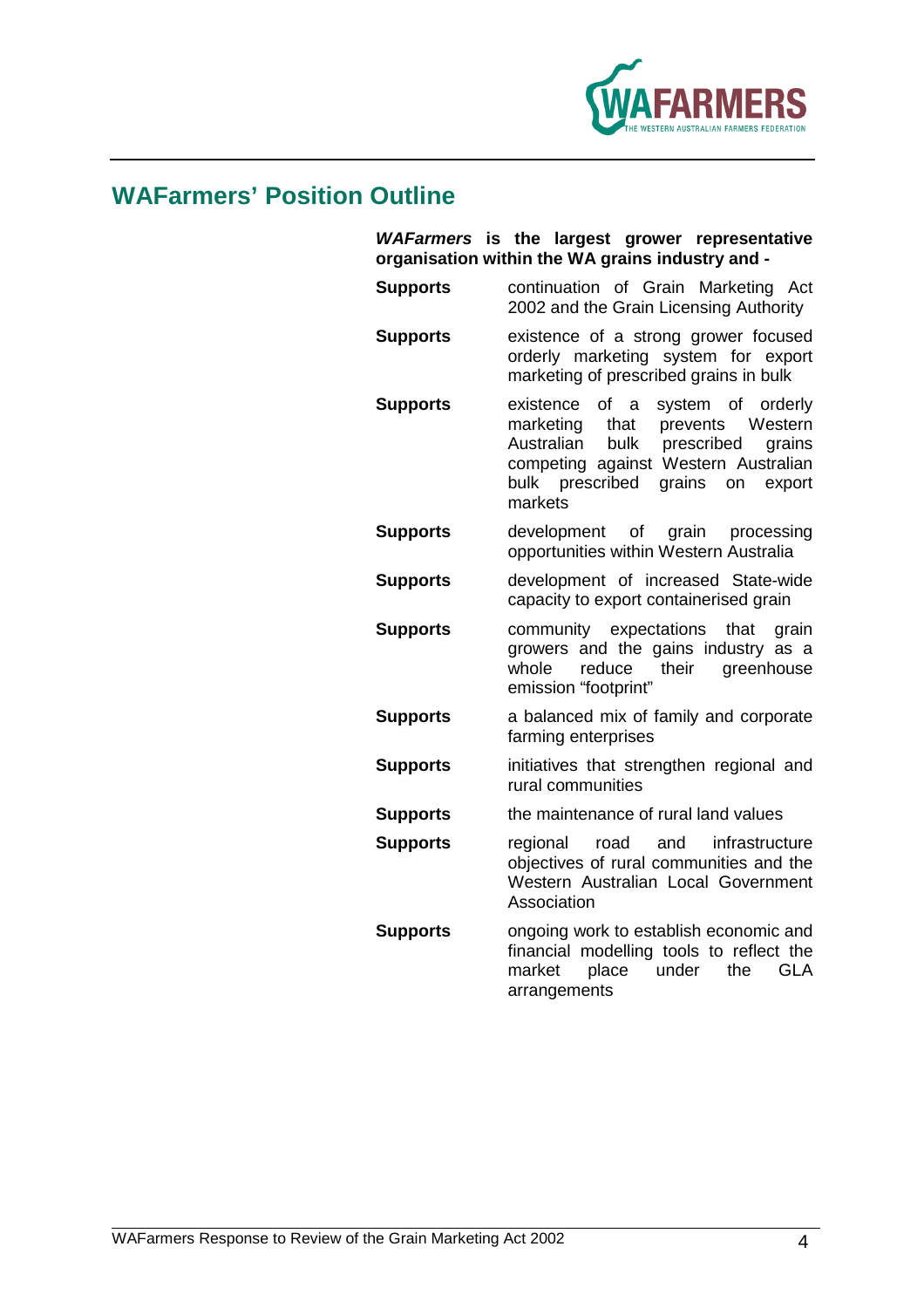

## **WAFarmers' Position Outline**

|                 | WAFarmers is the largest grower representative<br>organisation within the WA grains industry and -                                                                                                                         |
|-----------------|----------------------------------------------------------------------------------------------------------------------------------------------------------------------------------------------------------------------------|
| <b>Supports</b> | continuation of Grain Marketing Act<br>2002 and the Grain Licensing Authority                                                                                                                                              |
| <b>Supports</b> | existence of a strong grower focused<br>orderly marketing system for export<br>marketing of prescribed grains in bulk                                                                                                      |
| <b>Supports</b> | existence<br>system of orderly<br>of a<br>Western<br>marketing<br>prevents<br>that<br>Australian<br>prescribed<br>bulk<br>grains<br>competing against Western Australian<br>bulk prescribed<br>grains on export<br>markets |
| <b>Supports</b> | development of grain<br>processing<br>opportunities within Western Australia                                                                                                                                               |
| <b>Supports</b> | development of increased State-wide<br>capacity to export containerised grain                                                                                                                                              |
| <b>Supports</b> | community expectations<br>that<br>grain<br>growers and the gains industry as a<br>reduce<br>their<br>whole<br>greenhouse<br>emission "footprint"                                                                           |
| <b>Supports</b> | a balanced mix of family and corporate<br>farming enterprises                                                                                                                                                              |
| <b>Supports</b> | initiatives that strengthen regional and<br>rural communities                                                                                                                                                              |
| <b>Supports</b> | the maintenance of rural land values                                                                                                                                                                                       |
| <b>Supports</b> | infrastructure<br>regional<br>road and<br>objectives of rural communities and the<br>Western Australian Local Government<br>Association                                                                                    |
| <b>Supports</b> | ongoing work to establish economic and<br>financial modelling tools to reflect the<br>place<br>market<br>under<br>the<br><b>GLA</b><br>arrangements                                                                        |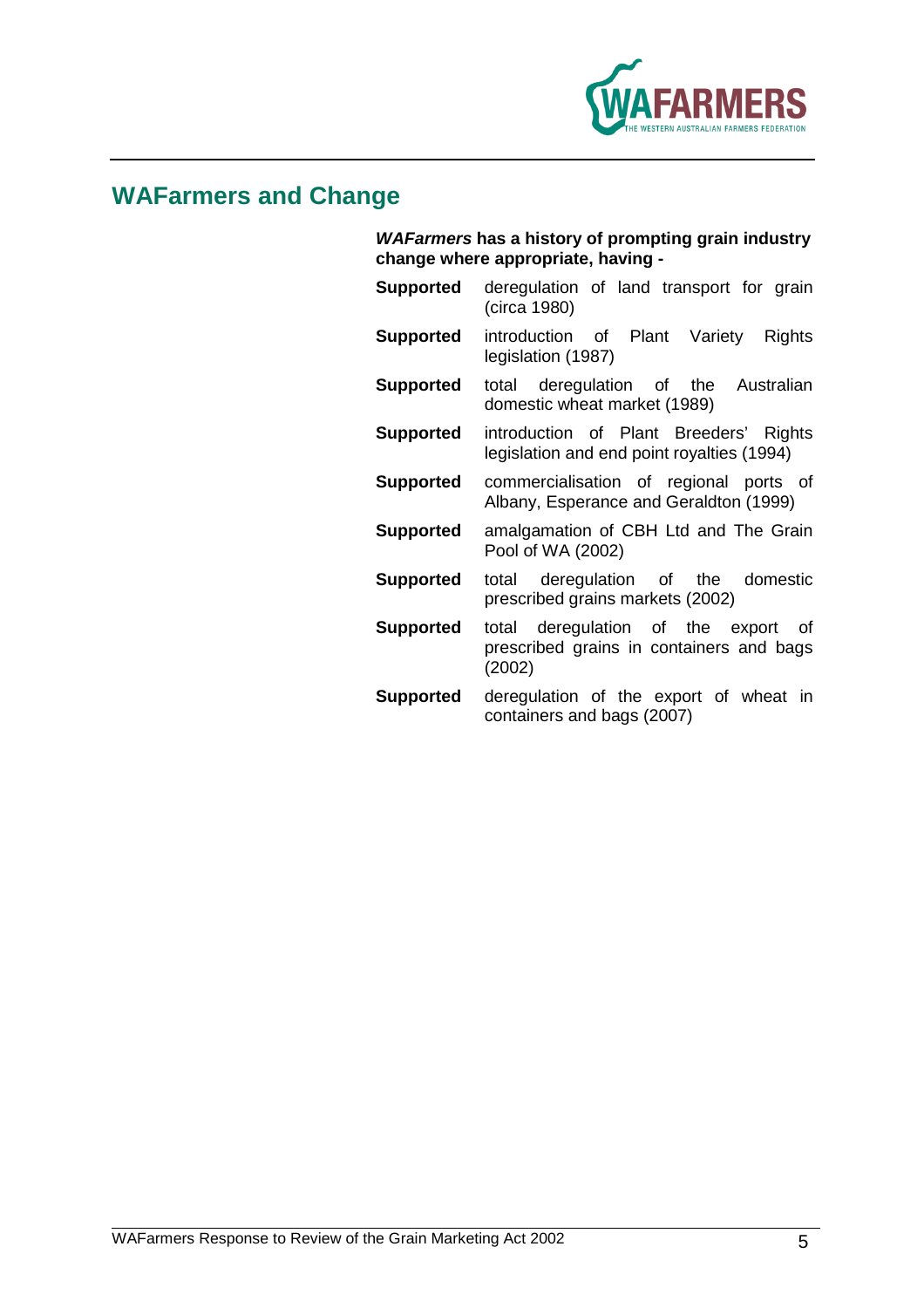

## **WAFarmers and Change**

**WAFarmers has a history of prompting grain industry change where appropriate, having -** 

- **Supported** deregulation of land transport for grain (circa 1980)
- **Supported** introduction of Plant Variety Rights legislation (1987)
- **Supported** total deregulation of the Australian domestic wheat market (1989)
- **Supported** introduction of Plant Breeders' Rights legislation and end point royalties (1994)
- **Supported** commercialisation of regional ports of Albany, Esperance and Geraldton (1999)
- **Supported** amalgamation of CBH Ltd and The Grain Pool of WA (2002)
- **Supported** total deregulation of the domestic prescribed grains markets (2002)
- **Supported** total deregulation of the export of prescribed grains in containers and bags (2002)
- **Supported** deregulation of the export of wheat in containers and bags (2007)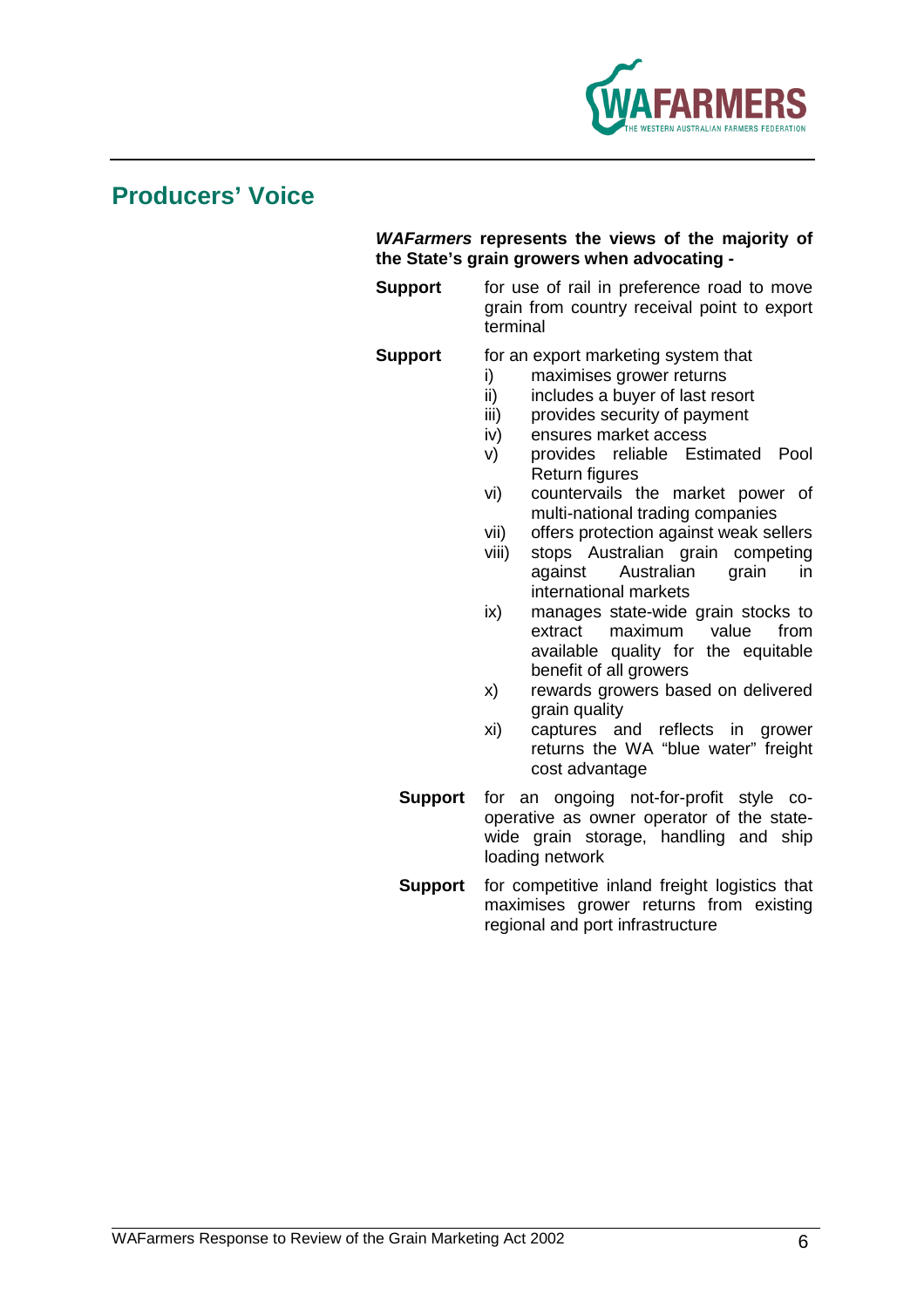

## **Producers' Voice**

### **WAFarmers represents the views of the majority of the State's grain growers when advocating -**

**Support** for use of rail in preference road to move grain from country receival point to export terminal

### **Support** for an export marketing system that

- i) maximises grower returns
- ii) includes a buyer of last resort
- iii) provides security of payment
- iv) ensures market access
- v) provides reliable Estimated Pool Return figures
- vi) countervails the market power of multi-national trading companies
- vii) offers protection against weak sellers
- viii) stops Australian grain competing against Australian grain in international markets
- ix) manages state-wide grain stocks to extract maximum value from available quality for the equitable benefit of all growers
- x) rewards growers based on delivered grain quality
- xi) captures and reflects in grower returns the WA "blue water" freight cost advantage
- **Support** for an ongoing not-for-profit style cooperative as owner operator of the statewide grain storage, handling and ship loading network
- **Support** for competitive inland freight logistics that maximises grower returns from existing regional and port infrastructure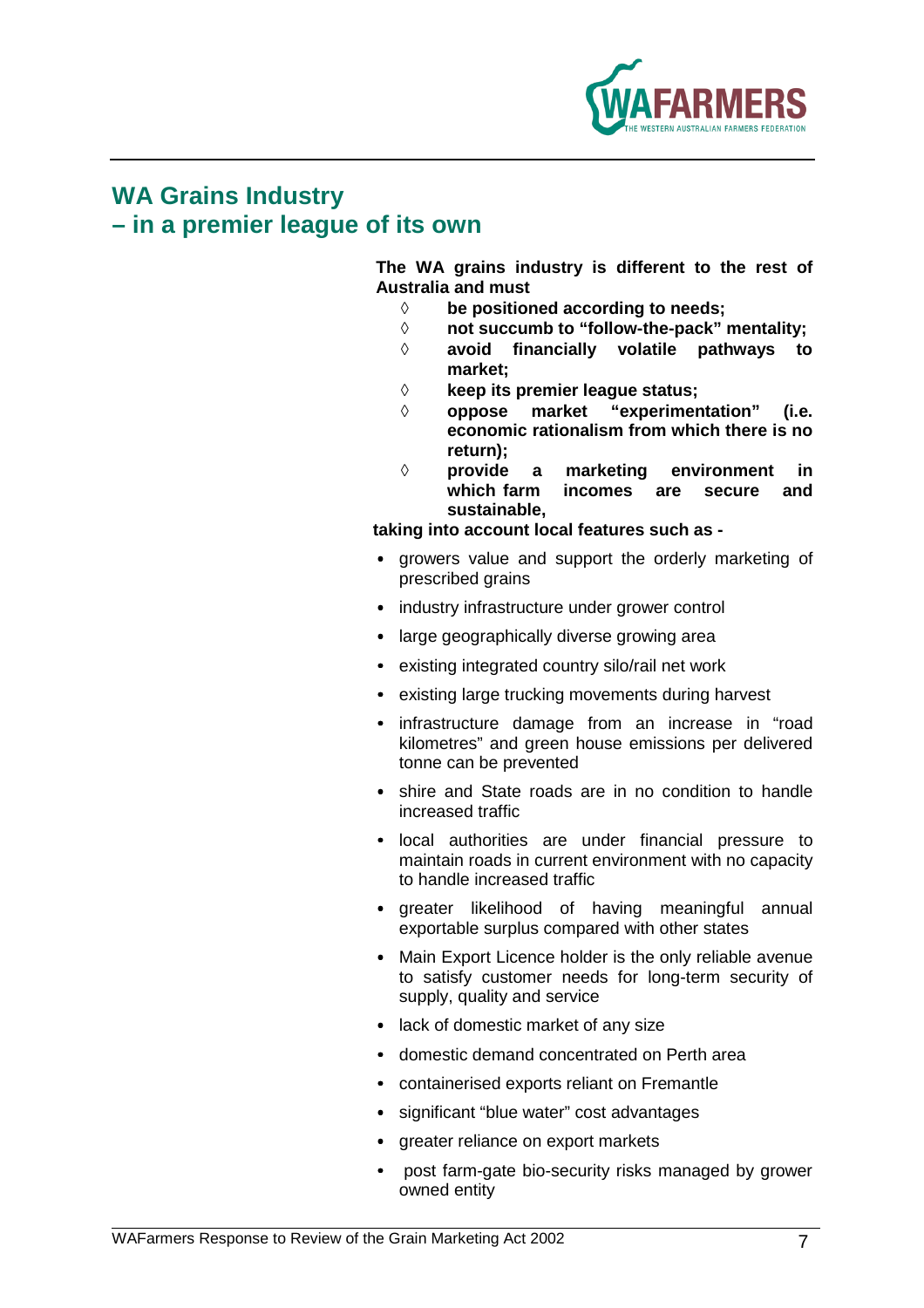

## **WA Grains Industry – in a premier league of its own**

**The WA grains industry is different to the rest of Australia and must** 

- ◊ **be positioned according to needs;**
- ◊ **not succumb to "follow-the-pack" mentality;**
- ◊ **avoid financially volatile pathways to market;**
- ◊ **keep its premier league status;**
- ◊ **oppose market "experimentation" (i.e. economic rationalism from which there is no return);**
- ◊ **provide a marketing environment in which farm incomes are secure and sustainable,**

**taking into account local features such as -** 

- growers value and support the orderly marketing of prescribed grains
- industry infrastructure under grower control
- large geographically diverse growing area
- existing integrated country silo/rail net work
- existing large trucking movements during harvest
- infrastructure damage from an increase in "road kilometres" and green house emissions per delivered tonne can be prevented
- shire and State roads are in no condition to handle increased traffic
- local authorities are under financial pressure to maintain roads in current environment with no capacity to handle increased traffic
- greater likelihood of having meaningful annual exportable surplus compared with other states
- Main Export Licence holder is the only reliable avenue to satisfy customer needs for long-term security of supply, quality and service
- lack of domestic market of any size
- domestic demand concentrated on Perth area
- containerised exports reliant on Fremantle
- significant "blue water" cost advantages
- greater reliance on export markets
- post farm-gate bio-security risks managed by grower owned entity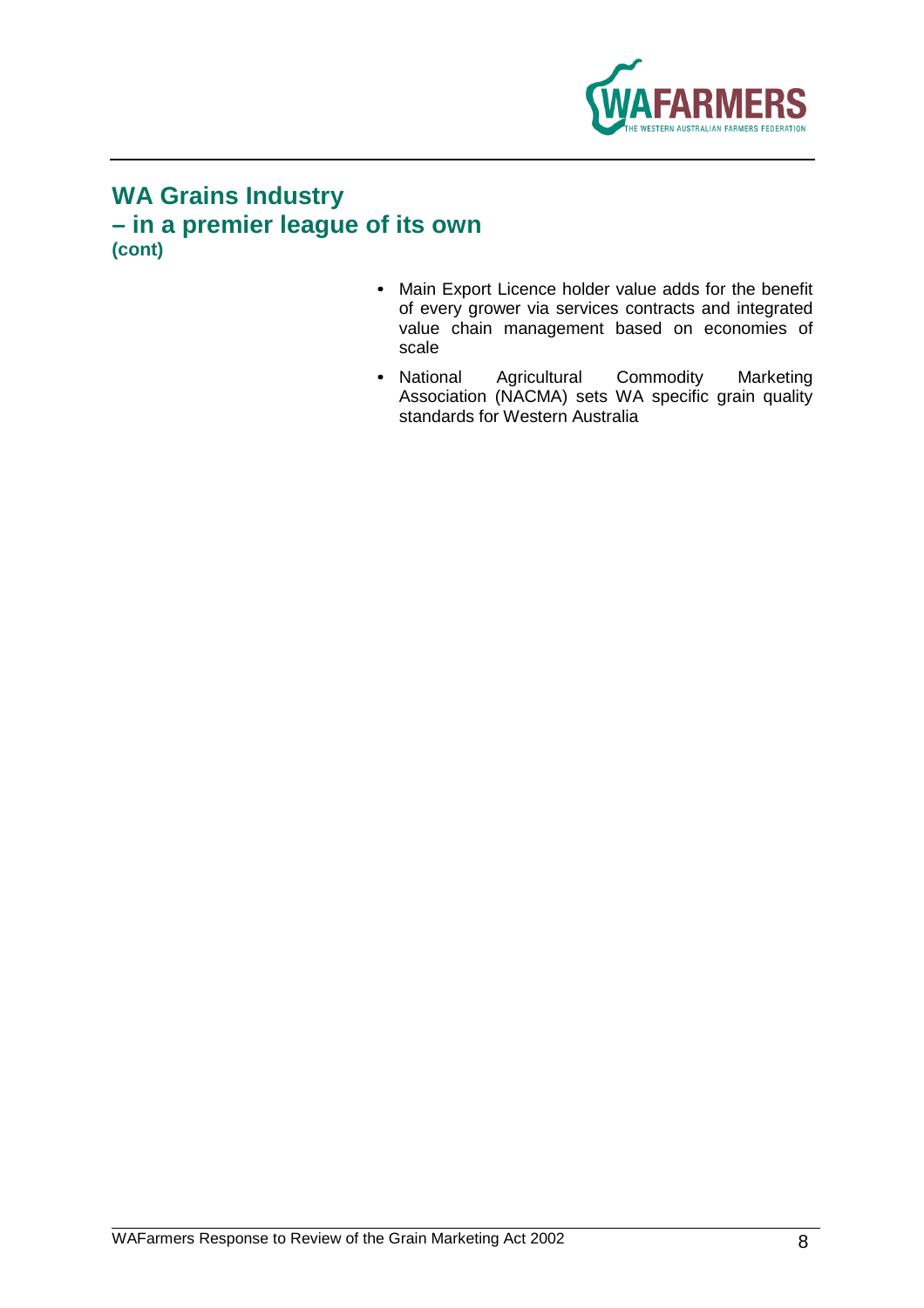

## **WA Grains Industry – in a premier league of its own (cont)**

- Main Export Licence holder value adds for the benefit of every grower via services contracts and integrated value chain management based on economies of scale
- National Agricultural Commodity Marketing Association (NACMA) sets WA specific grain quality standards for Western Australia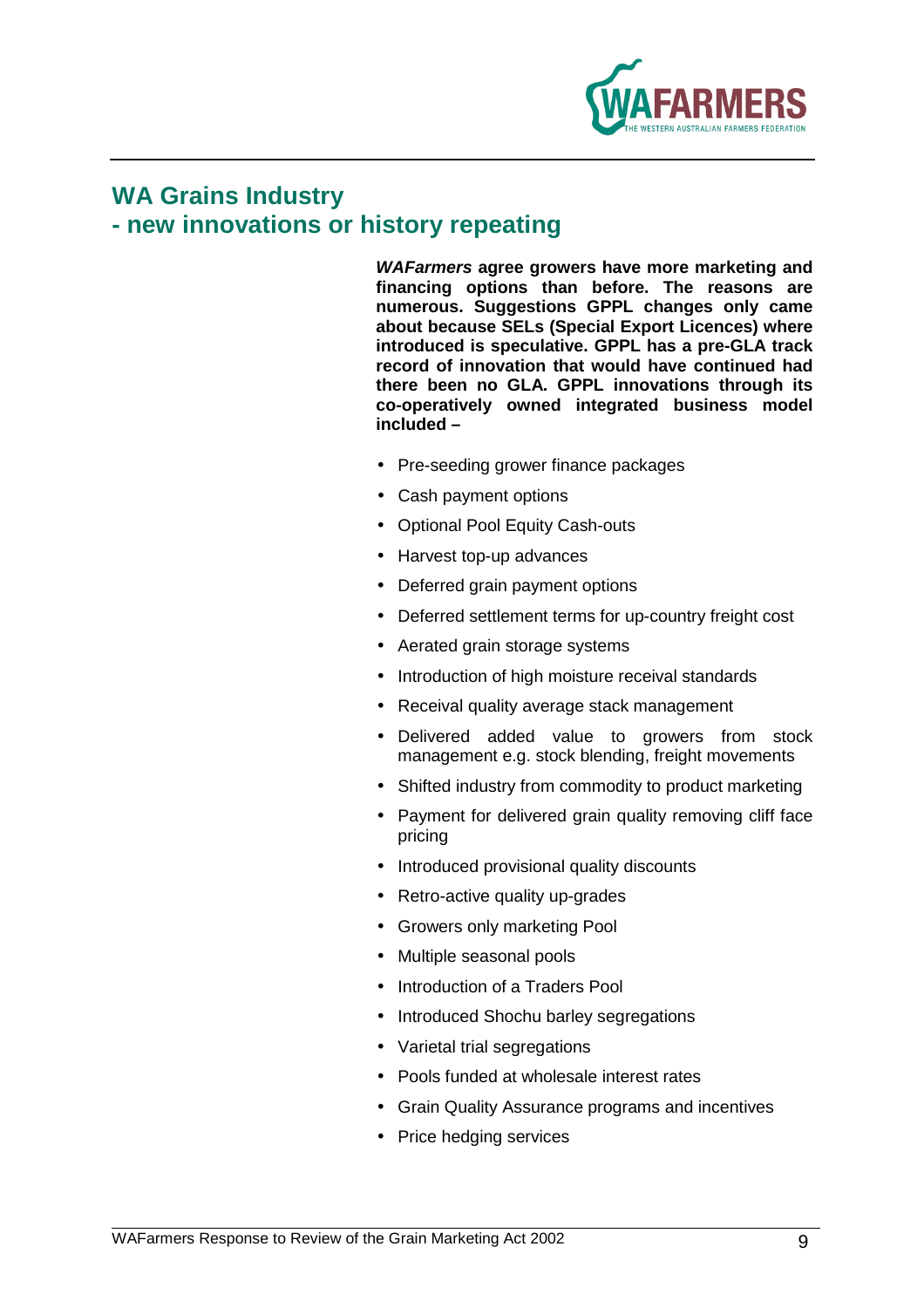

## **WA Grains Industry - new innovations or history repeating**

**WAFarmers agree growers have more marketing and financing options than before. The reasons are numerous. Suggestions GPPL changes only came about because SELs (Special Export Licences) where introduced is speculative. GPPL has a pre-GLA track record of innovation that would have continued had there been no GLA. GPPL innovations through its co-operatively owned integrated business model included –** 

- Pre-seeding grower finance packages
- Cash payment options
- Optional Pool Equity Cash-outs
- Harvest top-up advances
- Deferred grain payment options
- Deferred settlement terms for up-country freight cost
- Aerated grain storage systems
- Introduction of high moisture receival standards
- Receival quality average stack management
- Delivered added value to growers from stock management e.g. stock blending, freight movements
- Shifted industry from commodity to product marketing
- Payment for delivered grain quality removing cliff face pricing
- Introduced provisional quality discounts
- Retro-active quality up-grades
- Growers only marketing Pool
- Multiple seasonal pools
- Introduction of a Traders Pool
- Introduced Shochu barley segregations
- Varietal trial segregations
- Pools funded at wholesale interest rates
- Grain Quality Assurance programs and incentives
- Price hedging services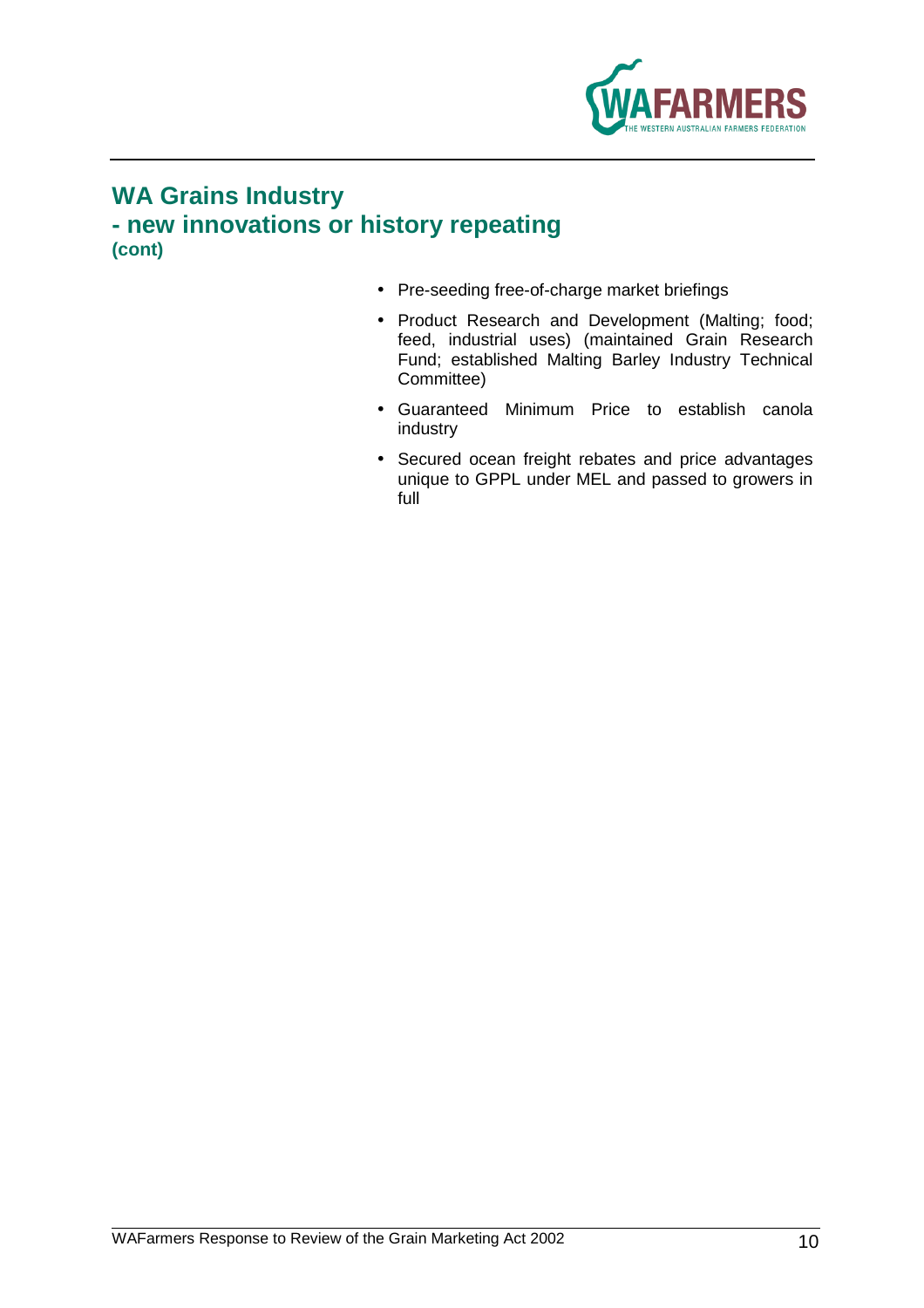

## **WA Grains Industry - new innovations or history repeating (cont)**

- Pre-seeding free-of-charge market briefings
- Product Research and Development (Malting; food; feed, industrial uses) (maintained Grain Research Fund; established Malting Barley Industry Technical Committee)
- Guaranteed Minimum Price to establish canola industry
- Secured ocean freight rebates and price advantages unique to GPPL under MEL and passed to growers in full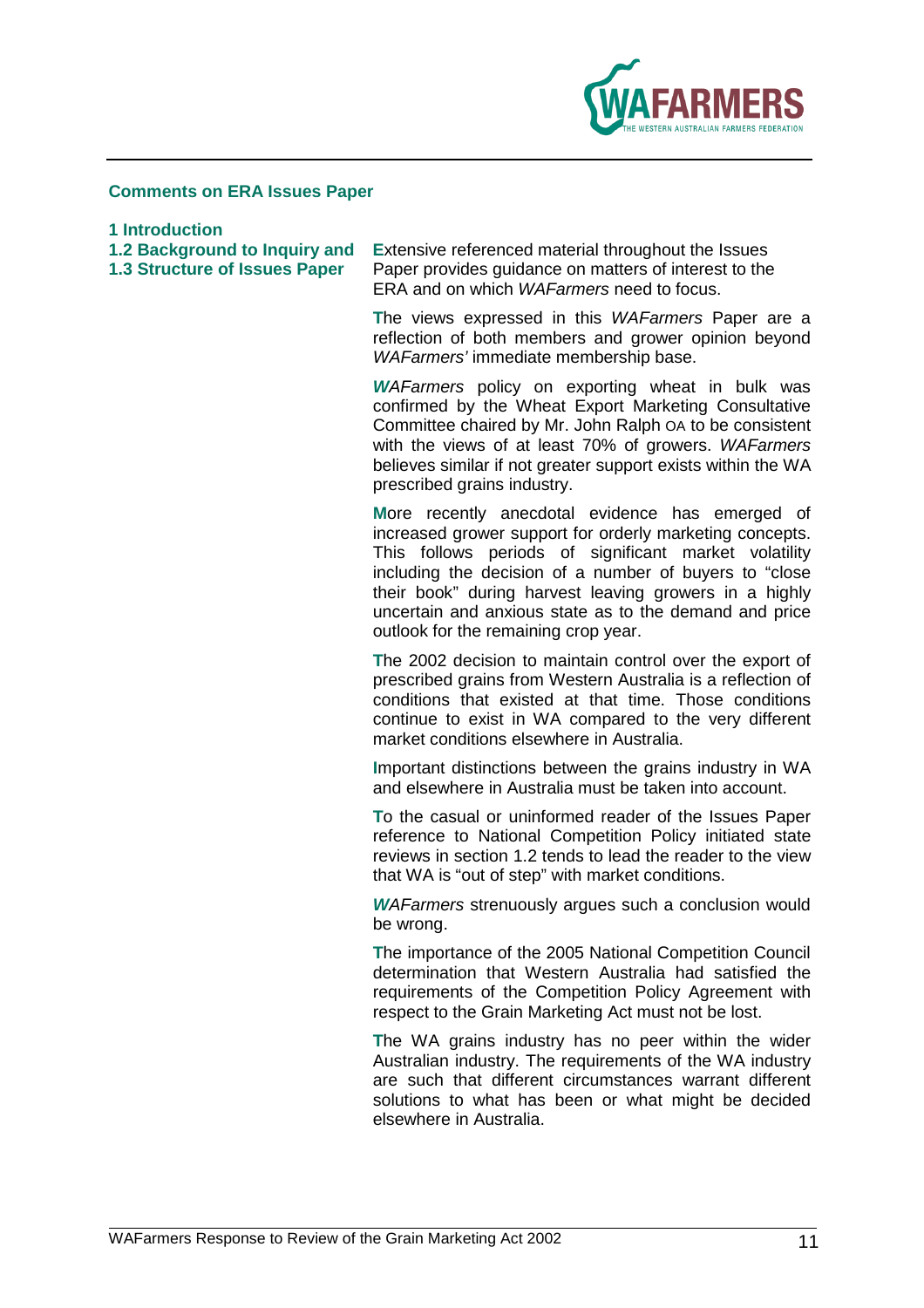

### **Comments on ERA Issues Paper**

**1 Introduction** 

**1.2 Background to Inquiry and Extensive referenced material throughout the Issues 1.3 Structure of Issues Paper Paper provides quidance on matters of interest to the** Paper provides guidance on matters of interest to the ERA and on which WAFarmers need to focus.

> **T**he views expressed in this WAFarmers Paper are a reflection of both members and grower opinion beyond WAFarmers' immediate membership base.

> **W**AFarmers policy on exporting wheat in bulk was confirmed by the Wheat Export Marketing Consultative Committee chaired by Mr. John Ralph OA to be consistent with the views of at least 70% of growers. WAFarmers believes similar if not greater support exists within the WA prescribed grains industry.

> **M**ore recently anecdotal evidence has emerged of increased grower support for orderly marketing concepts. This follows periods of significant market volatility including the decision of a number of buyers to "close their book" during harvest leaving growers in a highly uncertain and anxious state as to the demand and price outlook for the remaining crop year.

> **T**he 2002 decision to maintain control over the export of prescribed grains from Western Australia is a reflection of conditions that existed at that time. Those conditions continue to exist in WA compared to the very different market conditions elsewhere in Australia.

> **I**mportant distinctions between the grains industry in WA and elsewhere in Australia must be taken into account.

> **T**o the casual or uninformed reader of the Issues Paper reference to National Competition Policy initiated state reviews in section 1.2 tends to lead the reader to the view that WA is "out of step" with market conditions.

> **W**AFarmers strenuously argues such a conclusion would be wrong.

> **T**he importance of the 2005 National Competition Council determination that Western Australia had satisfied the requirements of the Competition Policy Agreement with respect to the Grain Marketing Act must not be lost.

> **T**he WA grains industry has no peer within the wider Australian industry. The requirements of the WA industry are such that different circumstances warrant different solutions to what has been or what might be decided elsewhere in Australia.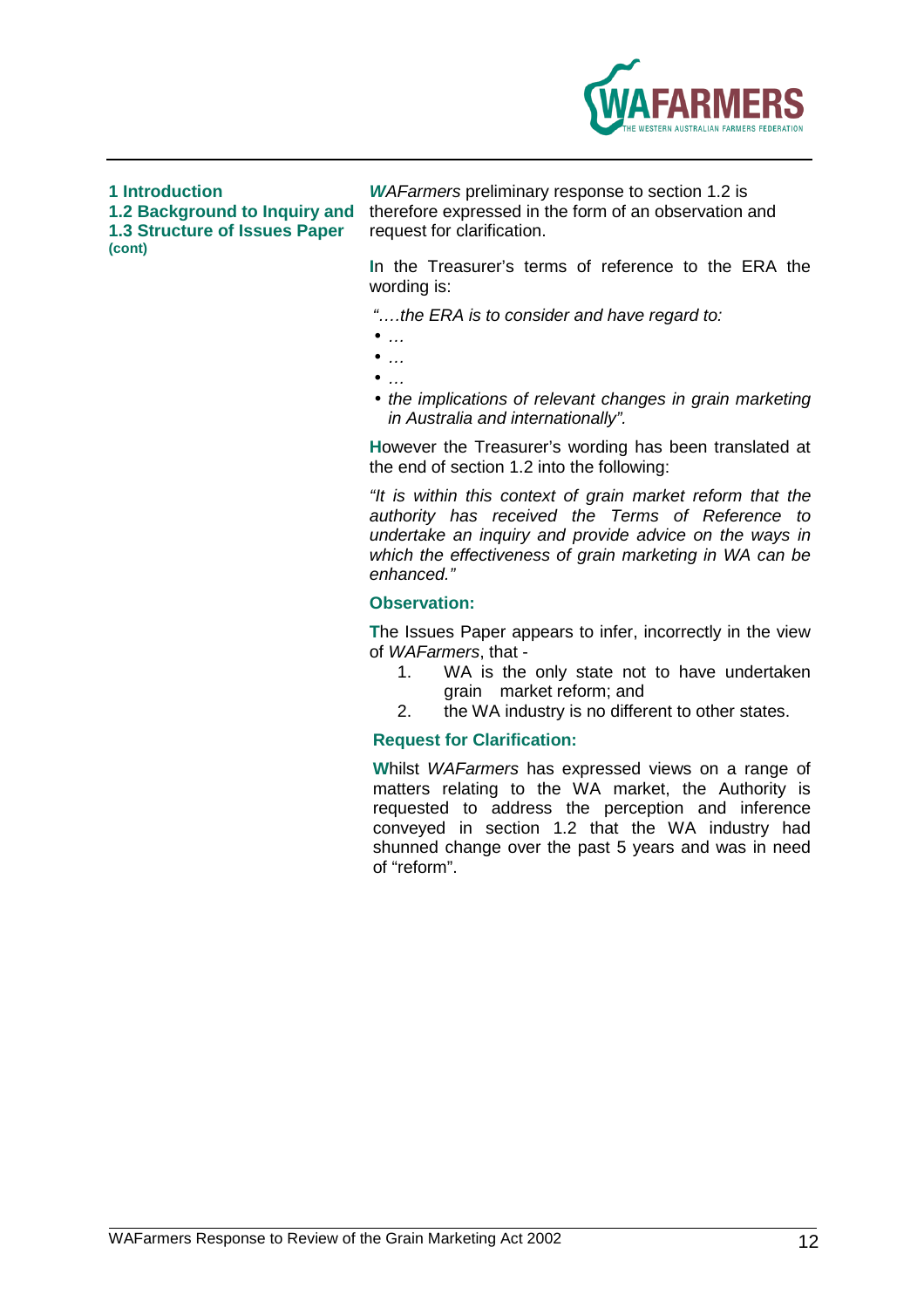

**1.3 Structure of Issues Paper (cont)** 

**1 Introduction W**AFarmers preliminary response to section 1.2 is **1.2 Background to Inquiry and** therefore expressed in the form of an observation and

> **I**n the Treasurer's terms of reference to the ERA the wording is:

"….the ERA is to consider and have regard to:

- $\bullet$  …
- $\bullet$  …
- $\bullet$  …
- the implications of relevant changes in grain marketing in Australia and internationally".

**H**owever the Treasurer's wording has been translated at the end of section 1.2 into the following:

"It is within this context of grain market reform that the authority has received the Terms of Reference to undertake an inquiry and provide advice on the ways in which the effectiveness of grain marketing in WA can be enhanced."

### **Observation:**

**T**he Issues Paper appears to infer, incorrectly in the view of WAFarmers, that -

- 1. WA is the only state not to have undertaken grain market reform; and
- 2. the WA industry is no different to other states.

### **Request for Clarification:**

**W**hilst WAFarmers has expressed views on a range of matters relating to the WA market, the Authority is requested to address the perception and inference conveyed in section 1.2 that the WA industry had shunned change over the past 5 years and was in need of "reform".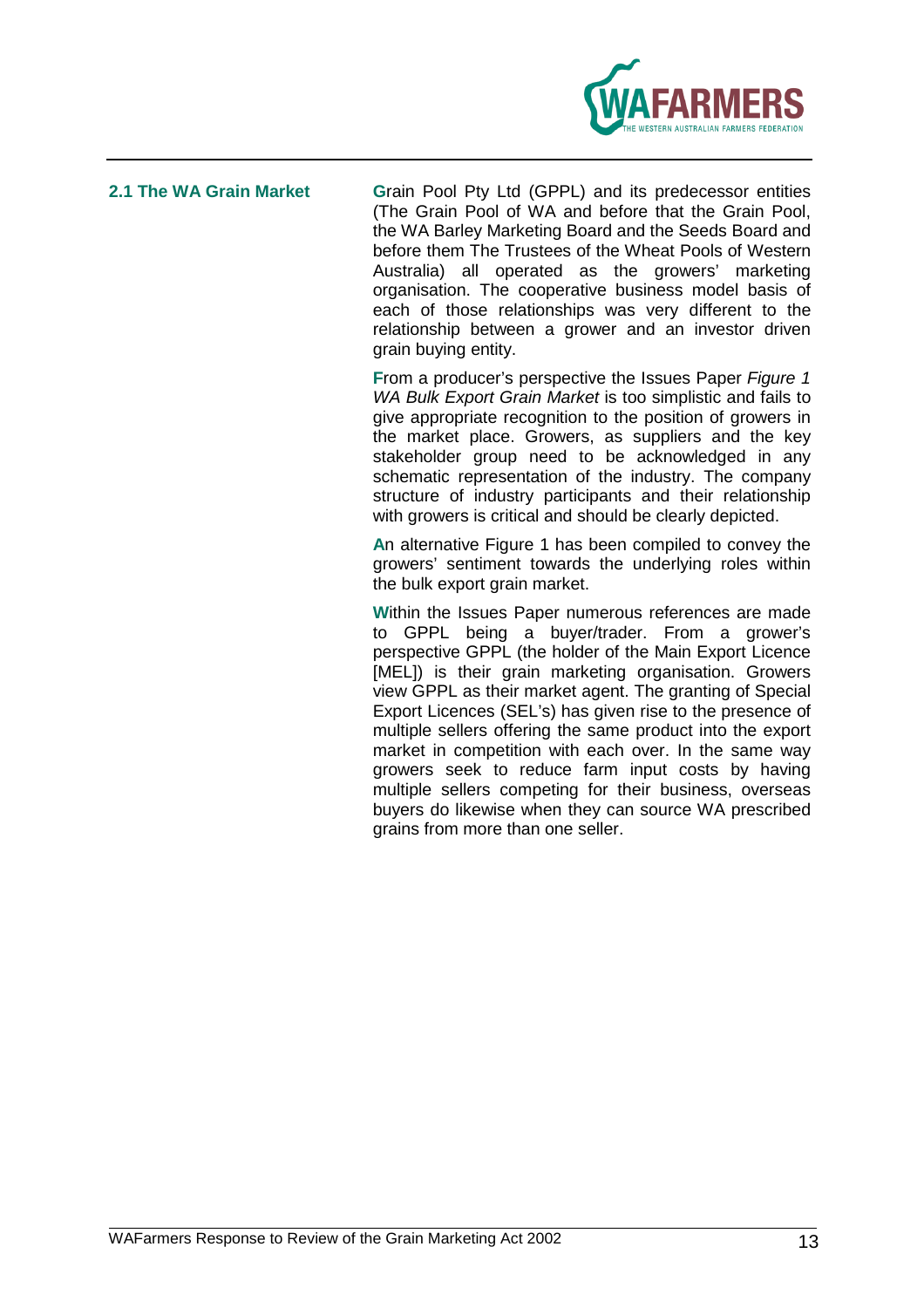

**2.1 The WA Grain Market G**rain Pool Pty Ltd (GPPL) and its predecessor entities (The Grain Pool of WA and before that the Grain Pool, the WA Barley Marketing Board and the Seeds Board and before them The Trustees of the Wheat Pools of Western Australia) all operated as the growers' marketing organisation. The cooperative business model basis of each of those relationships was very different to the relationship between a grower and an investor driven grain buying entity.

> **F**rom a producer's perspective the Issues Paper Figure 1 WA Bulk Export Grain Market is too simplistic and fails to give appropriate recognition to the position of growers in the market place. Growers, as suppliers and the key stakeholder group need to be acknowledged in any schematic representation of the industry. The company structure of industry participants and their relationship with growers is critical and should be clearly depicted.

> **A**n alternative Figure 1 has been compiled to convey the growers' sentiment towards the underlying roles within the bulk export grain market.

> **W**ithin the Issues Paper numerous references are made to GPPL being a buyer/trader. From a grower's perspective GPPL (the holder of the Main Export Licence [MEL]) is their grain marketing organisation. Growers view GPPL as their market agent. The granting of Special Export Licences (SEL's) has given rise to the presence of multiple sellers offering the same product into the export market in competition with each over. In the same way growers seek to reduce farm input costs by having multiple sellers competing for their business, overseas buyers do likewise when they can source WA prescribed grains from more than one seller.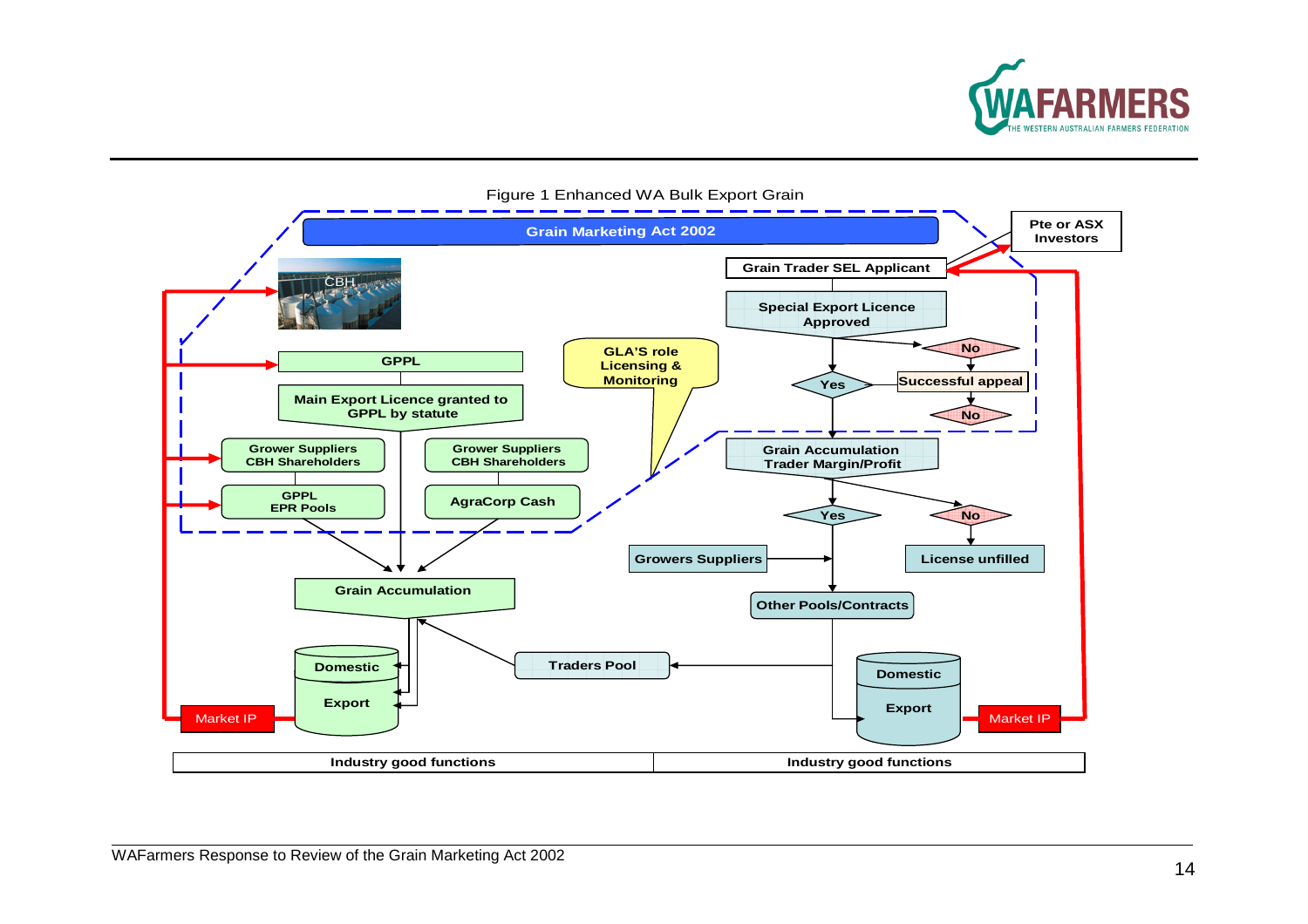



### Figure 1 Enhanced WA Bulk Export Grain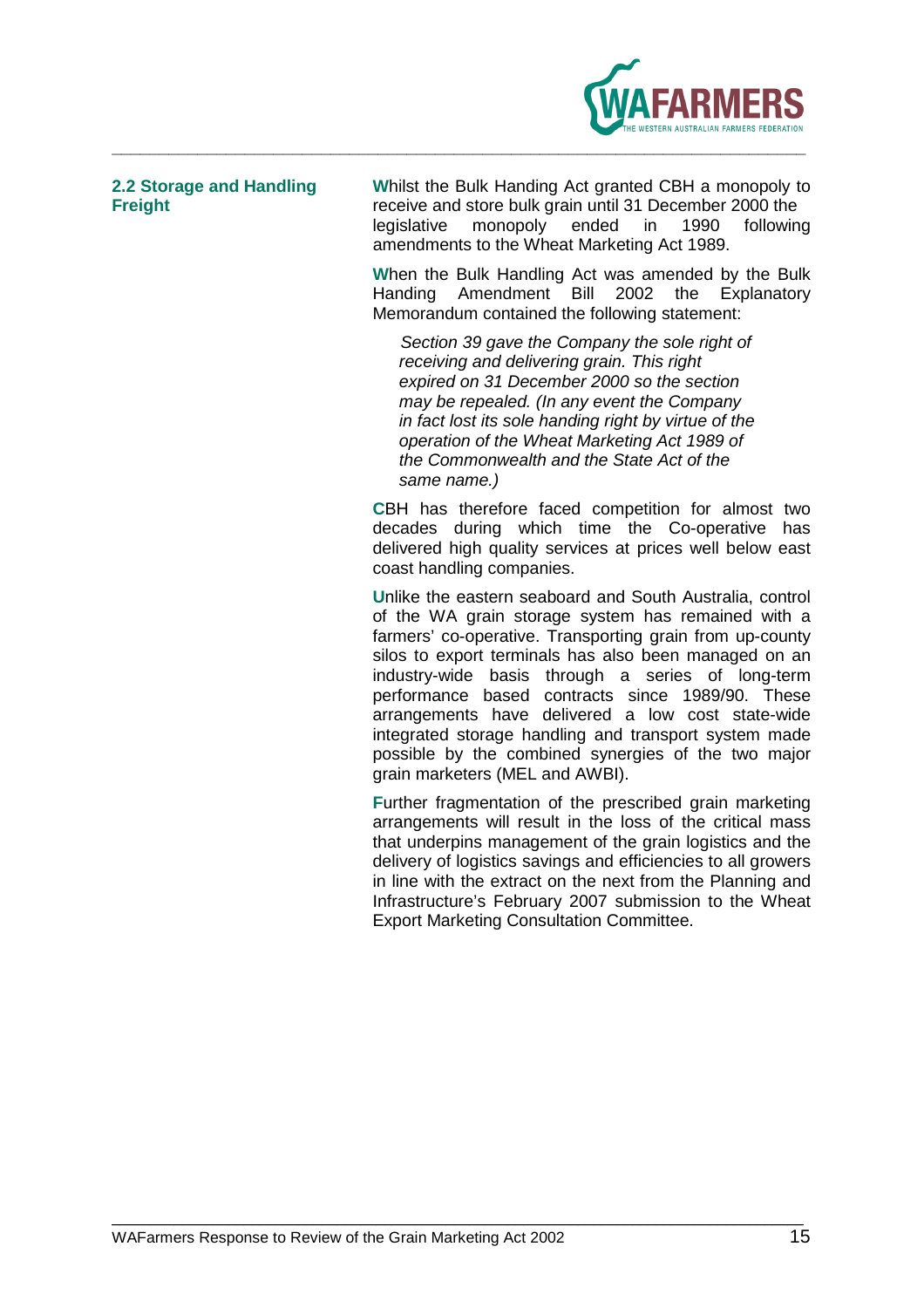

**2.2 Storage and Handling W**hilst the Bulk Handing Act granted CBH a monopoly to **Freight receive and store bulk grain until 31 December 2000 the** legislative monopoly ended in 1990 following amendments to the Wheat Marketing Act 1989.

> **W**hen the Bulk Handling Act was amended by the Bulk Handing Amendment Bill 2002 the Explanatory Memorandum contained the following statement:

Section 39 gave the Company the sole right of receiving and delivering grain. This right expired on 31 December 2000 so the section may be repealed. (In any event the Company in fact lost its sole handing right by virtue of the operation of the Wheat Marketing Act 1989 of the Commonwealth and the State Act of the same name.)

**C**BH has therefore faced competition for almost two decades during which time the Co-operative has delivered high quality services at prices well below east coast handling companies.

**U**nlike the eastern seaboard and South Australia, control of the WA grain storage system has remained with a farmers' co-operative. Transporting grain from up-county silos to export terminals has also been managed on an industry-wide basis through a series of long-term performance based contracts since 1989/90. These arrangements have delivered a low cost state-wide integrated storage handling and transport system made possible by the combined synergies of the two major grain marketers (MEL and AWBI).

**F**urther fragmentation of the prescribed grain marketing arrangements will result in the loss of the critical mass that underpins management of the grain logistics and the delivery of logistics savings and efficiencies to all growers in line with the extract on the next from the Planning and Infrastructure's February 2007 submission to the Wheat Export Marketing Consultation Committee.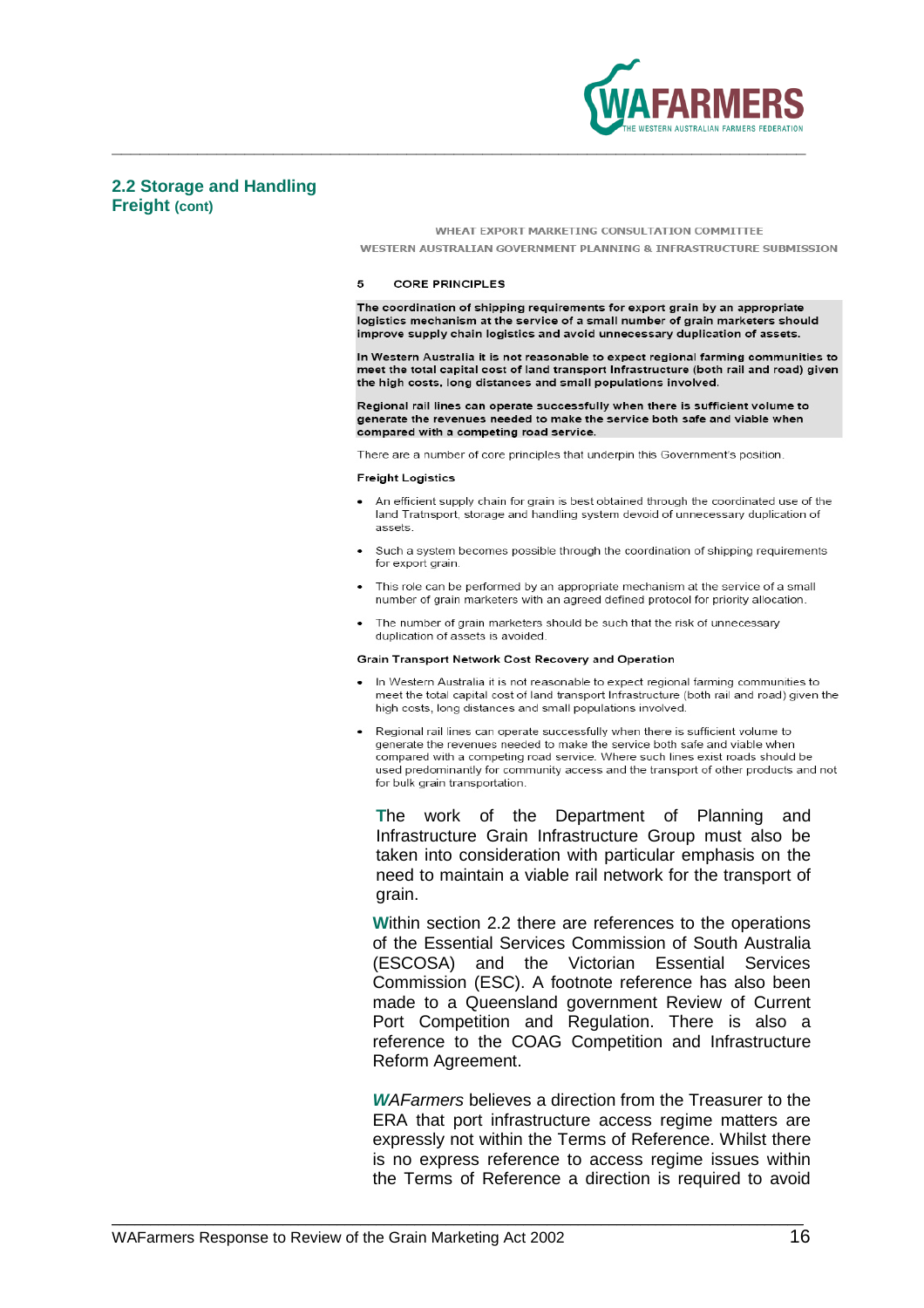

### **2.2 Storage and Handling Freight (cont)**

### WHEAT EXPORT MARKETING CONSULTATION COMMITTEE

WESTERN AUSTRALIAN GOVERNMENT PLANNING & INFRASTRUCTURE SUBMISSION

### 5 **CORE PRINCIPLES**

**\_\_\_\_\_\_\_\_\_\_\_\_\_\_\_\_\_\_\_\_\_\_\_\_\_\_\_\_\_\_\_\_\_\_\_\_\_\_\_\_\_\_\_\_\_\_\_\_\_\_\_\_\_\_\_\_\_\_\_\_\_\_\_\_\_\_\_\_\_\_\_\_\_** 

The coordination of shipping requirements for export grain by an appropriate logistics mechanism at the service of a small number of grain marketers should improve supply chain logistics and avoid unnecessary duplication of assets.

In Western Australia it is not reasonable to expect regional farming communities to meet the total capital cost of land transport Infrastructure (both rail and road) given the high costs, long distances and small populations involved.

Regional rail lines can operate successfully when there is sufficient volume to generate the revenues needed to make the service both safe and viable when compared with a competing road service.

There are a number of core principles that underpin this Government's position.

### **Freight Logistics**

- An efficient supply chain for grain is best obtained through the coordinated use of the land Tratnsport, storage and handling system devoid of unnecessary duplication of assets
- Such a system becomes possible through the coordination of shipping requirements for export grain.
- This role can be performed by an appropriate mechanism at the service of a small number of grain marketers with an agreed defined protocol for priority allocation
- The number of grain marketers should be such that the risk of unnecessary duplication of assets is avoided.

### Grain Transport Network Cost Recovery and Operation

- . In Western Australia it is not reasonable to expect regional farming communities to meet the total capital cost of land transport Infrastructure (both rail and road) given the high costs, long distances and small populations involved.
- Regional rail lines can operate successfully when there is sufficient volume to generate the revenues needed to make the service both safe and viable when compared with a competing road service. Where such lines exist roads should be used predominantly for community access and the transport of other products and not for bulk grain transportation.

**T**he work of the Department of Planning and Infrastructure Grain Infrastructure Group must also be taken into consideration with particular emphasis on the need to maintain a viable rail network for the transport of grain.

**W**ithin section 2.2 there are references to the operations of the Essential Services Commission of South Australia (ESCOSA) and the Victorian Essential Services Commission (ESC). A footnote reference has also been made to a Queensland government Review of Current Port Competition and Regulation. There is also a reference to the COAG Competition and Infrastructure Reform Agreement.

**W**AFarmers believes a direction from the Treasurer to the ERA that port infrastructure access regime matters are expressly not within the Terms of Reference. Whilst there is no express reference to access regime issues within the Terms of Reference a direction is required to avoid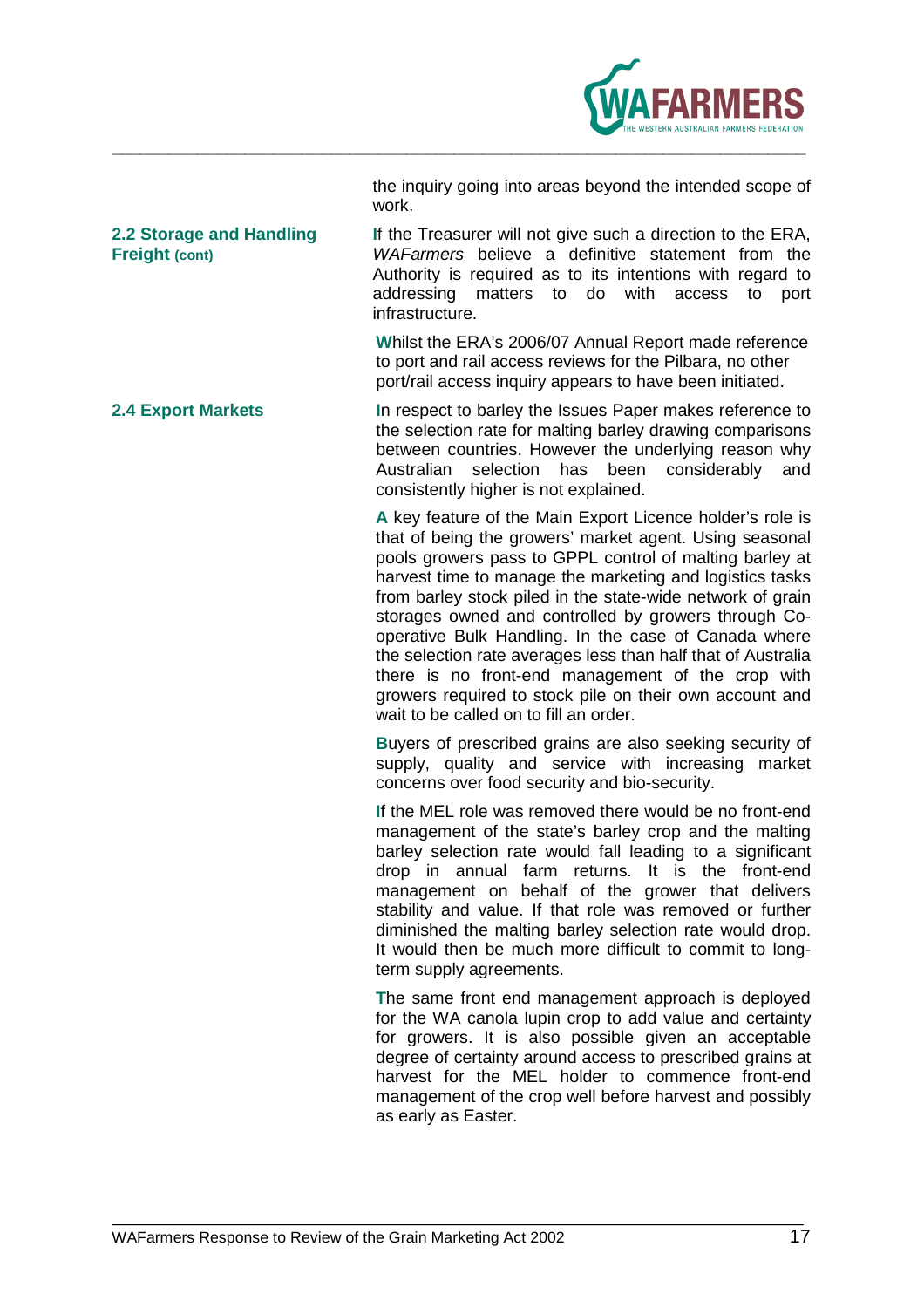

|       | the inquiry going into areas beyond the intended scope of |
|-------|-----------------------------------------------------------|
| work. |                                                           |

**2.2 Storage and Handling I**f the Treasurer will not give such a direction to the ERA, **Freight (cont)** *WAFarmers* believe a definitive statement from the Authority is required as to its intentions with regard to addressing matters to do with access to port infrastructure.

> **W**hilst the ERA's 2006/07 Annual Report made reference to port and rail access reviews for the Pilbara, no other port/rail access inquiry appears to have been initiated.

**2.4 Export Markets I**n respect to barley the Issues Paper makes reference to the selection rate for malting barley drawing comparisons between countries. However the underlying reason why Australian selection has been considerably and consistently higher is not explained.

> **A** key feature of the Main Export Licence holder's role is that of being the growers' market agent. Using seasonal pools growers pass to GPPL control of malting barley at harvest time to manage the marketing and logistics tasks from barley stock piled in the state-wide network of grain storages owned and controlled by growers through Cooperative Bulk Handling. In the case of Canada where the selection rate averages less than half that of Australia there is no front-end management of the crop with growers required to stock pile on their own account and wait to be called on to fill an order.

> **B**uyers of prescribed grains are also seeking security of supply, quality and service with increasing market concerns over food security and bio-security.

> **I**f the MEL role was removed there would be no front-end management of the state's barley crop and the malting barley selection rate would fall leading to a significant drop in annual farm returns. It is the front-end management on behalf of the grower that delivers stability and value. If that role was removed or further diminished the malting barley selection rate would drop. It would then be much more difficult to commit to longterm supply agreements.

> **T**he same front end management approach is deployed for the WA canola lupin crop to add value and certainty for growers. It is also possible given an acceptable degree of certainty around access to prescribed grains at harvest for the MEL holder to commence front-end management of the crop well before harvest and possibly as early as Easter.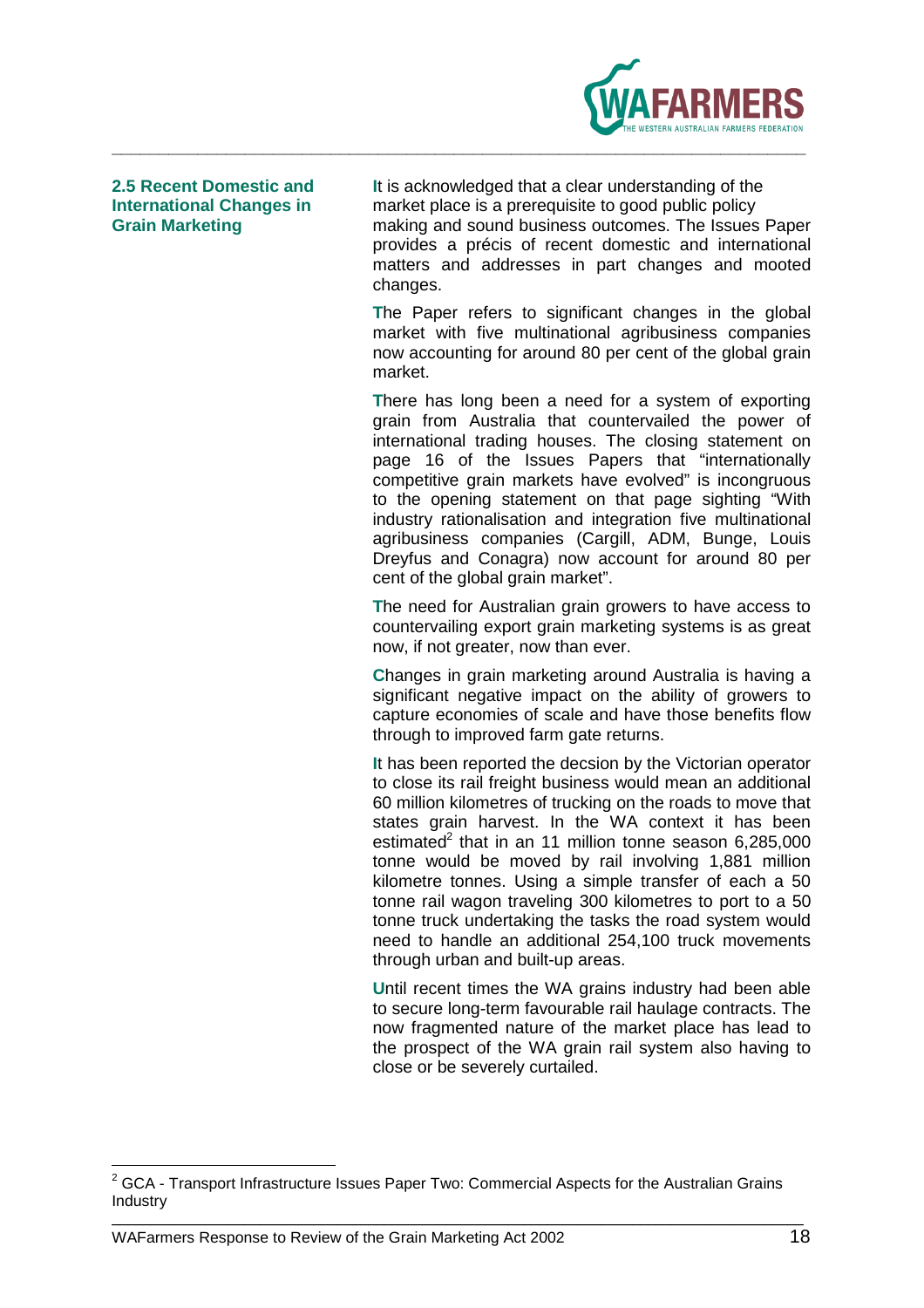

**2.5 Recent Domestic and I**t is acknowledged that a clear understanding of the **International Changes in** market place is a prerequisite to good public policy **Grain Marketing** making and sound business outcomes. The Issues Paper provides a précis of recent domestic and international matters and addresses in part changes and mooted changes.

> **T**he Paper refers to significant changes in the global market with five multinational agribusiness companies now accounting for around 80 per cent of the global grain market.

> **T**here has long been a need for a system of exporting grain from Australia that countervailed the power of international trading houses. The closing statement on page 16 of the Issues Papers that "internationally competitive grain markets have evolved" is incongruous to the opening statement on that page sighting "With industry rationalisation and integration five multinational agribusiness companies (Cargill, ADM, Bunge, Louis Dreyfus and Conagra) now account for around 80 per cent of the global grain market".

> **T**he need for Australian grain growers to have access to countervailing export grain marketing systems is as great now, if not greater, now than ever.

> **C**hanges in grain marketing around Australia is having a significant negative impact on the ability of growers to capture economies of scale and have those benefits flow through to improved farm gate returns.

> **I**t has been reported the decsion by the Victorian operator to close its rail freight business would mean an additional 60 million kilometres of trucking on the roads to move that states grain harvest. In the WA context it has been estimated<sup>2</sup> that in an 11 million tonne season 6,285,000 tonne would be moved by rail involving 1,881 million kilometre tonnes. Using a simple transfer of each a 50 tonne rail wagon traveling 300 kilometres to port to a 50 tonne truck undertaking the tasks the road system would need to handle an additional 254,100 truck movements through urban and built-up areas.

> **U**ntil recent times the WA grains industry had been able to secure long-term favourable rail haulage contracts. The now fragmented nature of the market place has lead to the prospect of the WA grain rail system also having to close or be severely curtailed.

\_\_\_\_\_\_\_\_\_\_\_\_\_\_\_\_\_\_\_\_\_\_\_\_\_\_\_\_\_\_\_\_\_\_\_<br><sup>2</sup> GCA - Transport Infrastructure Issues Paper Two: Commercial Aspects for the Australian Grains <sup>\_</sup> Industry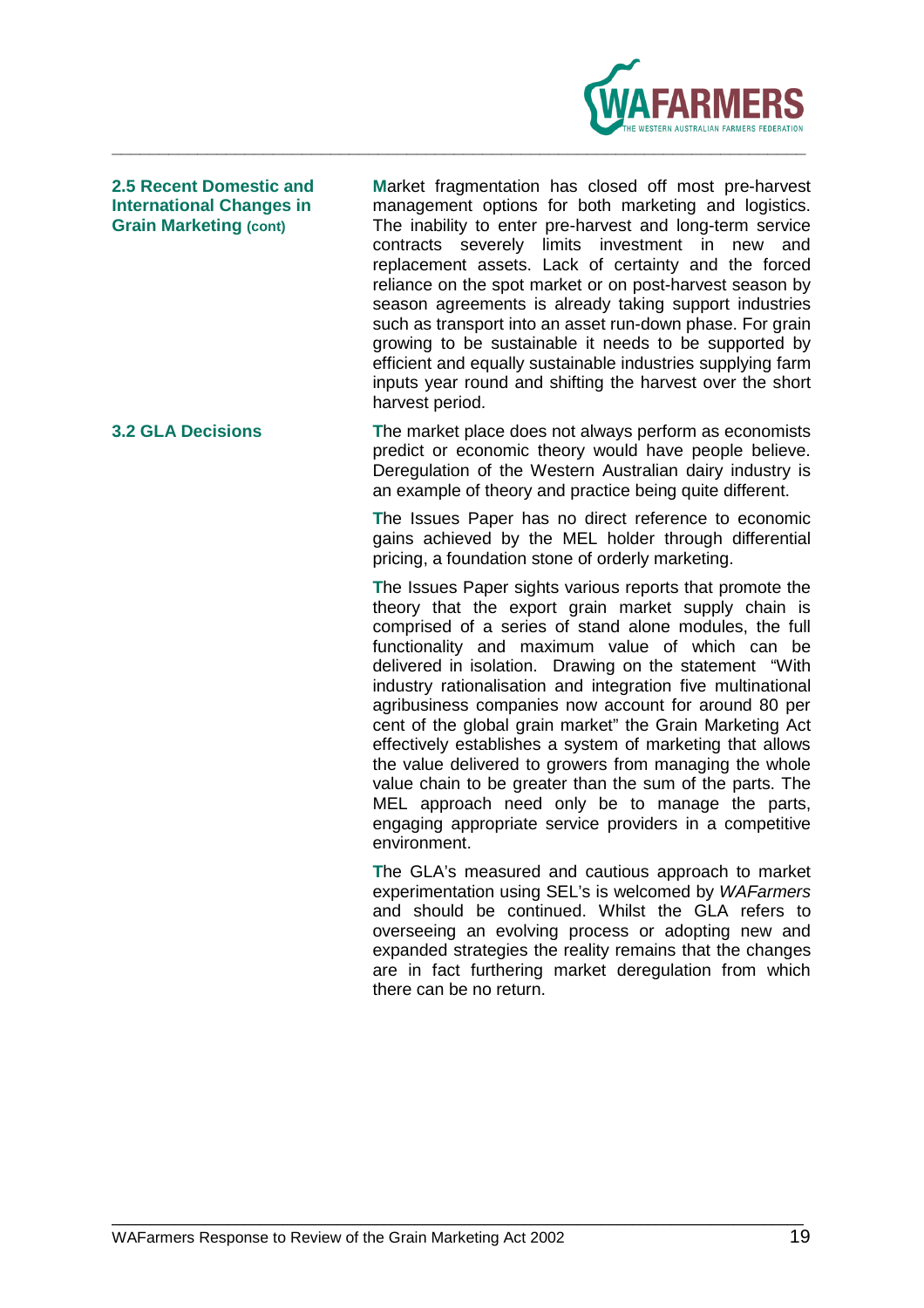

**2.5 Recent Domestic and M**arket fragmentation has closed off most pre-harvest **International Changes in** management options for both marketing and logistics. **Grain Marketing (cont)** The inability to enter pre-harvest and long-term service contracts severely limits investment in new and replacement assets. Lack of certainty and the forced reliance on the spot market or on post-harvest season by season agreements is already taking support industries such as transport into an asset run-down phase. For grain growing to be sustainable it needs to be supported by efficient and equally sustainable industries supplying farm inputs year round and shifting the harvest over the short harvest period.

**3.2 GLA Decisions T**he market place does not always perform as economists predict or economic theory would have people believe. Deregulation of the Western Australian dairy industry is an example of theory and practice being quite different.

> **T**he Issues Paper has no direct reference to economic gains achieved by the MEL holder through differential pricing, a foundation stone of orderly marketing.

> **T**he Issues Paper sights various reports that promote the theory that the export grain market supply chain is comprised of a series of stand alone modules, the full functionality and maximum value of which can be delivered in isolation. Drawing on the statement "With industry rationalisation and integration five multinational agribusiness companies now account for around 80 per cent of the global grain market" the Grain Marketing Act effectively establishes a system of marketing that allows the value delivered to growers from managing the whole value chain to be greater than the sum of the parts. The MEL approach need only be to manage the parts, engaging appropriate service providers in a competitive environment.

> **T**he GLA's measured and cautious approach to market experimentation using SEL's is welcomed by WAFarmers and should be continued. Whilst the GLA refers to overseeing an evolving process or adopting new and expanded strategies the reality remains that the changes are in fact furthering market deregulation from which there can be no return.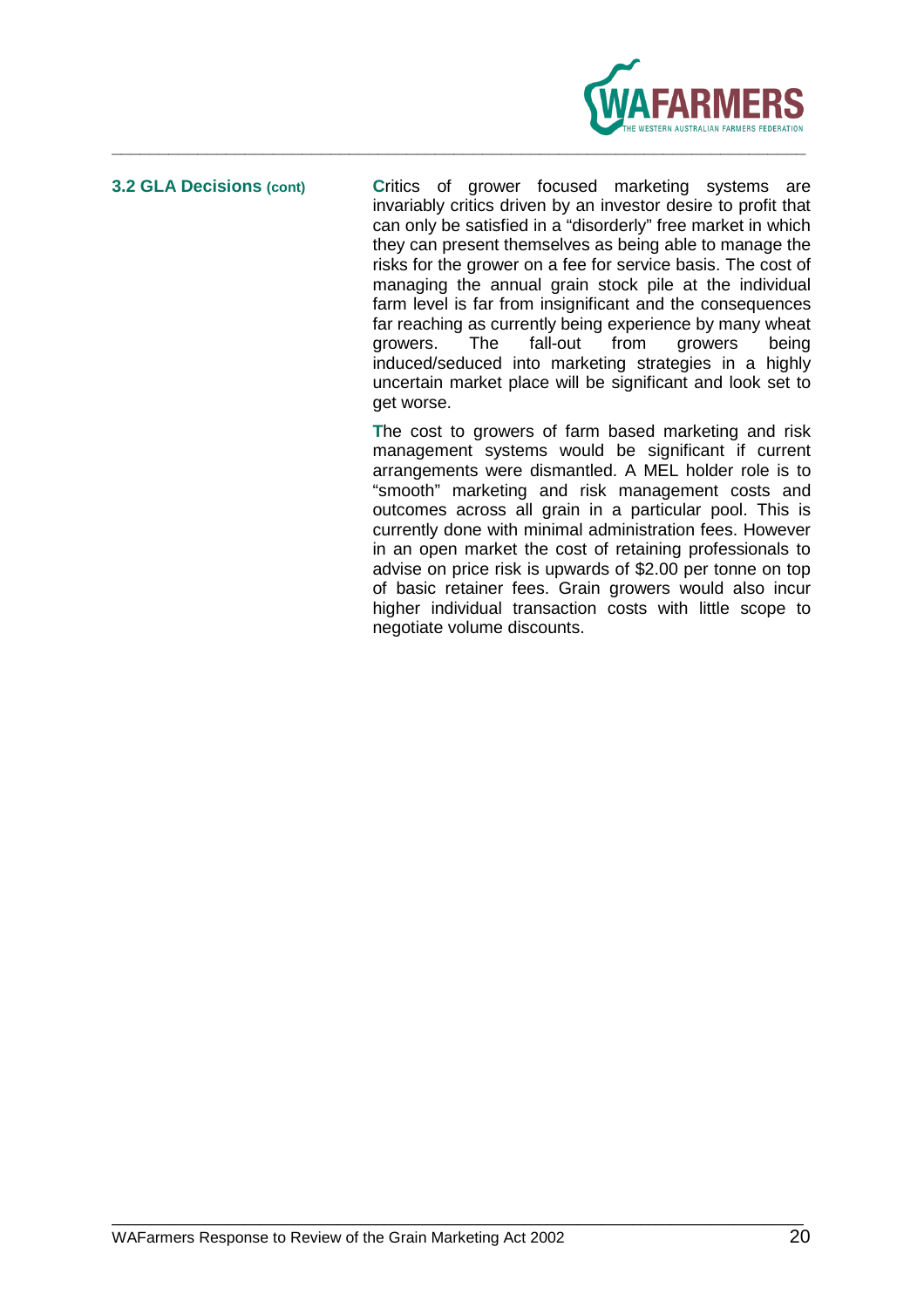

**3.2 GLA Decisions (cont) C**ritics of grower focused marketing systems are invariably critics driven by an investor desire to profit that can only be satisfied in a "disorderly" free market in which they can present themselves as being able to manage the risks for the grower on a fee for service basis. The cost of managing the annual grain stock pile at the individual farm level is far from insignificant and the consequences far reaching as currently being experience by many wheat growers. The fall-out from growers being induced/seduced into marketing strategies in a highly uncertain market place will be significant and look set to get worse.

> **T**he cost to growers of farm based marketing and risk management systems would be significant if current arrangements were dismantled. A MEL holder role is to "smooth" marketing and risk management costs and outcomes across all grain in a particular pool. This is currently done with minimal administration fees. However in an open market the cost of retaining professionals to advise on price risk is upwards of \$2.00 per tonne on top of basic retainer fees. Grain growers would also incur higher individual transaction costs with little scope to negotiate volume discounts.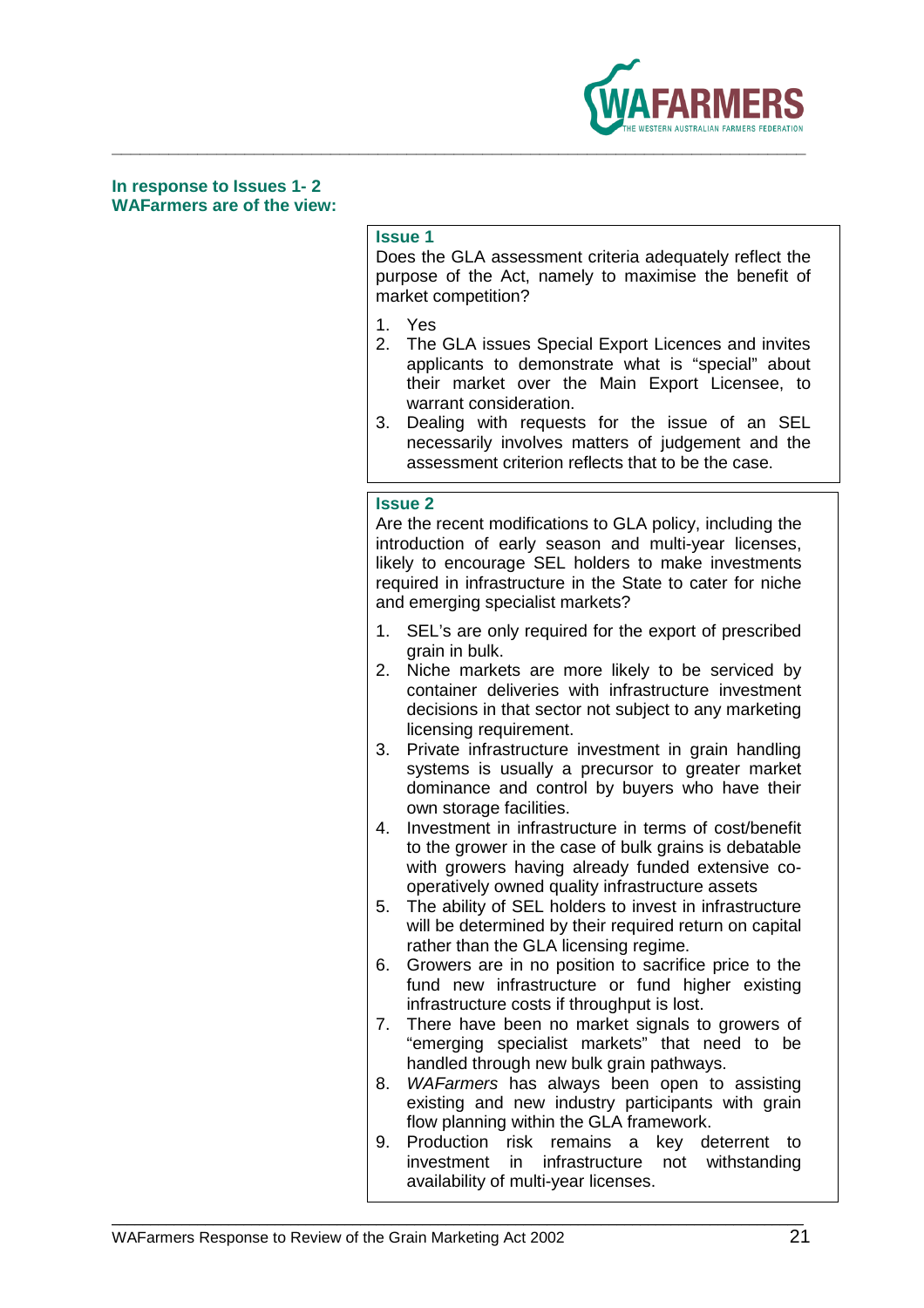

### **In response to Issues 1- 2 WAFarmers are of the view:**

### **Issue 1**

Does the GLA assessment criteria adequately reflect the purpose of the Act, namely to maximise the benefit of market competition?

- 1. Yes
- 2. The GLA issues Special Export Licences and invites applicants to demonstrate what is "special" about their market over the Main Export Licensee, to warrant consideration.
- 3. Dealing with requests for the issue of an SEL necessarily involves matters of judgement and the assessment criterion reflects that to be the case.

### **Issue 2**

Are the recent modifications to GLA policy, including the introduction of early season and multi-year licenses, likely to encourage SEL holders to make investments required in infrastructure in the State to cater for niche and emerging specialist markets?

- 1. SEL's are only required for the export of prescribed grain in bulk.
- 2. Niche markets are more likely to be serviced by container deliveries with infrastructure investment decisions in that sector not subject to any marketing licensing requirement.
- 3. Private infrastructure investment in grain handling systems is usually a precursor to greater market dominance and control by buyers who have their own storage facilities.
- 4. Investment in infrastructure in terms of cost/benefit to the grower in the case of bulk grains is debatable with growers having already funded extensive cooperatively owned quality infrastructure assets
- 5. The ability of SEL holders to invest in infrastructure will be determined by their required return on capital rather than the GLA licensing regime.
- 6. Growers are in no position to sacrifice price to the fund new infrastructure or fund higher existing infrastructure costs if throughput is lost.
- 7. There have been no market signals to growers of "emerging specialist markets" that need to be handled through new bulk grain pathways.
- 8. WAFarmers has always been open to assisting existing and new industry participants with grain flow planning within the GLA framework.
- 9. Production risk remains a key deterrent to investment in infrastructure not withstanding availability of multi-year licenses.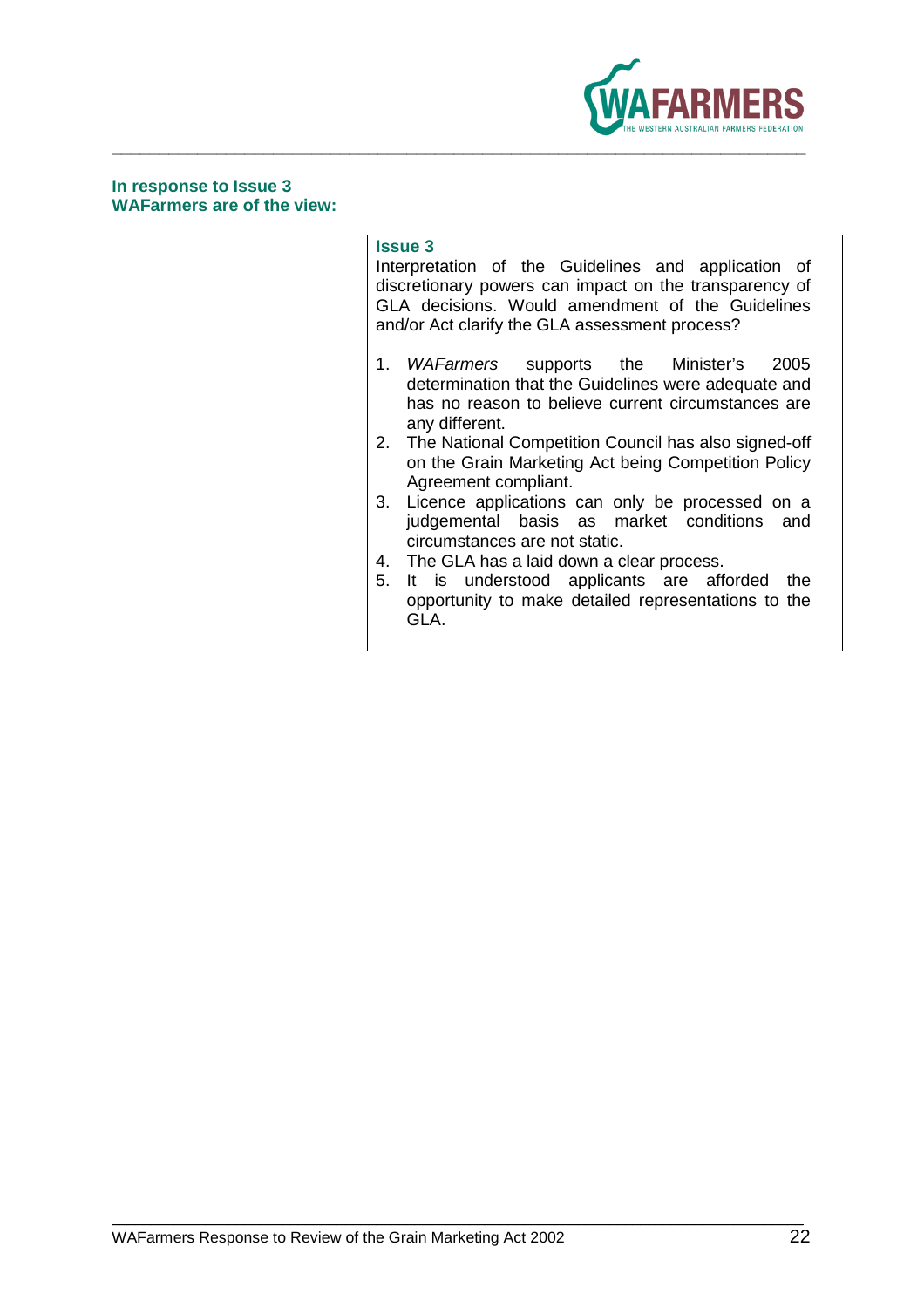

### **In response to Issue 3 WAFarmers are of the view:**

### **Issue 3**

Interpretation of the Guidelines and application of discretionary powers can impact on the transparency of GLA decisions. Would amendment of the Guidelines and/or Act clarify the GLA assessment process?

- 1. WAFarmers supports the Minister's 2005 determination that the Guidelines were adequate and has no reason to believe current circumstances are any different.
- 2. The National Competition Council has also signed-off on the Grain Marketing Act being Competition Policy Agreement compliant.
- 3. Licence applications can only be processed on a judgemental basis as market conditions and circumstances are not static.
- 4. The GLA has a laid down a clear process.
- 5. It is understood applicants are afforded the opportunity to make detailed representations to the GLA.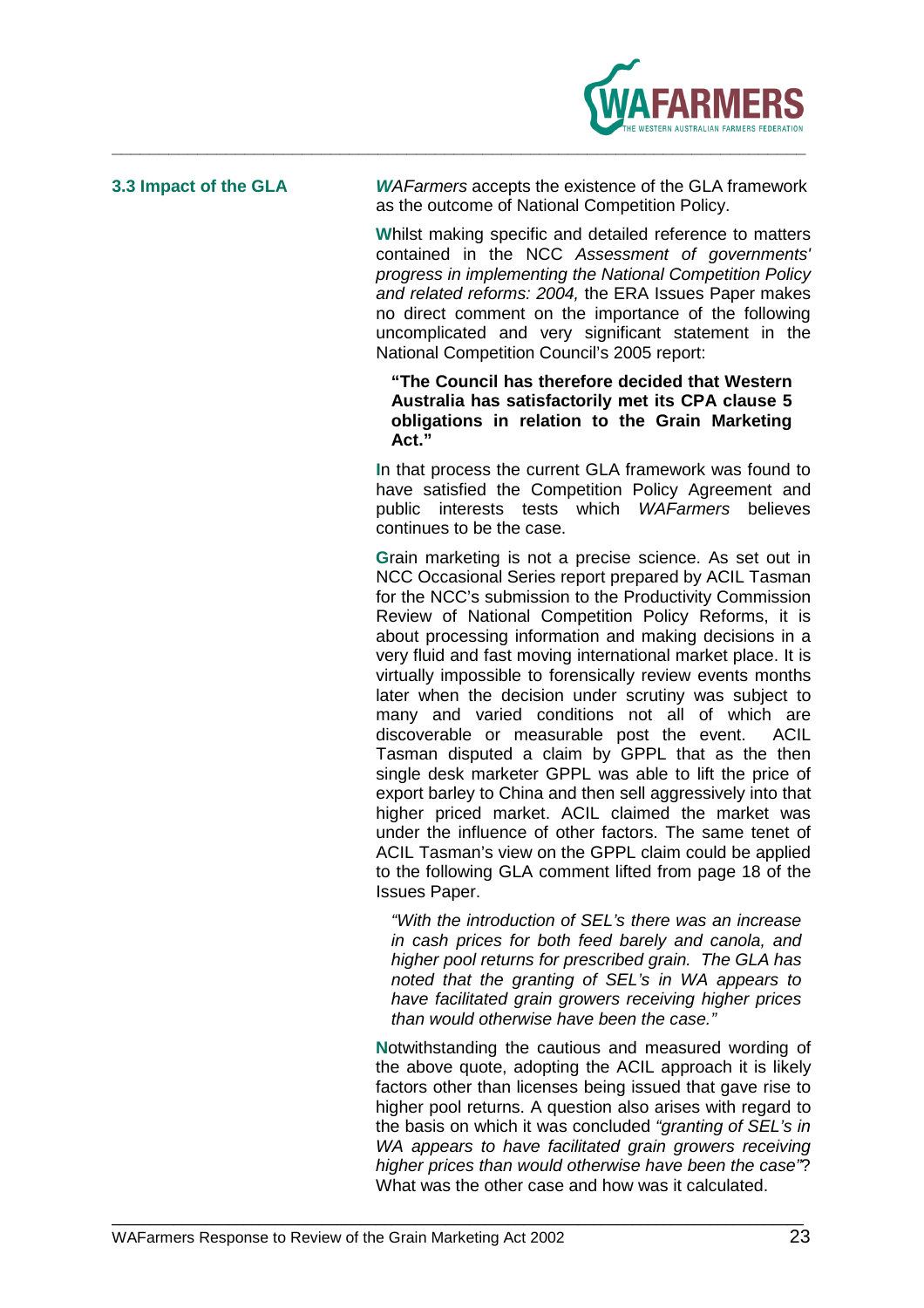

**3.3 Impact of the GLA W**AFarmers accepts the existence of the GLA framework as the outcome of National Competition Policy.

> **W**hilst making specific and detailed reference to matters contained in the NCC Assessment of governments' progress in implementing the National Competition Policy and related reforms: 2004, the ERA Issues Paper makes no direct comment on the importance of the following uncomplicated and very significant statement in the National Competition Council's 2005 report:

### **"The Council has therefore decided that Western Australia has satisfactorily met its CPA clause 5 obligations in relation to the Grain Marketing Act."**

**I**n that process the current GLA framework was found to have satisfied the Competition Policy Agreement and public interests tests which WAFarmers believes continues to be the case.

**G**rain marketing is not a precise science. As set out in NCC Occasional Series report prepared by ACIL Tasman for the NCC's submission to the Productivity Commission Review of National Competition Policy Reforms, it is about processing information and making decisions in a very fluid and fast moving international market place. It is virtually impossible to forensically review events months later when the decision under scrutiny was subject to many and varied conditions not all of which are discoverable or measurable post the event. ACIL Tasman disputed a claim by GPPL that as the then single desk marketer GPPL was able to lift the price of export barley to China and then sell aggressively into that higher priced market. ACIL claimed the market was under the influence of other factors. The same tenet of ACIL Tasman's view on the GPPL claim could be applied to the following GLA comment lifted from page 18 of the Issues Paper.

"With the introduction of SEL's there was an increase in cash prices for both feed barely and canola, and higher pool returns for prescribed grain. The GLA has noted that the granting of SEL's in WA appears to have facilitated grain growers receiving higher prices than would otherwise have been the case."

**N**otwithstanding the cautious and measured wording of the above quote, adopting the ACIL approach it is likely factors other than licenses being issued that gave rise to higher pool returns. A question also arises with regard to the basis on which it was concluded "granting of SEL's in WA appears to have facilitated grain growers receiving higher prices than would otherwise have been the case"? What was the other case and how was it calculated.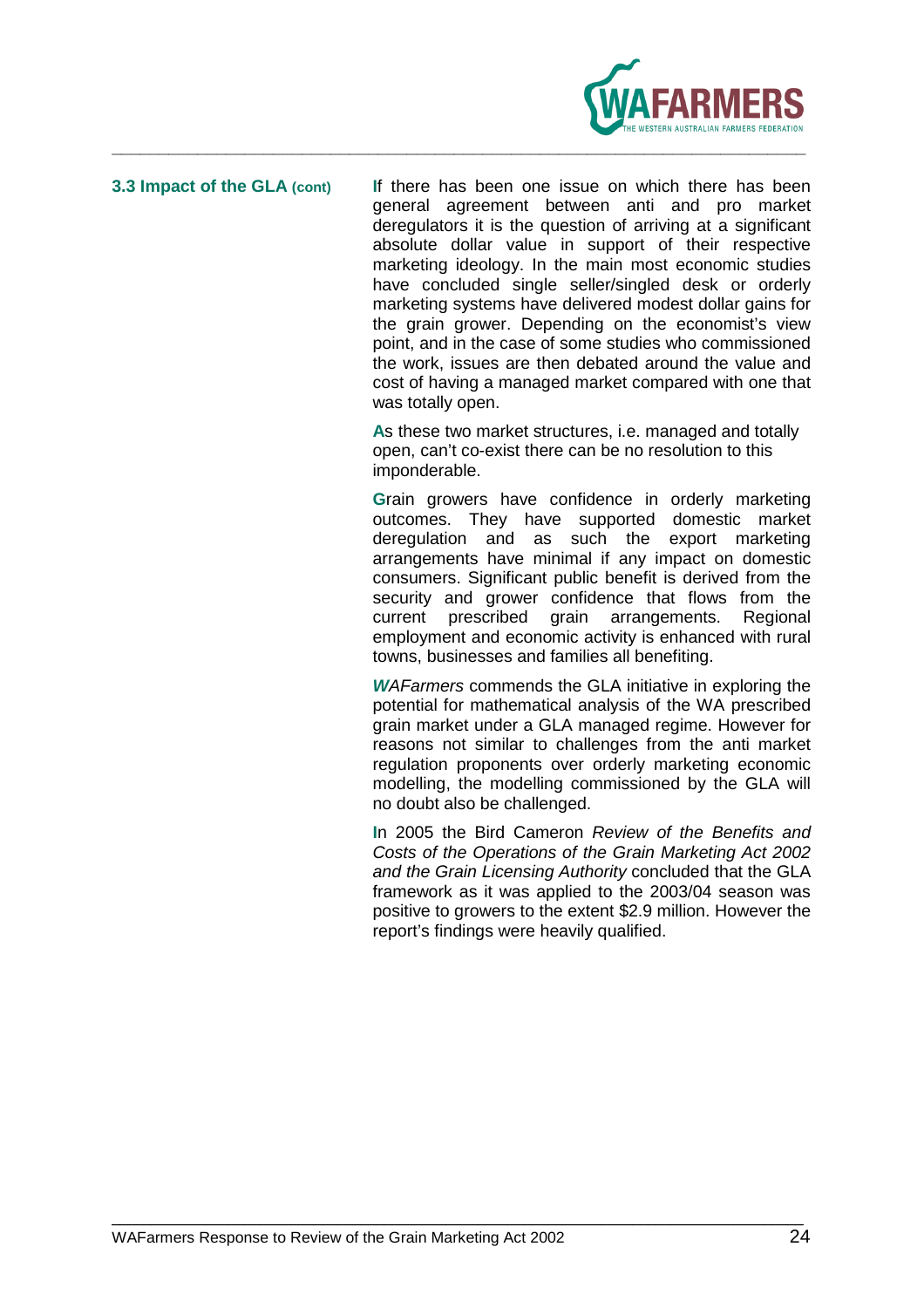

**3.3 Impact of the GLA (cont) I**f there has been one issue on which there has been general agreement between anti and pro market deregulators it is the question of arriving at a significant absolute dollar value in support of their respective marketing ideology. In the main most economic studies have concluded single seller/singled desk or orderly marketing systems have delivered modest dollar gains for the grain grower. Depending on the economist's view point, and in the case of some studies who commissioned the work, issues are then debated around the value and cost of having a managed market compared with one that was totally open.

> **A**s these two market structures, i.e. managed and totally open, can't co-exist there can be no resolution to this imponderable.

**G**rain growers have confidence in orderly marketing outcomes. They have supported domestic market deregulation and as such the export marketing arrangements have minimal if any impact on domestic consumers. Significant public benefit is derived from the security and grower confidence that flows from the current prescribed grain arrangements. Regional employment and economic activity is enhanced with rural towns, businesses and families all benefiting.

**W**AFarmers commends the GLA initiative in exploring the potential for mathematical analysis of the WA prescribed grain market under a GLA managed regime. However for reasons not similar to challenges from the anti market regulation proponents over orderly marketing economic modelling, the modelling commissioned by the GLA will no doubt also be challenged.

**I**n 2005 the Bird Cameron Review of the Benefits and Costs of the Operations of the Grain Marketing Act 2002 and the Grain Licensing Authority concluded that the GLA framework as it was applied to the 2003/04 season was positive to growers to the extent \$2.9 million. However the report's findings were heavily qualified.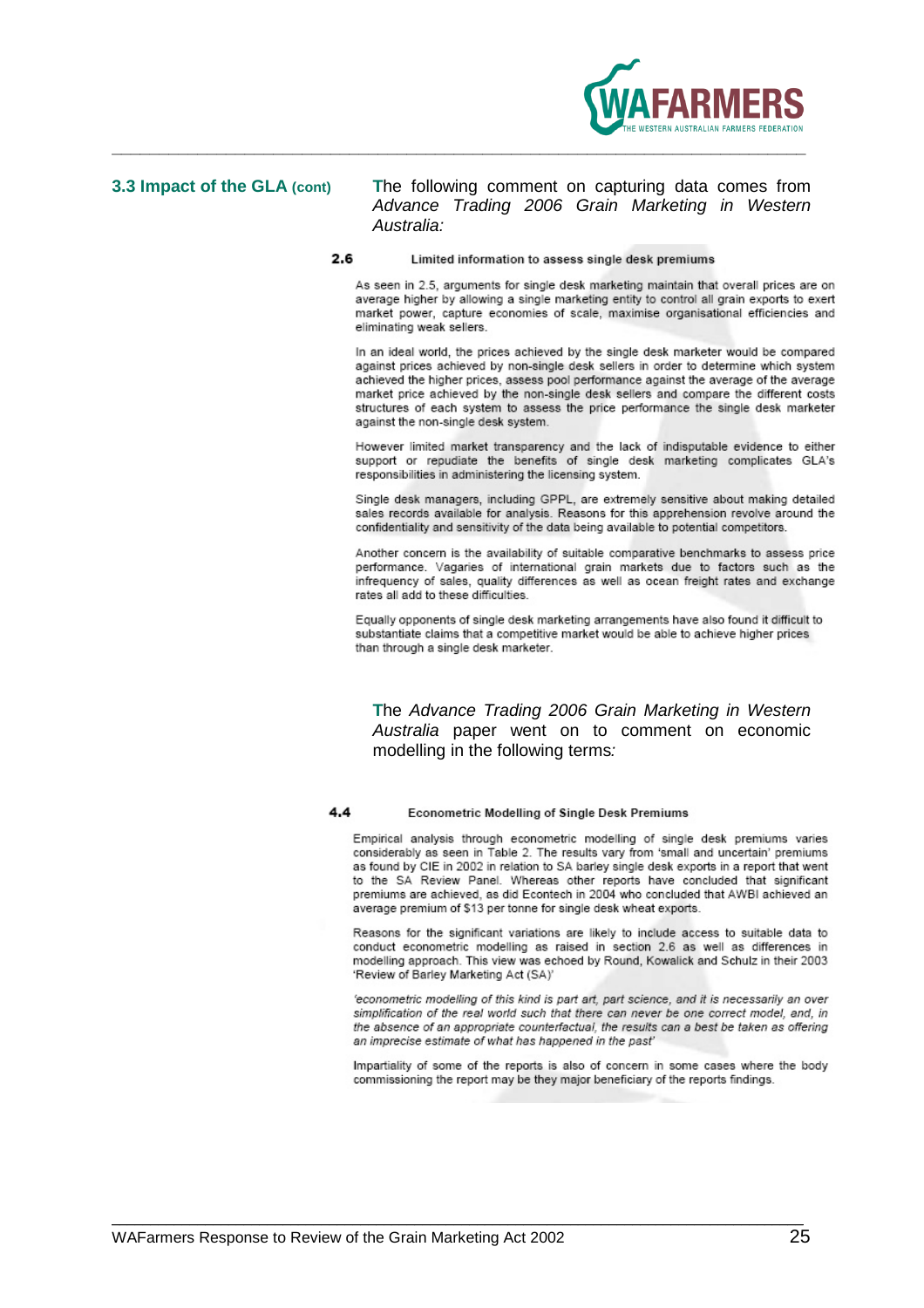

### **3.3 Impact of the GLA (cont) T**he following comment on capturing data comes from Advance Trading 2006 Grain Marketing in Western Australia:

### 2.6 Limited information to assess single desk premiums

As seen in 2.5, arouments for single desk marketing maintain that overall prices are on average higher by allowing a single marketing entity to control all grain exports to exert market power, capture economies of scale, maximise organisational efficiencies and eliminating weak sellers.

In an ideal world, the prices achieved by the single desk marketer would be compared against prices achieved by non-single desk sellers in order to determine which system achieved the higher prices, assess pool performance against the average of the average market price achieved by the non-single desk sellers and compare the different costs structures of each system to assess the price performance the single desk marketer against the non-single desk system.

However limited market transparency and the lack of indisputable evidence to either support or repudiate the benefits of single desk marketing complicates GLA's responsibilities in administering the licensing system.

Single desk managers, including GPPL, are extremely sensitive about making detailed sales records available for analysis. Reasons for this apprehension revolve around the confidentiality and sensitivity of the data being available to potential competitors.

Another concern is the availability of suitable comparative benchmarks to assess price performance. Vagaries of international grain markets due to factors such as the infrequency of sales, quality differences as well as ocean freight rates and exchange rates all add to these difficulties.

Equally opponents of single desk marketing arrangements have also found it difficult to substantiate claims that a competitive market would be able to achieve higher prices than through a single desk marketer.

**T**he Advance Trading 2006 Grain Marketing in Western Australia paper went on to comment on economic modelling in the following terms:

### 4.4 **Econometric Modelling of Single Desk Premiums**

Empirical analysis through econometric modelling of single desk premiums varies considerably as seen in Table 2. The results vary from 'small and uncertain' premiums as found by CIE in 2002 in relation to SA barley single desk exports in a report that went to the SA Review Panel. Whereas other reports have concluded that significant premiums are achieved, as did Econtech in 2004 who concluded that AWBI achieved an average premium of \$13 per tonne for single desk wheat exports.

Reasons for the significant variations are likely to include access to suitable data to conduct econometric modelling as raised in section 2.6 as well as differences in modelling approach. This view was echoed by Round, Kowalick and Schulz in their 2003 'Review of Barley Marketing Act (SA)'

'econometric modelling of this kind is part art, part science, and it is necessarily an over simplification of the real world such that there can never be one correct model, and, in the absence of an appropriate counterfactual, the results can a best be taken as offering an imprecise estimate of what has happened in the past'

Impartiality of some of the reports is also of concern in some cases where the body commissioning the report may be they major beneficiary of the reports findings.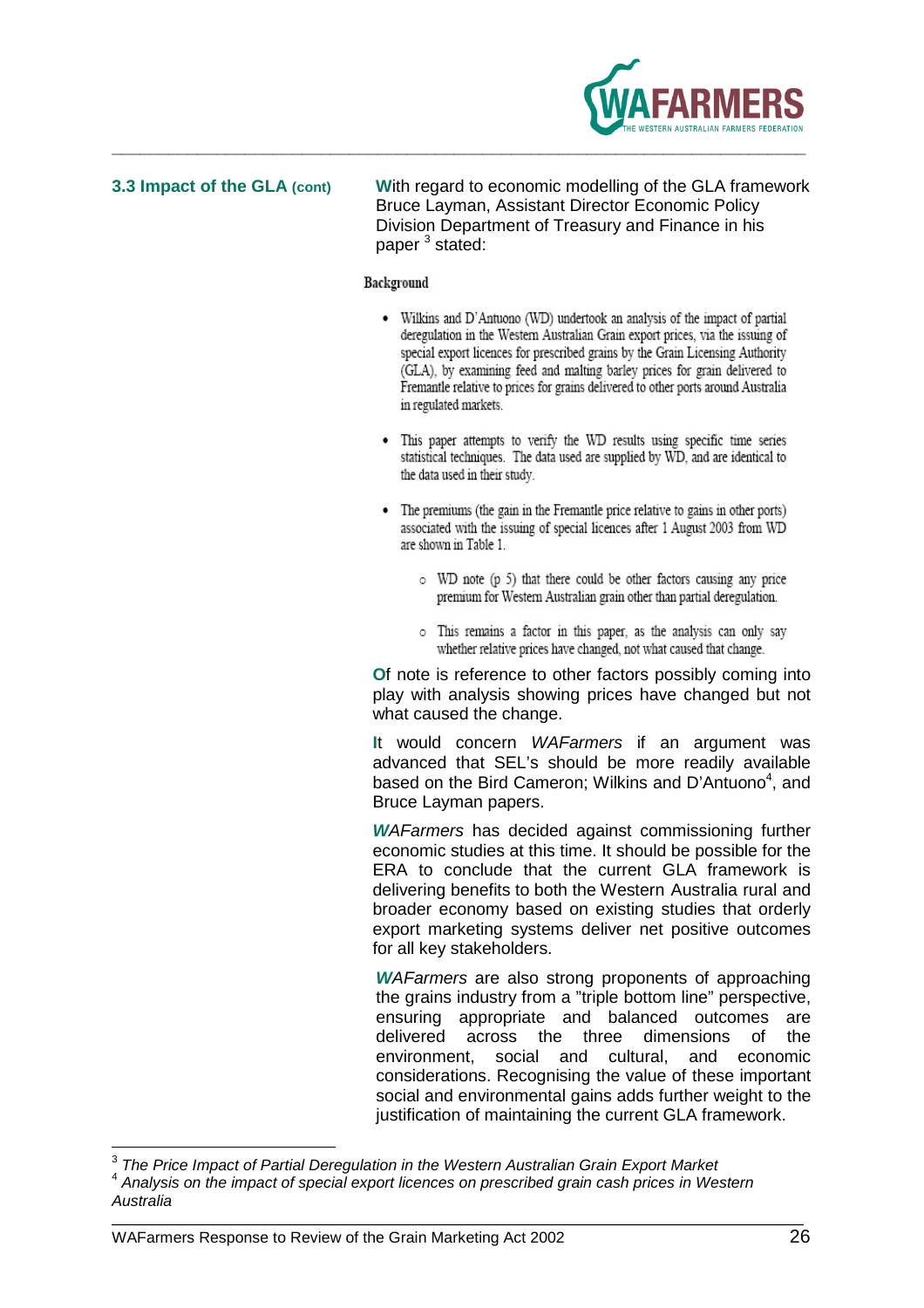

**3.3 Impact of the GLA (cont) W**ith regard to economic modelling of the GLA framework Bruce Layman, Assistant Director Economic Policy Division Department of Treasury and Finance in his paper<sup>3</sup> stated:

### Background

- Wilkins and D'Antuono (WD) undertook an analysis of the impact of partial deregulation in the Western Australian Grain export prices, via the issuing of special export licences for prescribed grains by the Grain Licensing Authority (GLA), by examining feed and malting barley prices for grain delivered to Fremantle relative to prices for grains delivered to other ports around Australia in regulated markets.
- This paper attempts to verify the WD results using specific time series statistical techniques. The data used are supplied by WD, and are identical to the data used in their study.
- The premiums (the gain in the Fremantle price relative to gains in other ports) associated with the issuing of special licences after 1 August 2003 from WD are shown in Table 1.
	- o WD note (p 5) that there could be other factors causing any price premium for Western Australian grain other than partial deregulation.
	- o This remains a factor in this paper, as the analysis can only say whether relative prices have changed, not what caused that change.

**O**f note is reference to other factors possibly coming into play with analysis showing prices have changed but not what caused the change.

**I**t would concern WAFarmers if an argument was advanced that SEL's should be more readily available based on the Bird Cameron; Wilkins and D'Antuono<sup>4</sup>, and Bruce Layman papers.

**W**AFarmers has decided against commissioning further economic studies at this time. It should be possible for the ERA to conclude that the current GLA framework is delivering benefits to both the Western Australia rural and broader economy based on existing studies that orderly export marketing systems deliver net positive outcomes for all key stakeholders.

**W**AFarmers are also strong proponents of approaching the grains industry from a "triple bottom line" perspective, ensuring appropriate and balanced outcomes are delivered across the three dimensions of the environment, social and cultural, and economic considerations. Recognising the value of these important social and environmental gains adds further weight to the justification of maintaining the current GLA framework.

 $\overline{\phantom{a}}$ 3 The Price Impact of Partial Deregulation in the Western Australian Grain Export Market

<sup>&</sup>lt;sup>4</sup> Analysis on the impact of special export licences on prescribed grain cash prices in Western Australia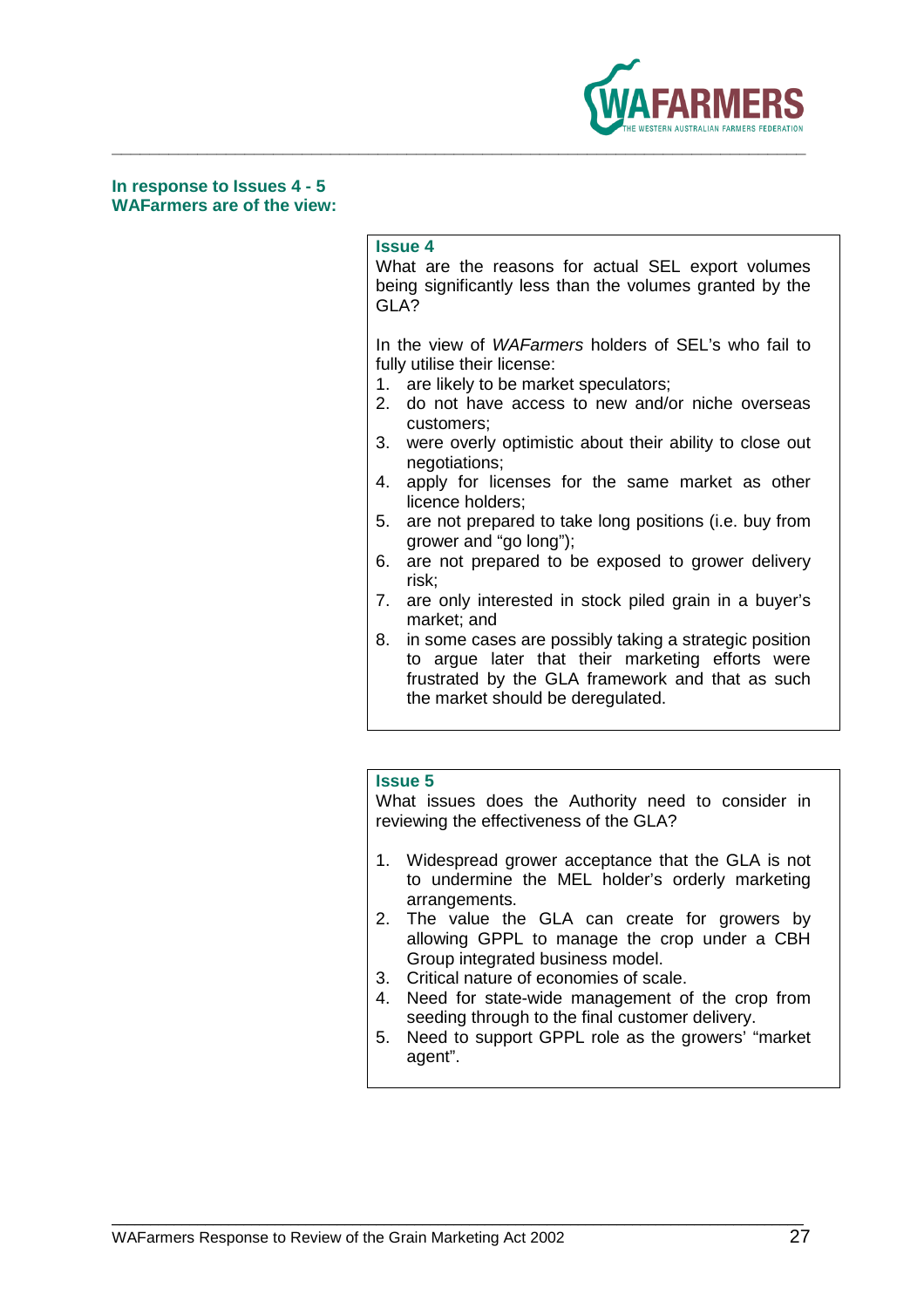

**In response to Issues 4 - 5 WAFarmers are of the view:** 

### **Issue 4**

What are the reasons for actual SEL export volumes being significantly less than the volumes granted by the GLA?

In the view of WAFarmers holders of SEL's who fail to fully utilise their license:

- 1. are likely to be market speculators;
- 2. do not have access to new and/or niche overseas customers;
- 3. were overly optimistic about their ability to close out negotiations;
- 4. apply for licenses for the same market as other licence holders;
- 5. are not prepared to take long positions (i.e. buy from grower and "go long");
- 6. are not prepared to be exposed to grower delivery risk;
- 7. are only interested in stock piled grain in a buyer's market; and
- 8. in some cases are possibly taking a strategic position to argue later that their marketing efforts were frustrated by the GLA framework and that as such the market should be deregulated.

### **Issue 5**

What issues does the Authority need to consider in reviewing the effectiveness of the GLA?

- 1. Widespread grower acceptance that the GLA is not to undermine the MEL holder's orderly marketing arrangements.
- 2. The value the GLA can create for growers by allowing GPPL to manage the crop under a CBH Group integrated business model.
- 3. Critical nature of economies of scale.
- 4. Need for state-wide management of the crop from seeding through to the final customer delivery.
- 5. Need to support GPPL role as the growers' "market agent".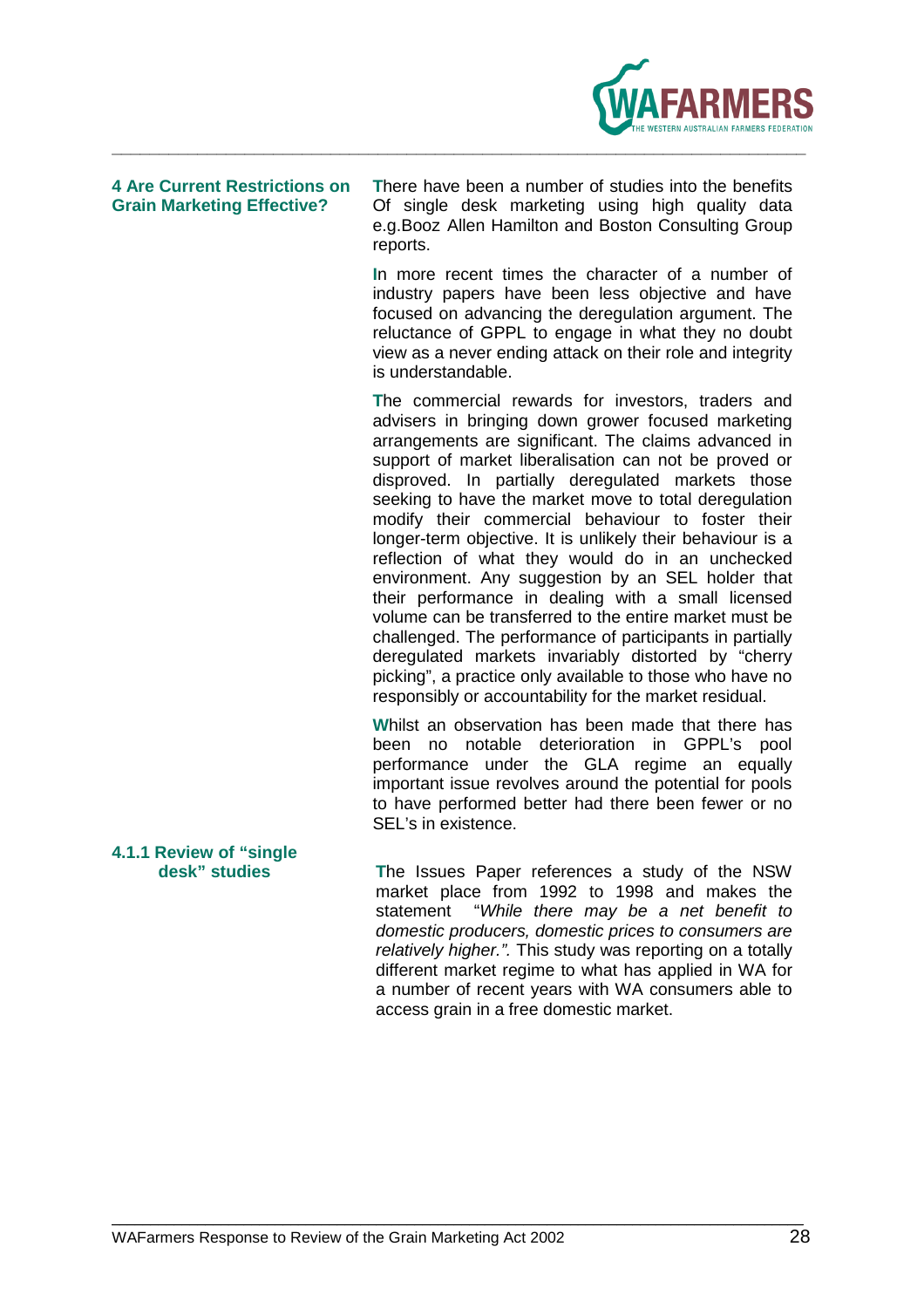

**4 Are Current Restrictions on T**here have been a number of studies into the benefits **Grain Marketing Effective?** Of single desk marketing using high quality data e.g.Booz Allen Hamilton and Boston Consulting Group reports.

> **I**n more recent times the character of a number of industry papers have been less objective and have focused on advancing the deregulation argument. The reluctance of GPPL to engage in what they no doubt view as a never ending attack on their role and integrity is understandable.

> **T**he commercial rewards for investors, traders and advisers in bringing down grower focused marketing arrangements are significant. The claims advanced in support of market liberalisation can not be proved or disproved. In partially deregulated markets those seeking to have the market move to total deregulation modify their commercial behaviour to foster their longer-term objective. It is unlikely their behaviour is a reflection of what they would do in an unchecked environment. Any suggestion by an SEL holder that their performance in dealing with a small licensed volume can be transferred to the entire market must be challenged. The performance of participants in partially deregulated markets invariably distorted by "cherry picking", a practice only available to those who have no responsibly or accountability for the market residual.

> **W**hilst an observation has been made that there has been no notable deterioration in GPPL's pool performance under the GLA regime an equally important issue revolves around the potential for pools to have performed better had there been fewer or no SEL's in existence.

**4.1.1 Review of "single** 

**desk" studies T**he Issues Paper references a study of the NSW market place from 1992 to 1998 and makes the statement "While there may be a net benefit to domestic producers, domestic prices to consumers are relatively higher.". This study was reporting on a totally different market regime to what has applied in WA for a number of recent years with WA consumers able to access grain in a free domestic market.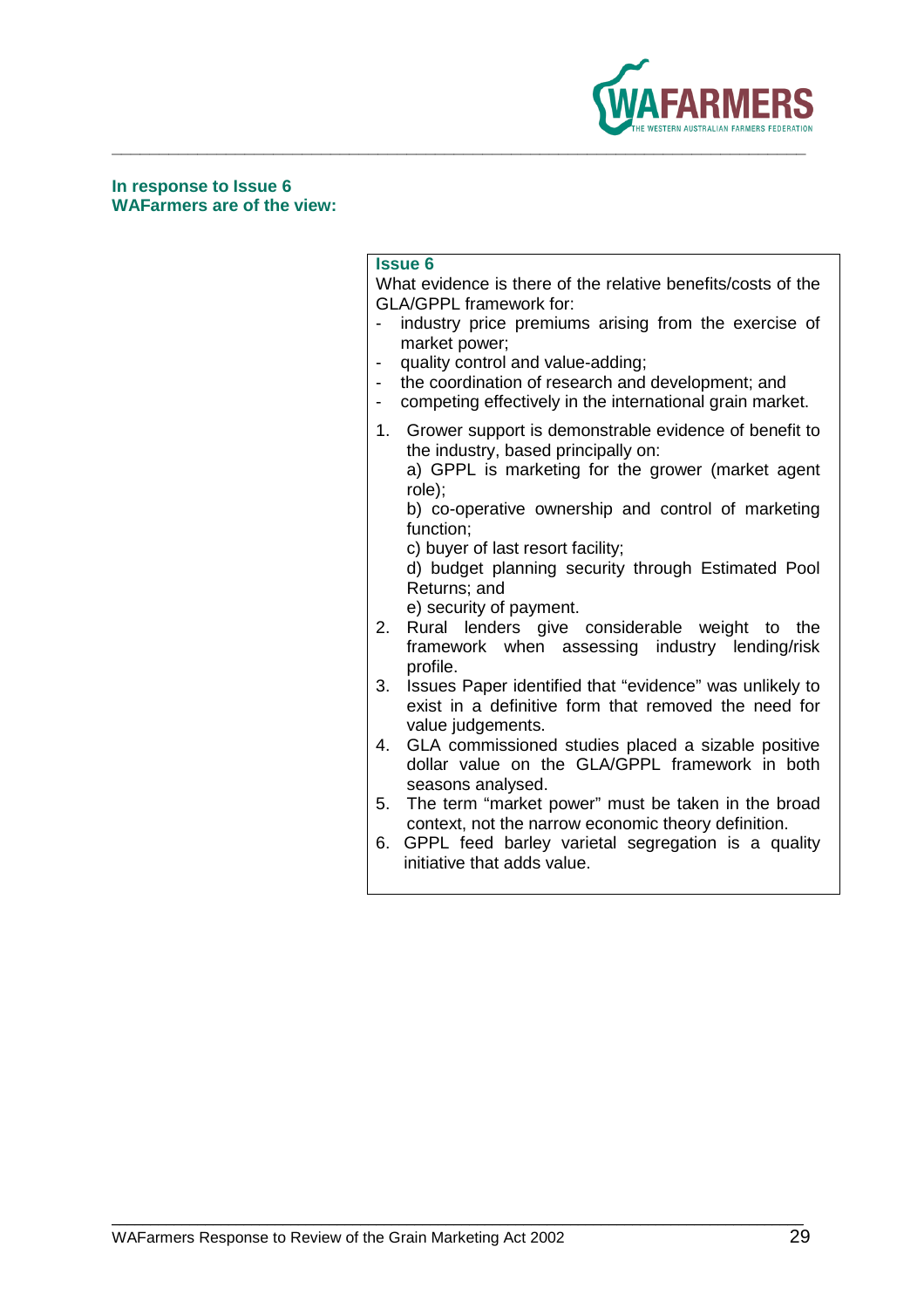

### **In response to Issue 6 WAFarmers are of the view:**

### **Issue 6**

What evidence is there of the relative benefits/costs of the GLA/GPPL framework for:

- industry price premiums arising from the exercise of market power;
- quality control and value-adding;
- the coordination of research and development; and
- competing effectively in the international grain market.
- 1. Grower support is demonstrable evidence of benefit to the industry, based principally on:

 a) GPPL is marketing for the grower (market agent role);

 b) co-operative ownership and control of marketing function;

c) buyer of last resort facility;

 d) budget planning security through Estimated Pool Returns; and

- e) security of payment.
- 2. Rural lenders give considerable weight to the framework when assessing industry lending/risk profile.
- 3. Issues Paper identified that "evidence" was unlikely to exist in a definitive form that removed the need for value judgements.
- 4. GLA commissioned studies placed a sizable positive dollar value on the GLA/GPPL framework in both seasons analysed.
- 5. The term "market power" must be taken in the broad context, not the narrow economic theory definition.
- 6. GPPL feed barley varietal segregation is a quality initiative that adds value.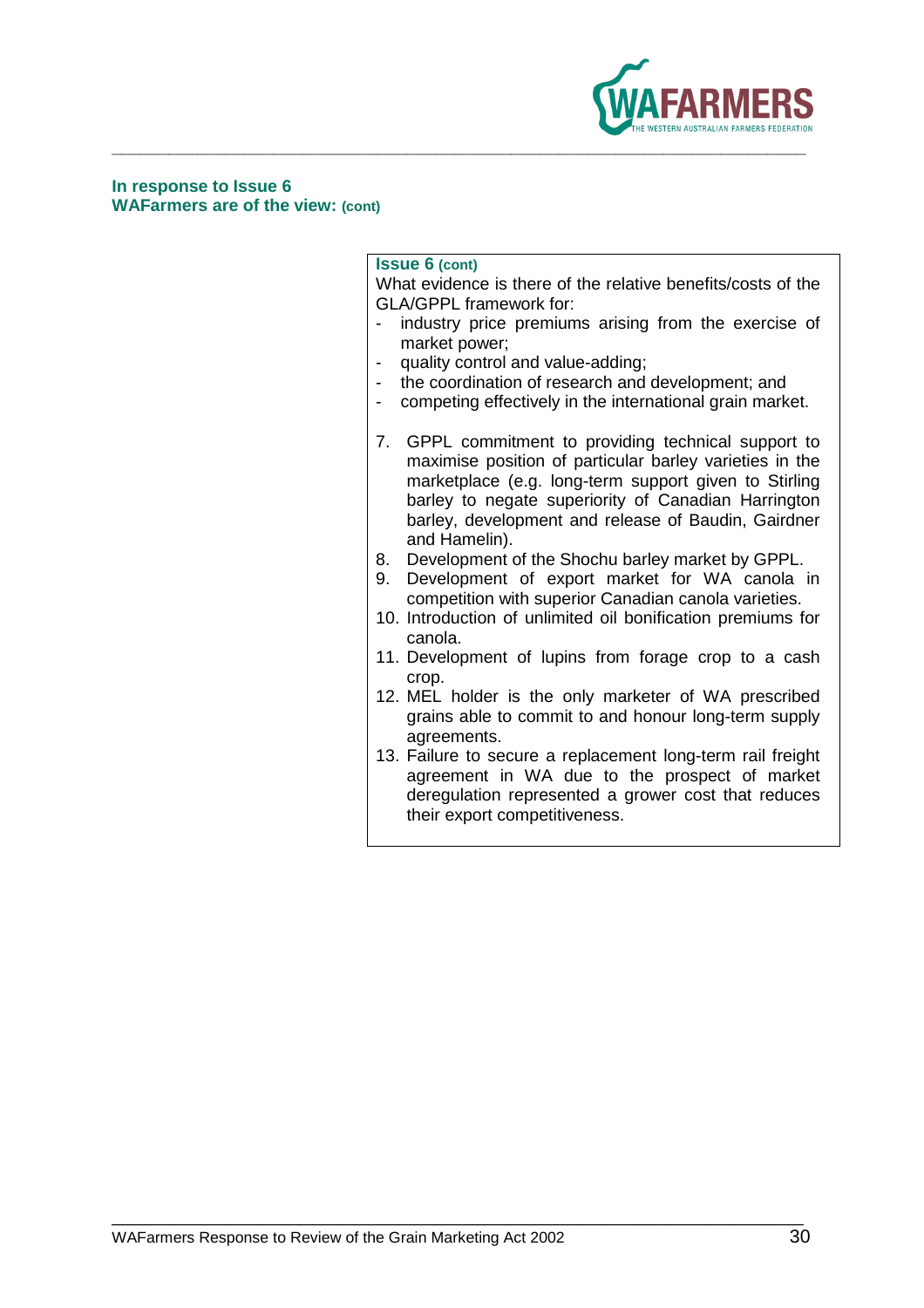

**In response to Issue 6 WAFarmers are of the view: (cont)**

### **Issue 6 (cont)**

What evidence is there of the relative benefits/costs of the GLA/GPPL framework for:

- industry price premiums arising from the exercise of market power;
- quality control and value-adding;
- the coordination of research and development; and
- competing effectively in the international grain market.
- 7. GPPL commitment to providing technical support to maximise position of particular barley varieties in the marketplace (e.g. long-term support given to Stirling barley to negate superiority of Canadian Harrington barley, development and release of Baudin, Gairdner and Hamelin).
- 8. Development of the Shochu barley market by GPPL.
- 9. Development of export market for WA canola in competition with superior Canadian canola varieties.
- 10. Introduction of unlimited oil bonification premiums for canola.
- 11. Development of lupins from forage crop to a cash crop.
- 12. MEL holder is the only marketer of WA prescribed grains able to commit to and honour long-term supply agreements.
- 13. Failure to secure a replacement long-term rail freight agreement in WA due to the prospect of market deregulation represented a grower cost that reduces their export competitiveness.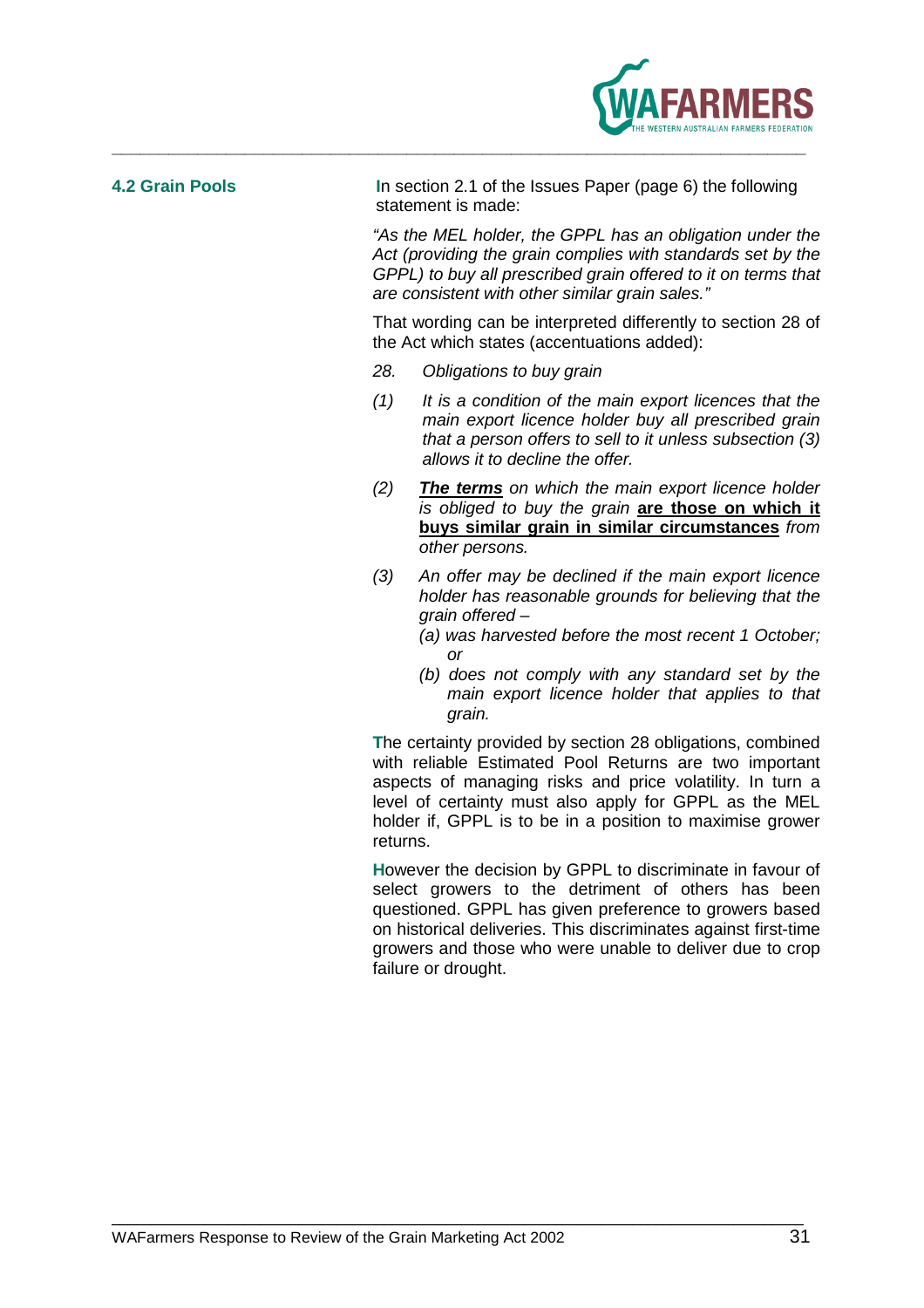

**4.2 Grain Pools I**n section 2.1 of the Issues Paper (page 6) the following statement is made:

> "As the MEL holder, the GPPL has an obligation under the Act (providing the grain complies with standards set by the GPPL) to buy all prescribed grain offered to it on terms that are consistent with other similar grain sales."

> That wording can be interpreted differently to section 28 of the Act which states (accentuations added):

- 28. Obligations to buy grain
- (1) It is a condition of the main export licences that the main export licence holder buy all prescribed grain that a person offers to sell to it unless subsection (3) allows it to decline the offer
- (2) **The terms** on which the main export licence holder is obliged to buy the grain **are those on which it buys similar grain in similar circumstances** from other persons.
- (3) An offer may be declined if the main export licence holder has reasonable grounds for believing that the grain offered –
	- (a) was harvested before the most recent 1 October; or
	- (b) does not comply with any standard set by the main export licence holder that applies to that grain.

**T**he certainty provided by section 28 obligations, combined with reliable Estimated Pool Returns are two important aspects of managing risks and price volatility. In turn a level of certainty must also apply for GPPL as the MEL holder if, GPPL is to be in a position to maximise grower returns.

**H**owever the decision by GPPL to discriminate in favour of select growers to the detriment of others has been questioned. GPPL has given preference to growers based on historical deliveries. This discriminates against first-time growers and those who were unable to deliver due to crop failure or drought.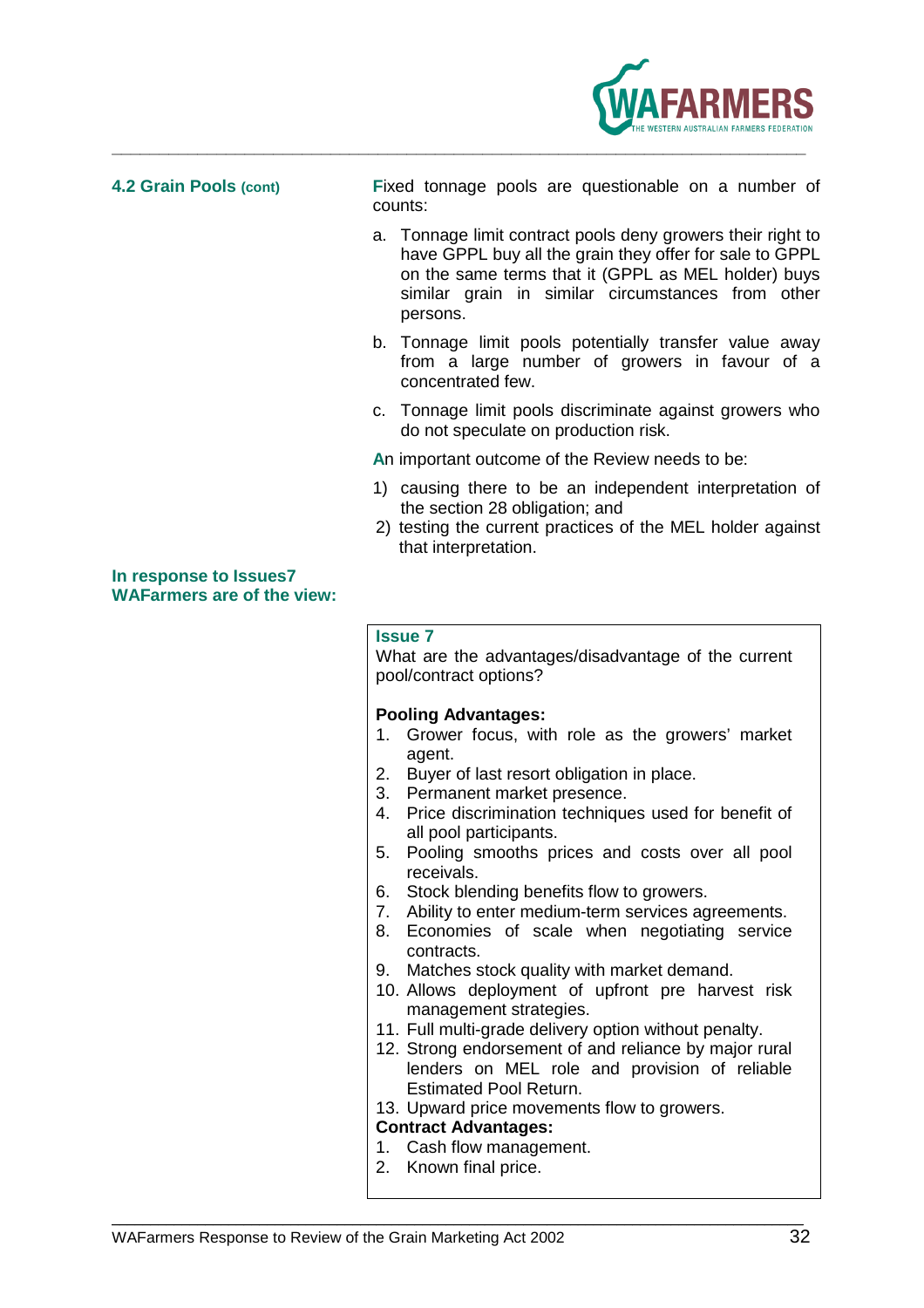

**4.2 Grain Pools (cont) F**ixed tonnage pools are questionable on a number of counts:

- a. Tonnage limit contract pools deny growers their right to have GPPL buy all the grain they offer for sale to GPPL on the same terms that it (GPPL as MEL holder) buys similar grain in similar circumstances from other persons.
- b. Tonnage limit pools potentially transfer value away from a large number of growers in favour of a concentrated few.
- c. Tonnage limit pools discriminate against growers who do not speculate on production risk.
- **A**n important outcome of the Review needs to be:
- 1) causing there to be an independent interpretation of the section 28 obligation; and
- 2) testing the current practices of the MEL holder against that interpretation.

**In response to Issues7 WAFarmers are of the view:**

### **Issue 7**

What are the advantages/disadvantage of the current pool/contract options?

### **Pooling Advantages:**

- 1. Grower focus, with role as the growers' market agent.
- 2. Buyer of last resort obligation in place.
- 3. Permanent market presence.
- 4. Price discrimination techniques used for benefit of all pool participants.
- 5. Pooling smooths prices and costs over all pool receivals.
- 6. Stock blending benefits flow to growers.
- 7. Ability to enter medium-term services agreements.
- 8. Economies of scale when negotiating service contracts.
- 9. Matches stock quality with market demand.
- 10. Allows deployment of upfront pre harvest risk management strategies.
- 11. Full multi-grade delivery option without penalty.
- 12. Strong endorsement of and reliance by major rural lenders on MEL role and provision of reliable Estimated Pool Return.

13. Upward price movements flow to growers.

### **Contract Advantages:**

- 1. Cash flow management.
- 2. Known final price.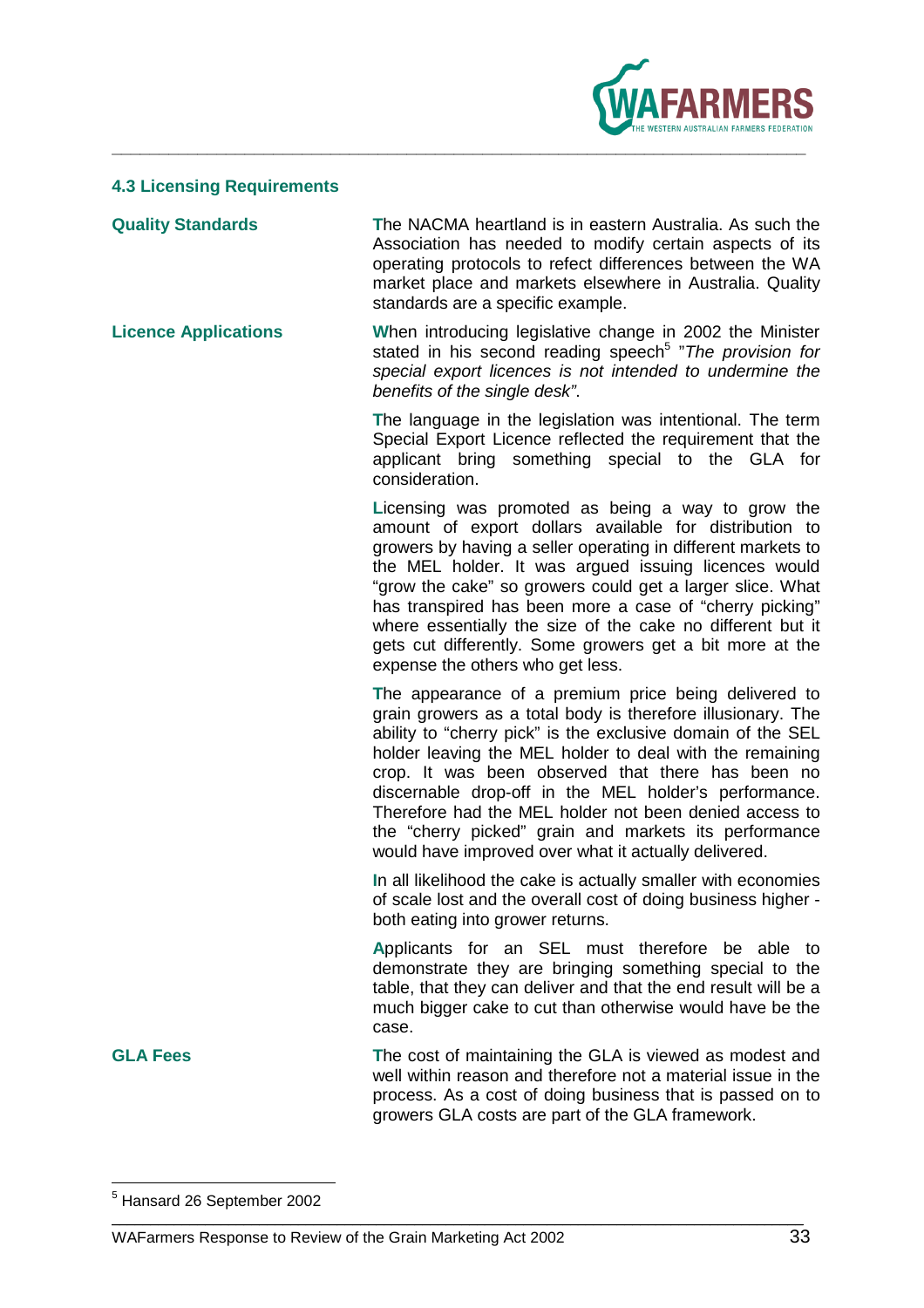

### **4.3 Licensing Requirements**

**Quality Standards T**he NACMA heartland is in eastern Australia. As such the Association has needed to modify certain aspects of its operating protocols to refect differences between the WA market place and markets elsewhere in Australia. Quality standards are a specific example.

**Licence Applications W**hen introducing legislative change in 2002 the Minister stated in his second reading speech<sup>5</sup> "The provision for special export licences is not intended to undermine the benefits of the single desk".

> **T**he language in the legislation was intentional. The term Special Export Licence reflected the requirement that the applicant bring something special to the GLA for consideration.

> **L**icensing was promoted as being a way to grow the amount of export dollars available for distribution to growers by having a seller operating in different markets to the MEL holder. It was argued issuing licences would "grow the cake" so growers could get a larger slice. What has transpired has been more a case of "cherry picking" where essentially the size of the cake no different but it gets cut differently. Some growers get a bit more at the expense the others who get less.

> **T**he appearance of a premium price being delivered to grain growers as a total body is therefore illusionary. The ability to "cherry pick" is the exclusive domain of the SEL holder leaving the MEL holder to deal with the remaining crop. It was been observed that there has been no discernable drop-off in the MEL holder's performance. Therefore had the MEL holder not been denied access to the "cherry picked" grain and markets its performance would have improved over what it actually delivered.

> **I**n all likelihood the cake is actually smaller with economies of scale lost and the overall cost of doing business higher both eating into grower returns.

> **A**pplicants for an SEL must therefore be able to demonstrate they are bringing something special to the table, that they can deliver and that the end result will be a much bigger cake to cut than otherwise would have be the case.

**GLA Fees T**he cost of maintaining the GLA is viewed as modest and well within reason and therefore not a material issue in the process. As a cost of doing business that is passed on to growers GLA costs are part of the GLA framework.

<sup>&</sup>lt;u>s</u><br><sup>5</sup> Hansard 26 September 2002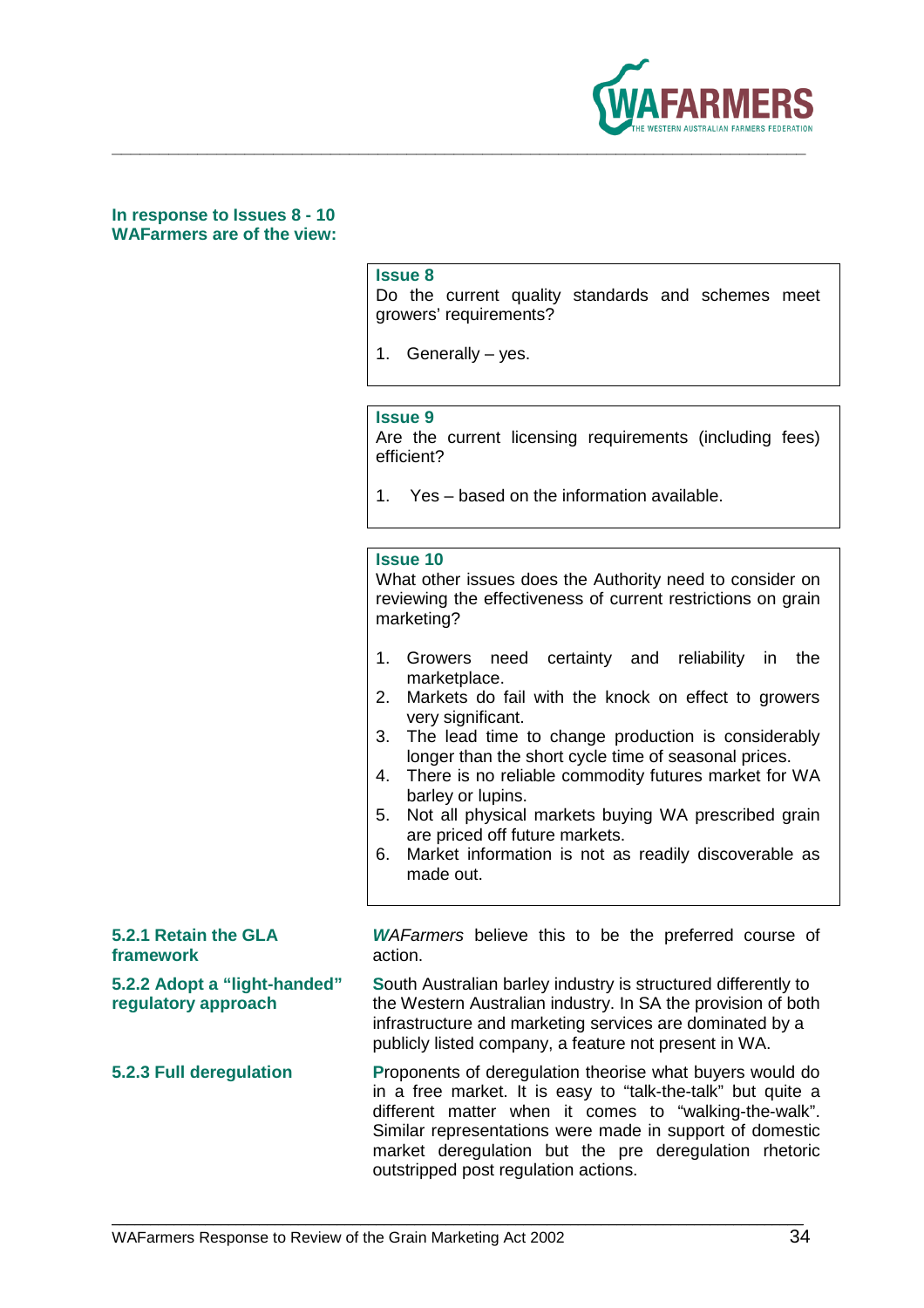

**In response to Issues 8 - 10 WAFarmers are of the view:** 

### **Issue 8**

Do the current quality standards and schemes meet growers' requirements?

1. Generally – yes.

**\_\_\_\_\_\_\_\_\_\_\_\_\_\_\_\_\_\_\_\_\_\_\_\_\_\_\_\_\_\_\_\_\_\_\_\_\_\_\_\_\_\_\_\_\_\_\_\_\_\_\_\_\_\_\_\_\_\_\_\_\_\_\_\_\_\_\_\_\_\_\_\_\_** 

### **Issue 9**

Are the current licensing requirements (including fees) efficient?

1. Yes – based on the information available.

### **Issue 10**

What other issues does the Authority need to consider on reviewing the effectiveness of current restrictions on grain marketing?

- 1. Growers need certainty and reliability in the marketplace.
- 2. Markets do fail with the knock on effect to growers very significant.
- 3. The lead time to change production is considerably longer than the short cycle time of seasonal prices.
- 4. There is no reliable commodity futures market for WA barley or lupins.
- 5. Not all physical markets buying WA prescribed grain are priced off future markets.
- 6. Market information is not as readily discoverable as made out.

| <i>WAFarmers</i> believe this to be the preferred course of |  |  |  |  |
|-------------------------------------------------------------|--|--|--|--|
| action.                                                     |  |  |  |  |
|                                                             |  |  |  |  |

**5.2.2 Adopt a "light-handed" S**outh Australian barley industry is structured differently to **regulatory approach** the Western Australian industry. In SA the provision of both infrastructure and marketing services are dominated by a publicly listed company, a feature not present in WA.

**5.2.3 Full deregulation P**roponents of deregulation theorise what buyers would do in a free market. It is easy to "talk-the-talk" but quite a different matter when it comes to "walking-the-walk". Similar representations were made in support of domestic market deregulation but the pre deregulation rhetoric outstripped post regulation actions.

\_\_\_\_\_\_\_\_\_\_\_\_\_\_\_\_\_\_\_\_\_\_\_\_\_\_\_\_\_\_\_\_\_\_\_\_\_\_\_\_\_\_\_\_\_\_\_\_\_\_\_\_\_\_\_\_\_\_\_\_\_\_\_\_\_\_\_\_\_\_\_\_\_\_\_\_\_\_\_\_\_\_\_\_\_\_\_\_\_

**5.2.1 Retain the GLA** 

framework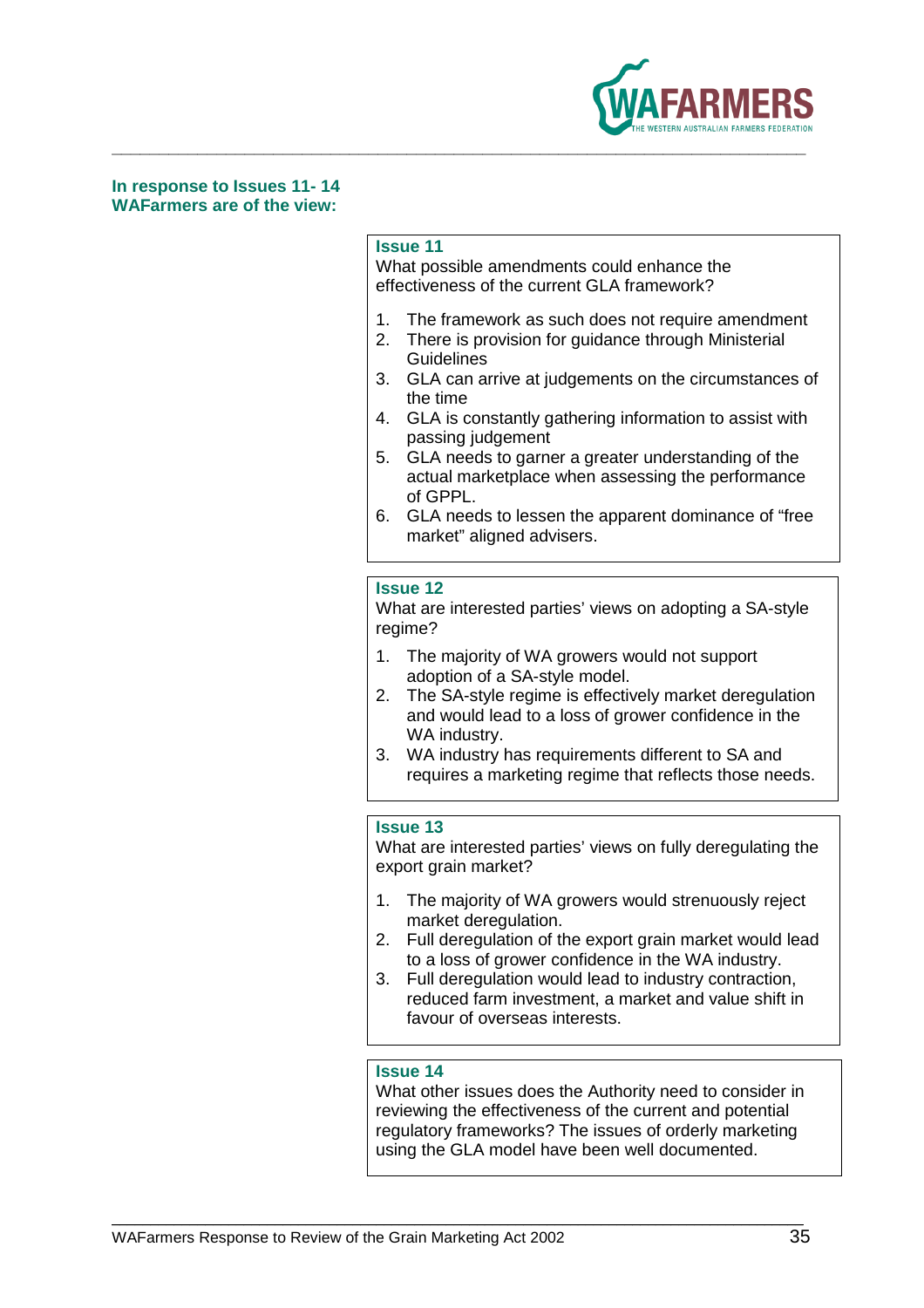

**In response to Issues 11- 14 WAFarmers are of the view:** 

### **Issue 11**

What possible amendments could enhance the effectiveness of the current GLA framework?

- 1. The framework as such does not require amendment
- 2. There is provision for guidance through Ministerial **Guidelines**
- 3. GLA can arrive at judgements on the circumstances of the time
- 4. GLA is constantly gathering information to assist with passing judgement
- 5. GLA needs to garner a greater understanding of the actual marketplace when assessing the performance of GPPL.
- 6. GLA needs to lessen the apparent dominance of "free market" aligned advisers.

### **Issue 12**

What are interested parties' views on adopting a SA-style regime?

- 1. The majority of WA growers would not support adoption of a SA-style model.
- 2. The SA-style regime is effectively market deregulation and would lead to a loss of grower confidence in the WA industry.
- 3. WA industry has requirements different to SA and requires a marketing regime that reflects those needs.

### **Issue 13**

What are interested parties' views on fully deregulating the export grain market?

- 1. The majority of WA growers would strenuously reject market deregulation.
- 2. Full deregulation of the export grain market would lead to a loss of grower confidence in the WA industry.
- 3. Full deregulation would lead to industry contraction, reduced farm investment, a market and value shift in favour of overseas interests.

### **Issue 14**

\_\_\_\_\_\_\_\_\_\_\_\_\_\_\_\_\_\_\_\_\_\_\_\_\_\_\_\_\_\_\_\_\_\_\_\_\_\_\_\_\_\_\_\_\_\_\_\_\_\_\_\_\_\_\_\_\_\_\_\_\_\_\_\_\_\_\_\_\_\_\_\_\_\_\_\_\_\_\_\_\_\_\_\_\_\_\_\_\_

What other issues does the Authority need to consider in reviewing the effectiveness of the current and potential regulatory frameworks? The issues of orderly marketing using the GLA model have been well documented.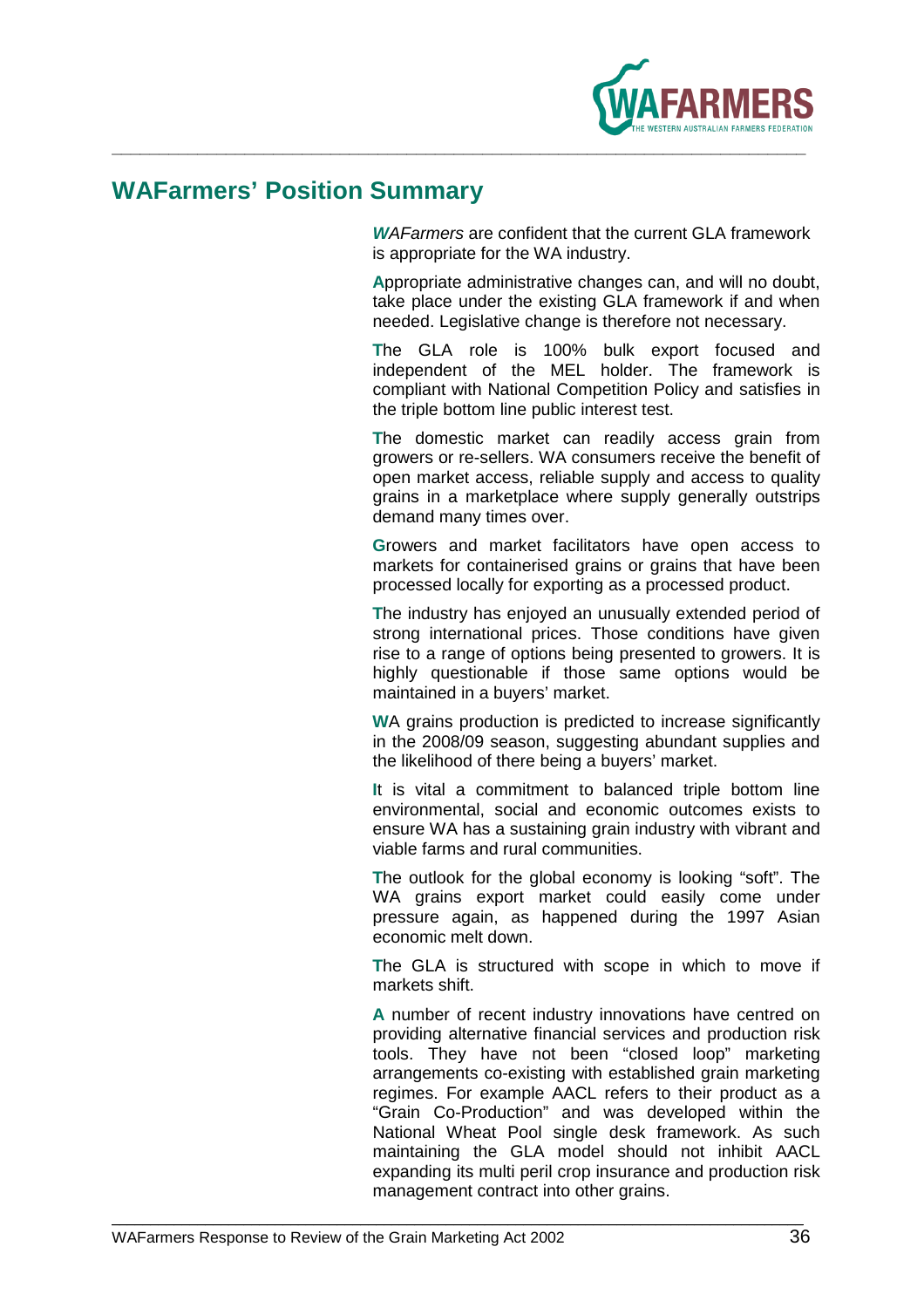

## **WAFarmers' Position Summary**

**W**AFarmers are confident that the current GLA framework is appropriate for the WA industry.

**A**ppropriate administrative changes can, and will no doubt, take place under the existing GLA framework if and when needed. Legislative change is therefore not necessary.

**T**he GLA role is 100% bulk export focused and independent of the MEL holder. The framework is compliant with National Competition Policy and satisfies in the triple bottom line public interest test.

**T**he domestic market can readily access grain from growers or re-sellers. WA consumers receive the benefit of open market access, reliable supply and access to quality grains in a marketplace where supply generally outstrips demand many times over.

**G**rowers and market facilitators have open access to markets for containerised grains or grains that have been processed locally for exporting as a processed product.

**T**he industry has enjoyed an unusually extended period of strong international prices. Those conditions have given rise to a range of options being presented to growers. It is highly questionable if those same options would be maintained in a buyers' market.

**W**A grains production is predicted to increase significantly in the 2008/09 season, suggesting abundant supplies and the likelihood of there being a buyers' market.

**I**t is vital a commitment to balanced triple bottom line environmental, social and economic outcomes exists to ensure WA has a sustaining grain industry with vibrant and viable farms and rural communities.

**T**he outlook for the global economy is looking "soft". The WA grains export market could easily come under pressure again, as happened during the 1997 Asian economic melt down.

**T**he GLA is structured with scope in which to move if markets shift.

**A** number of recent industry innovations have centred on providing alternative financial services and production risk tools. They have not been "closed loop" marketing arrangements co-existing with established grain marketing regimes. For example AACL refers to their product as a "Grain Co-Production" and was developed within the National Wheat Pool single desk framework. As such maintaining the GLA model should not inhibit AACL expanding its multi peril crop insurance and production risk management contract into other grains.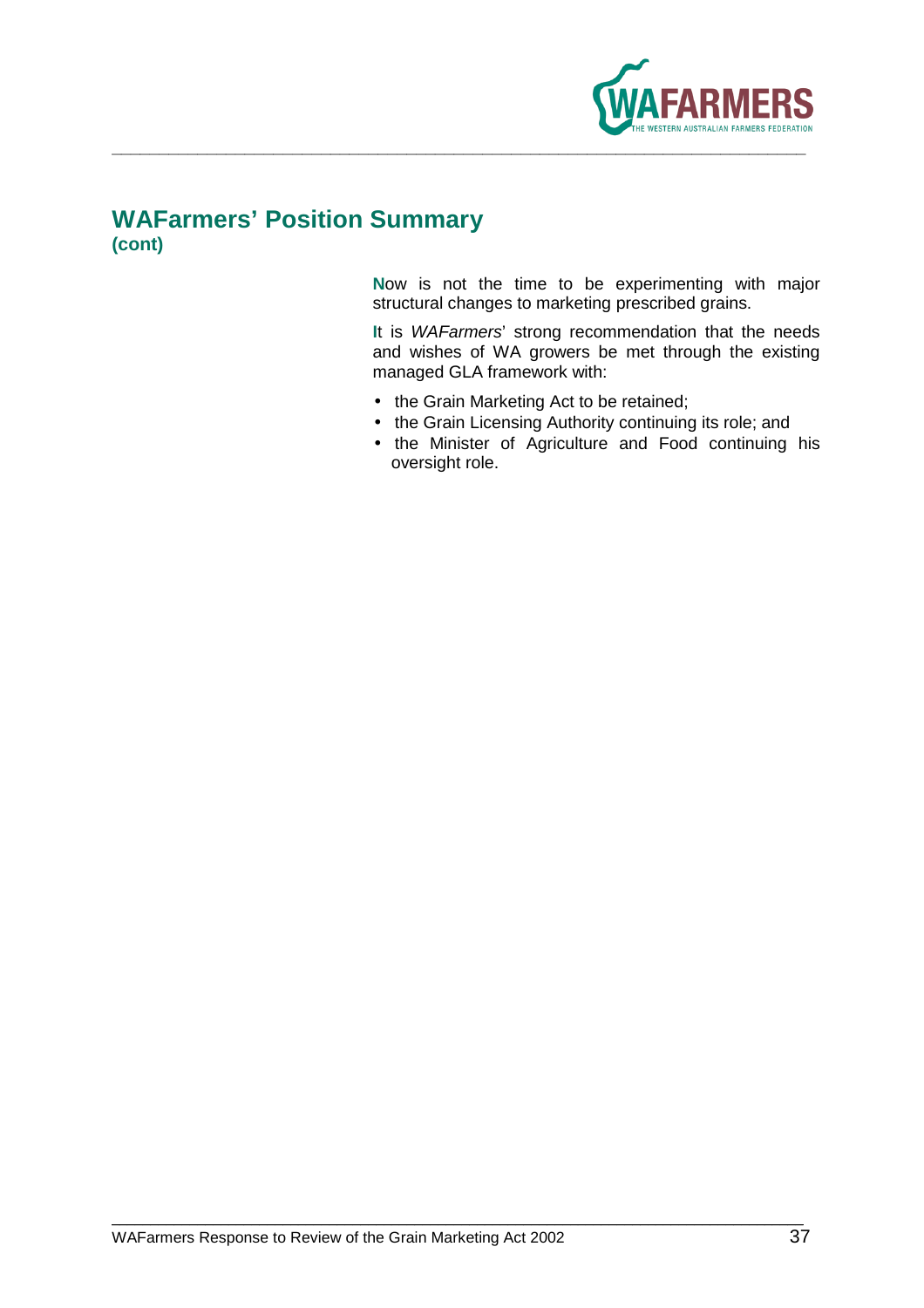

## **WAFarmers' Position Summary (cont)**

**N**ow is not the time to be experimenting with major structural changes to marketing prescribed grains.

**I**t is WAFarmers' strong recommendation that the needs and wishes of WA growers be met through the existing managed GLA framework with:

- the Grain Marketing Act to be retained;
- the Grain Licensing Authority continuing its role; and
- the Minister of Agriculture and Food continuing his oversight role.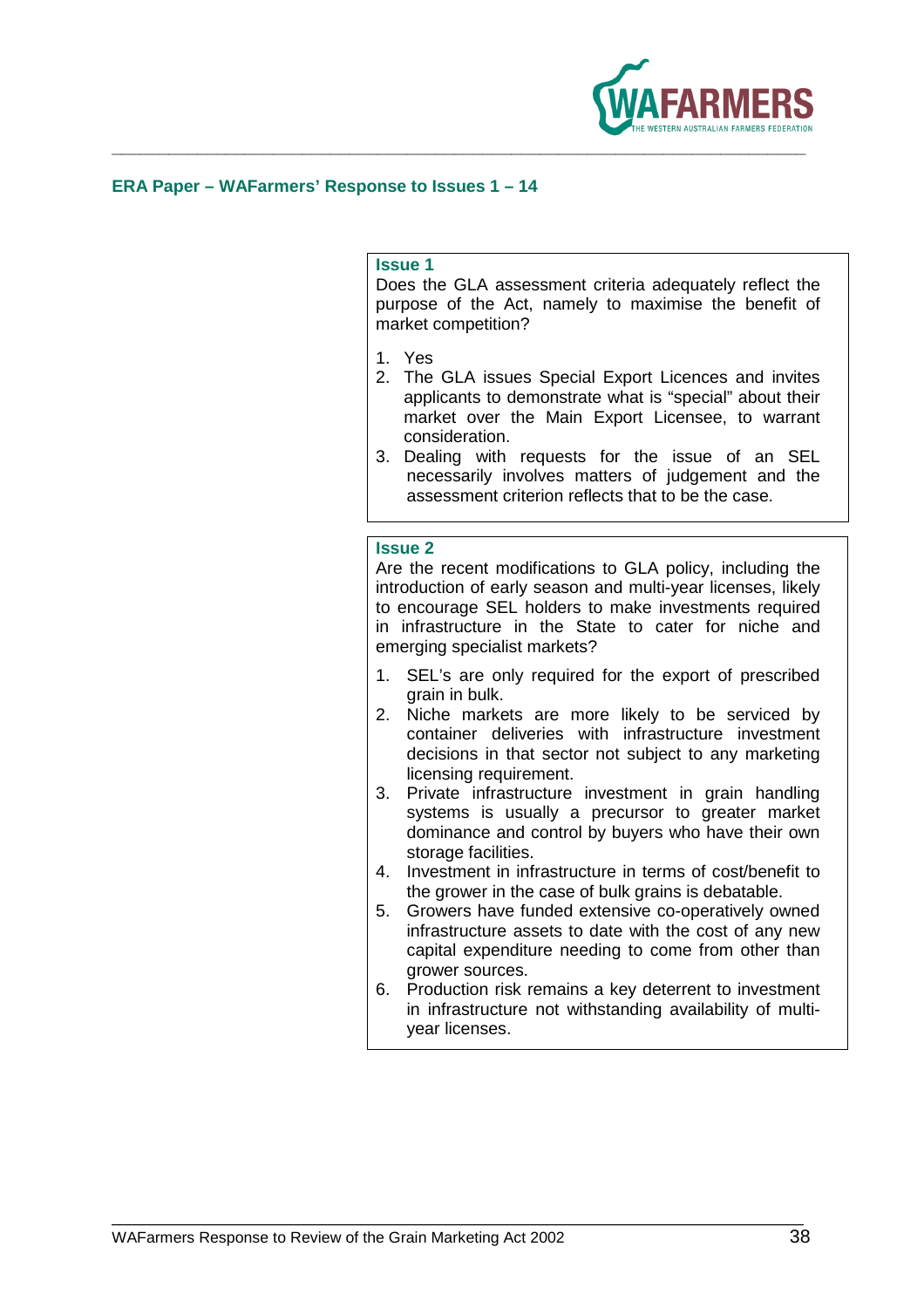

### **ERA Paper – WAFarmers' Response to Issues 1 – 14**

### **Issue 1**

Does the GLA assessment criteria adequately reflect the purpose of the Act, namely to maximise the benefit of market competition?

- 1. Yes
- 2. The GLA issues Special Export Licences and invites applicants to demonstrate what is "special" about their market over the Main Export Licensee, to warrant consideration.
- 3. Dealing with requests for the issue of an SEL necessarily involves matters of judgement and the assessment criterion reflects that to be the case.

### **Issue 2**

Are the recent modifications to GLA policy, including the introduction of early season and multi-year licenses, likely to encourage SEL holders to make investments required in infrastructure in the State to cater for niche and emerging specialist markets?

- 1. SEL's are only required for the export of prescribed grain in bulk.
- 2. Niche markets are more likely to be serviced by container deliveries with infrastructure investment decisions in that sector not subject to any marketing licensing requirement.
- 3. Private infrastructure investment in grain handling systems is usually a precursor to greater market dominance and control by buyers who have their own storage facilities.
- 4. Investment in infrastructure in terms of cost/benefit to the grower in the case of bulk grains is debatable.
- 5. Growers have funded extensive co-operatively owned infrastructure assets to date with the cost of any new capital expenditure needing to come from other than grower sources.
- 6. Production risk remains a key deterrent to investment in infrastructure not withstanding availability of multiyear licenses.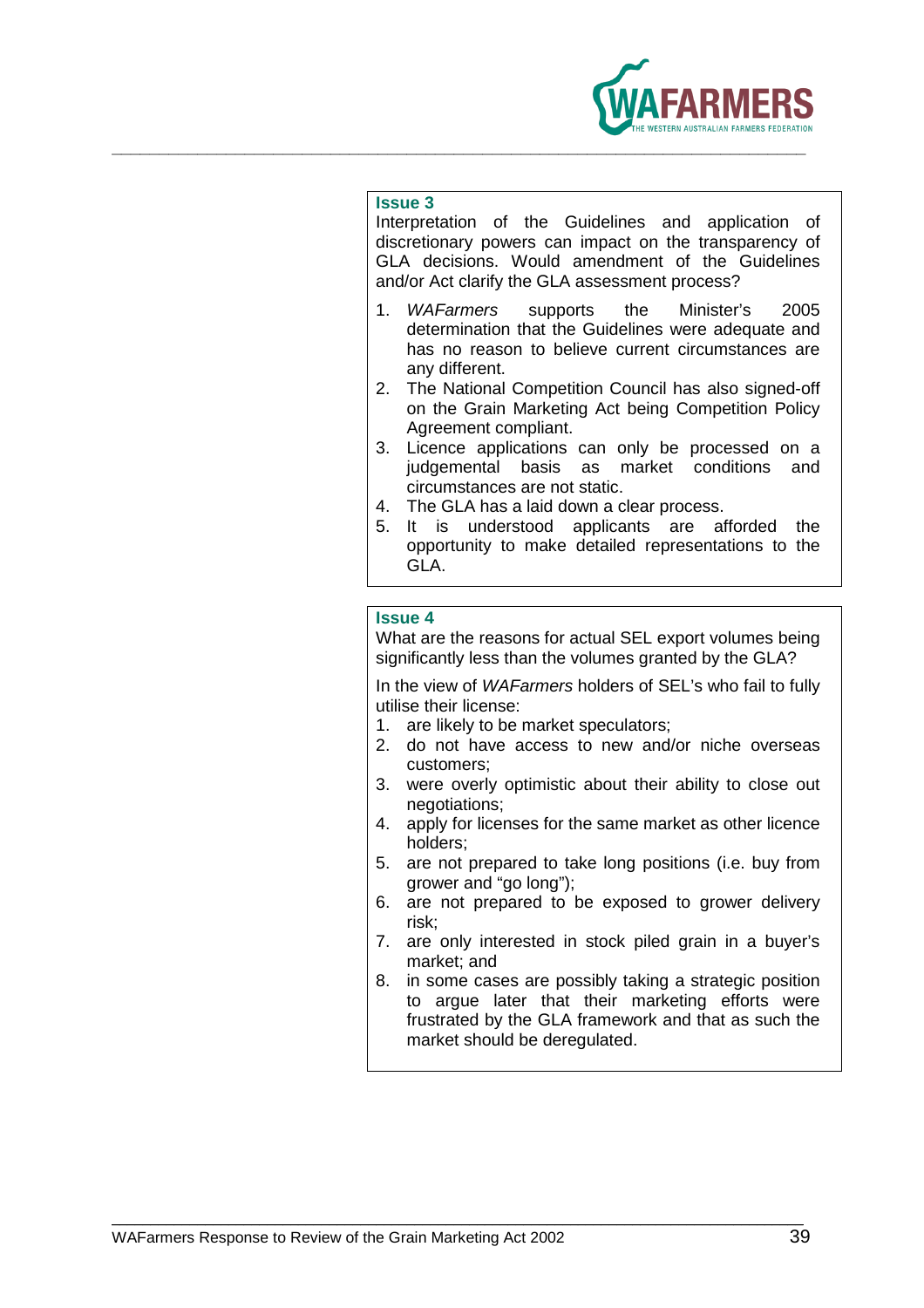

Interpretation of the Guidelines and application of discretionary powers can impact on the transparency of GLA decisions. Would amendment of the Guidelines and/or Act clarify the GLA assessment process?

- 1. WAFarmers supports the Minister's 2005 determination that the Guidelines were adequate and has no reason to believe current circumstances are any different.
- 2. The National Competition Council has also signed-off on the Grain Marketing Act being Competition Policy Agreement compliant.
- 3. Licence applications can only be processed on a judgemental basis as market conditions and circumstances are not static.
- 4. The GLA has a laid down a clear process.
- 5. It is understood applicants are afforded the opportunity to make detailed representations to the GLA.

### **Issue 4**

What are the reasons for actual SEL export volumes being significantly less than the volumes granted by the GLA?

In the view of WAFarmers holders of SEL's who fail to fully utilise their license:

- 1. are likely to be market speculators;
- 2. do not have access to new and/or niche overseas customers;
- 3. were overly optimistic about their ability to close out negotiations;
- 4. apply for licenses for the same market as other licence holders;
- 5. are not prepared to take long positions (i.e. buy from grower and "go long");
- 6. are not prepared to be exposed to grower delivery risk;
- 7. are only interested in stock piled grain in a buyer's market; and
- 8. in some cases are possibly taking a strategic position to argue later that their marketing efforts were frustrated by the GLA framework and that as such the market should be deregulated.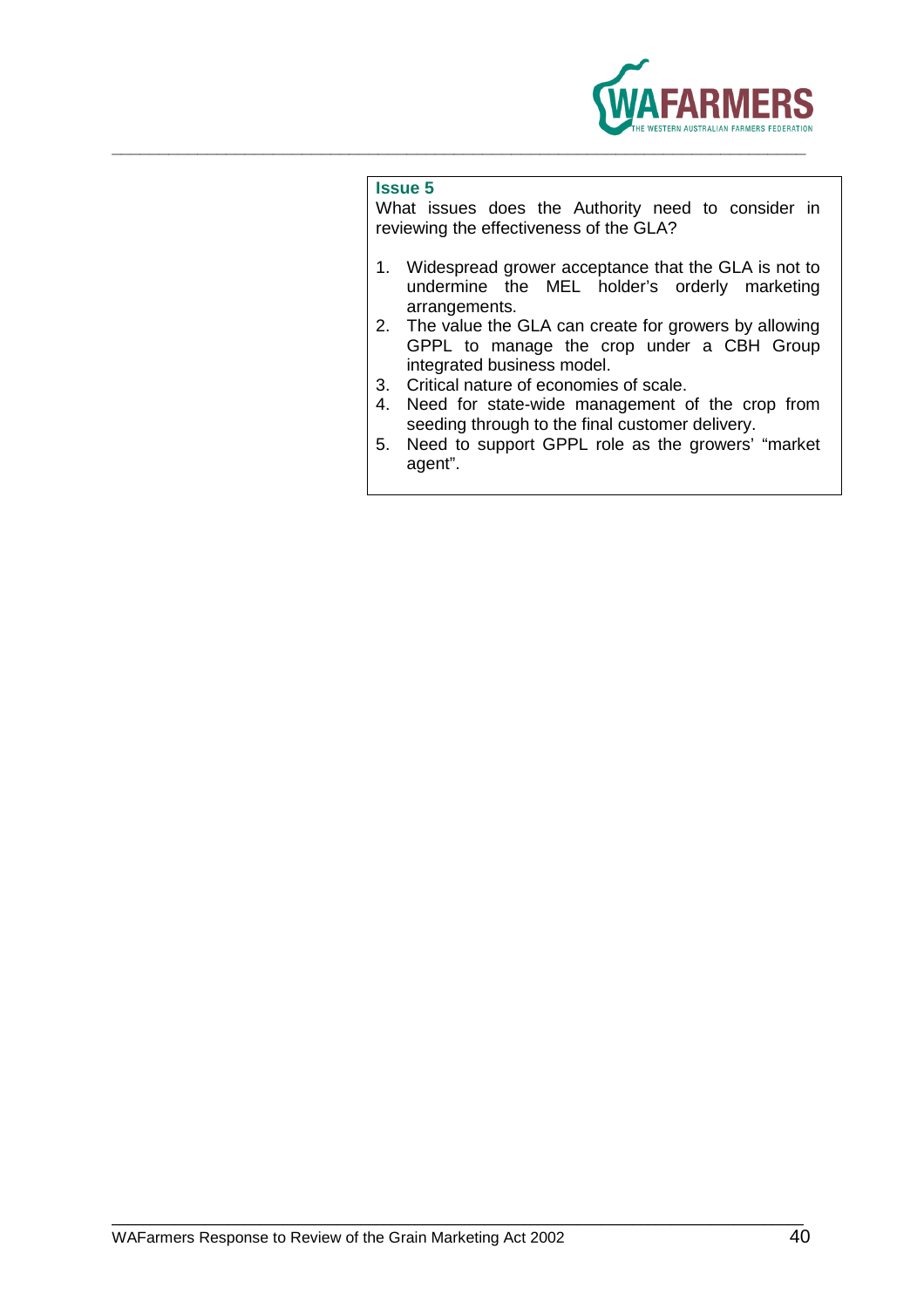

What issues does the Authority need to consider in reviewing the effectiveness of the GLA?

- 1. Widespread grower acceptance that the GLA is not to undermine the MEL holder's orderly marketing arrangements.
- 2. The value the GLA can create for growers by allowing GPPL to manage the crop under a CBH Group integrated business model.
- 3. Critical nature of economies of scale.
- 4. Need for state-wide management of the crop from seeding through to the final customer delivery.
- 5. Need to support GPPL role as the growers' "market agent".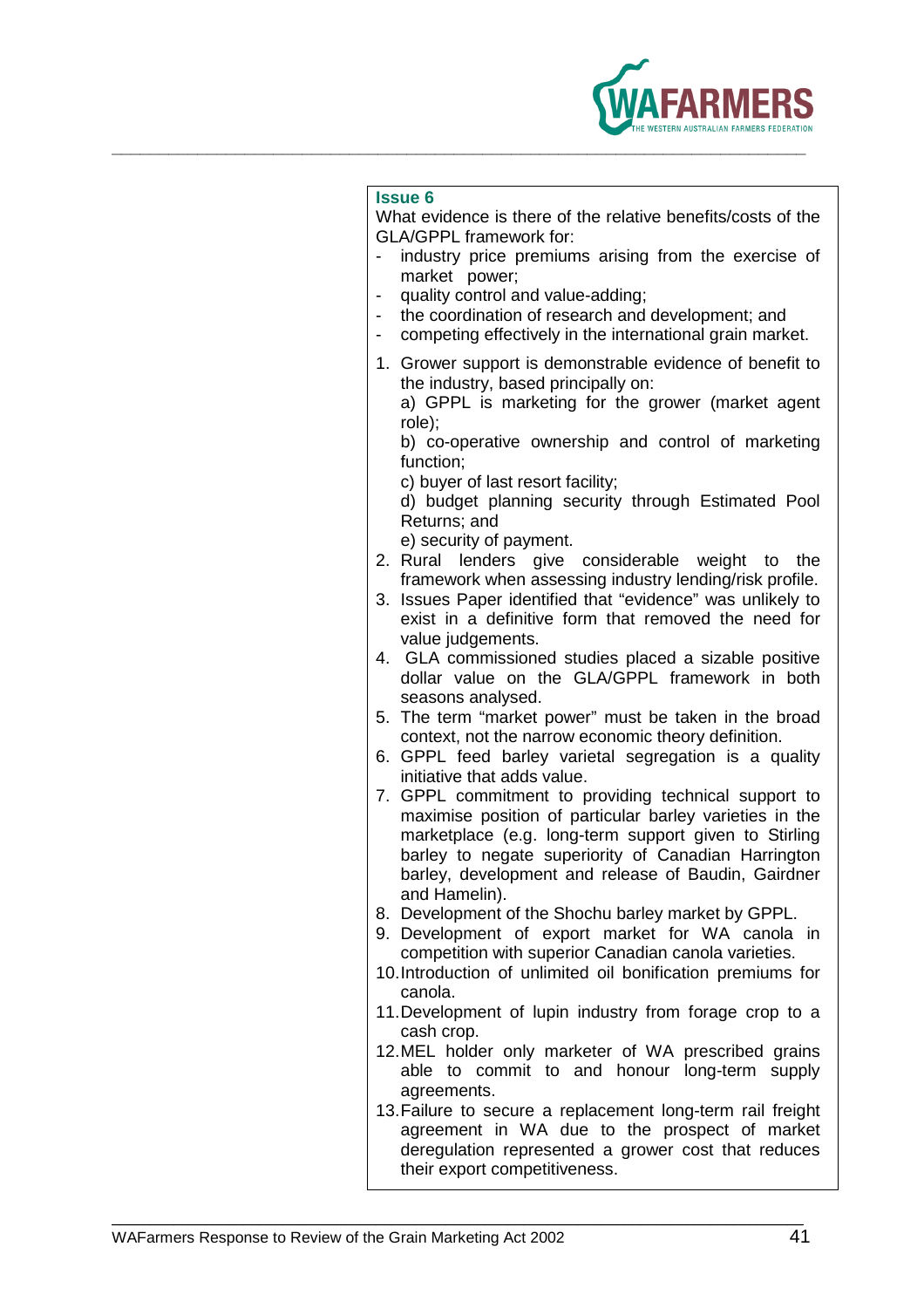

**\_\_\_\_\_\_\_\_\_\_\_\_\_\_\_\_\_\_\_\_\_\_\_\_\_\_\_\_\_\_\_\_\_\_\_\_\_\_\_\_\_\_\_\_\_\_\_\_\_\_\_\_\_\_\_\_\_\_\_\_\_\_\_\_\_\_\_\_\_\_\_\_\_** 

What evidence is there of the relative benefits/costs of the GLA/GPPL framework for:

- industry price premiums arising from the exercise of market power;
- quality control and value-adding;
- the coordination of research and development; and
- competing effectively in the international grain market.
- 1. Grower support is demonstrable evidence of benefit to the industry, based principally on:

 a) GPPL is marketing for the grower (market agent role);

 b) co-operative ownership and control of marketing function;

c) buyer of last resort facility;

 d) budget planning security through Estimated Pool Returns; and

- e) security of payment.
- 2. Rural lenders give considerable weight to the framework when assessing industry lending/risk profile.
- 3. Issues Paper identified that "evidence" was unlikely to exist in a definitive form that removed the need for value judgements.
- 4. GLA commissioned studies placed a sizable positive dollar value on the GLA/GPPL framework in both seasons analysed.
- 5. The term "market power" must be taken in the broad context, not the narrow economic theory definition.
- 6. GPPL feed barley varietal segregation is a quality initiative that adds value.
- 7. GPPL commitment to providing technical support to maximise position of particular barley varieties in the marketplace (e.g. long-term support given to Stirling barley to negate superiority of Canadian Harrington barley, development and release of Baudin, Gairdner and Hamelin).
- 8. Development of the Shochu barley market by GPPL.
- 9. Development of export market for WA canola in competition with superior Canadian canola varieties.
- 10. Introduction of unlimited oil bonification premiums for canola.
- 11. Development of lupin industry from forage crop to a cash crop.
- 12. MEL holder only marketer of WA prescribed grains able to commit to and honour long-term supply agreements.
- 13. Failure to secure a replacement long-term rail freight agreement in WA due to the prospect of market deregulation represented a grower cost that reduces their export competitiveness.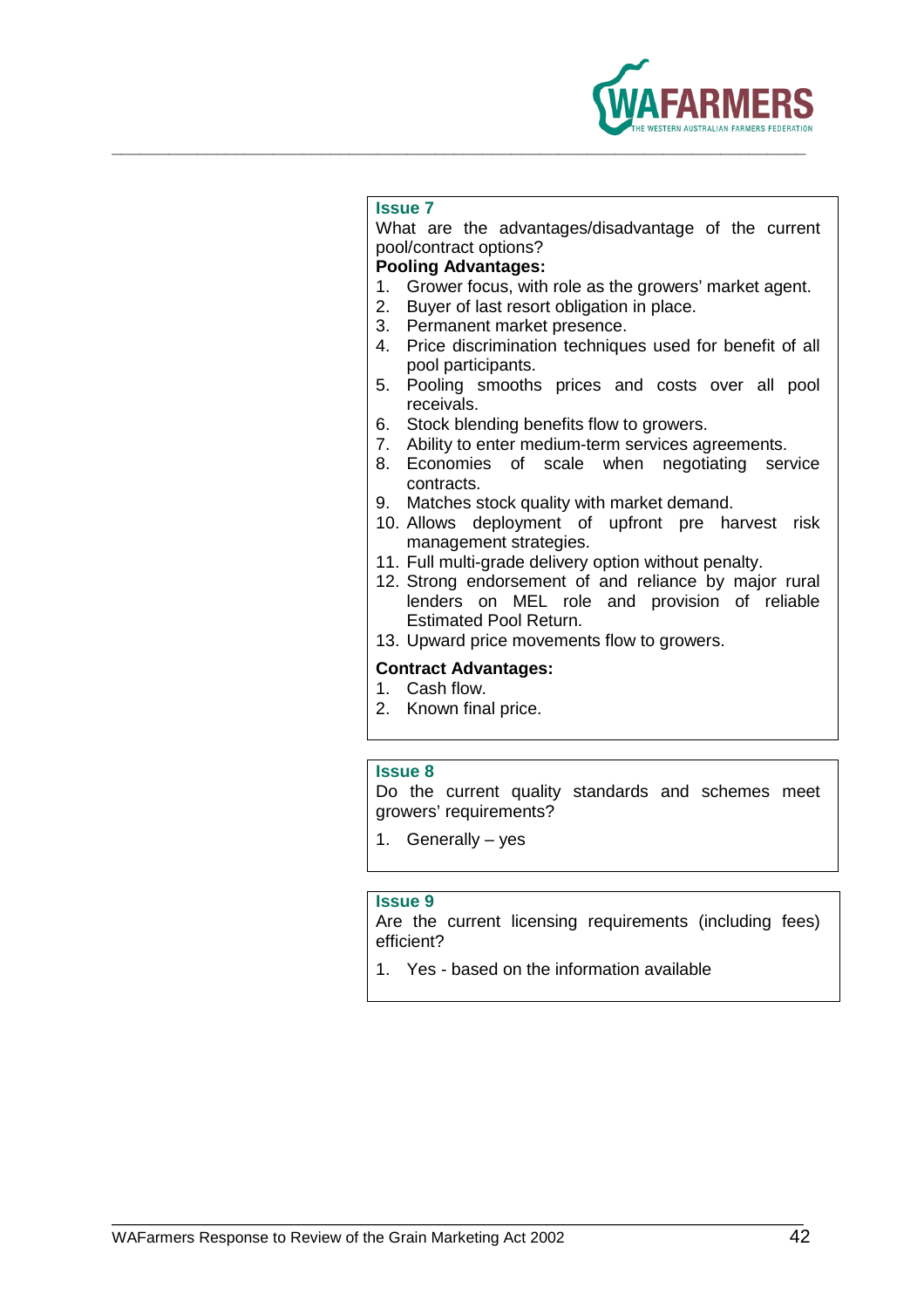

What are the advantages/disadvantage of the current pool/contract options?

### **Pooling Advantages:**

- 1. Grower focus, with role as the growers' market agent.
- 2. Buyer of last resort obligation in place.
- 3. Permanent market presence.
- 4. Price discrimination techniques used for benefit of all pool participants.
- 5. Pooling smooths prices and costs over all pool receivals.
- 6. Stock blending benefits flow to growers.
- 7. Ability to enter medium-term services agreements.
- 8. Economies of scale when negotiating service contracts.
- 9. Matches stock quality with market demand.
- 10. Allows deployment of upfront pre harvest risk management strategies.
- 11. Full multi-grade delivery option without penalty.
- 12. Strong endorsement of and reliance by major rural lenders on MEL role and provision of reliable Estimated Pool Return.
- 13. Upward price movements flow to growers.

### **Contract Advantages:**

- 1. Cash flow.
- 2. Known final price.

### **Issue 8**

Do the current quality standards and schemes meet growers' requirements?

1. Generally – yes

\_\_\_\_\_\_\_\_\_\_\_\_\_\_\_\_\_\_\_\_\_\_\_\_\_\_\_\_\_\_\_\_\_\_\_\_\_\_\_\_\_\_\_\_\_\_\_\_\_\_\_\_\_\_\_\_\_\_\_\_\_\_\_\_\_\_\_\_\_\_\_\_\_\_\_\_\_\_\_\_\_\_\_\_\_\_\_\_\_

### **Issue 9**

Are the current licensing requirements (including fees) efficient?

1. Yes - based on the information available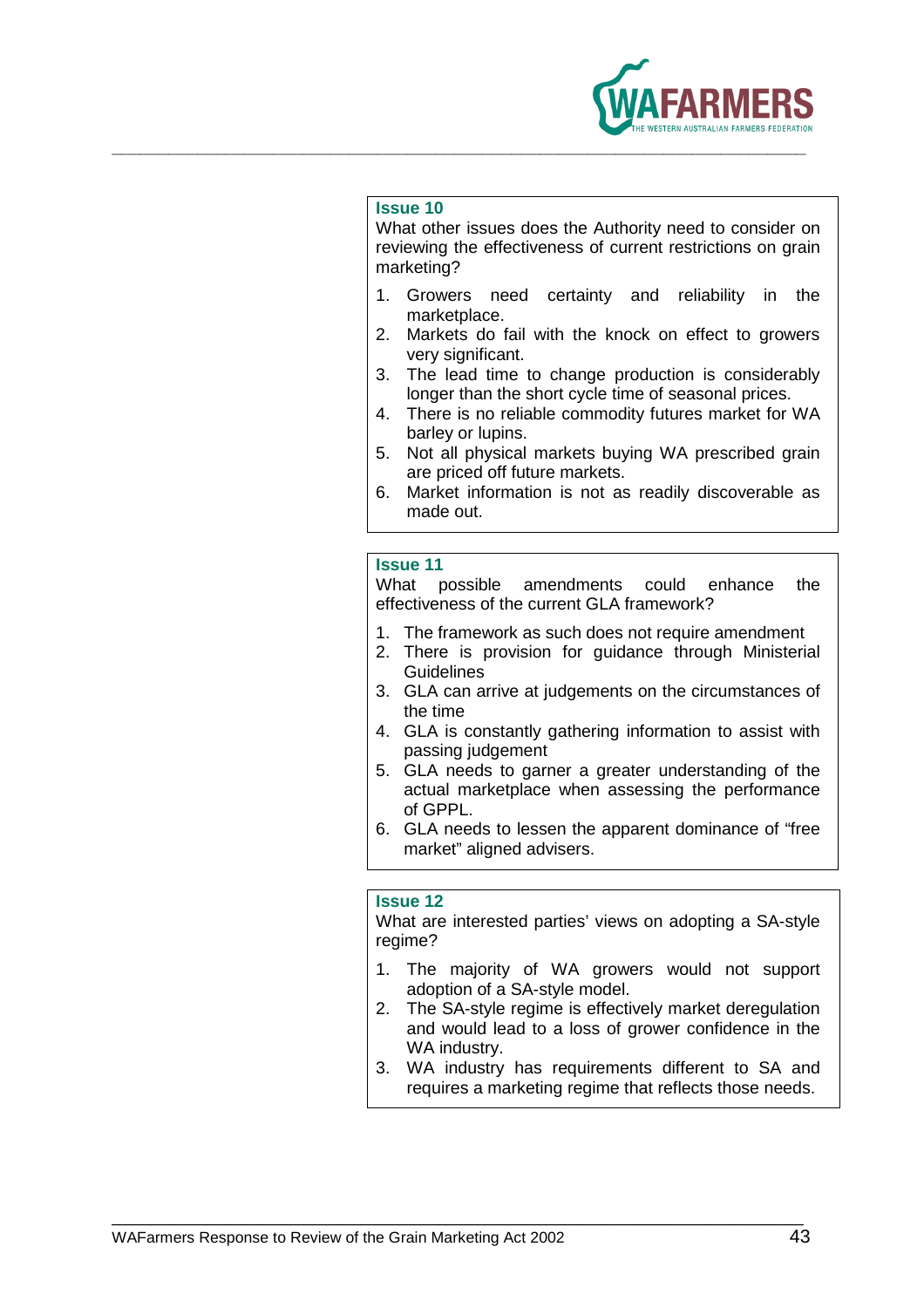

What other issues does the Authority need to consider on reviewing the effectiveness of current restrictions on grain marketing?

- 1. Growers need certainty and reliability in the marketplace.
- 2. Markets do fail with the knock on effect to growers very significant.
- 3. The lead time to change production is considerably longer than the short cycle time of seasonal prices.
- 4. There is no reliable commodity futures market for WA barley or lupins.
- 5. Not all physical markets buying WA prescribed grain are priced off future markets.
- 6. Market information is not as readily discoverable as made out.

### **Issue 11**

What possible amendments could enhance the effectiveness of the current GLA framework?

- 1. The framework as such does not require amendment
- 2. There is provision for guidance through Ministerial **Guidelines**
- 3. GLA can arrive at judgements on the circumstances of the time
- 4. GLA is constantly gathering information to assist with passing judgement
- 5. GLA needs to garner a greater understanding of the actual marketplace when assessing the performance of GPPL.
- 6. GLA needs to lessen the apparent dominance of "free market" aligned advisers.

### **Issue 12**

\_\_\_\_\_\_\_\_\_\_\_\_\_\_\_\_\_\_\_\_\_\_\_\_\_\_\_\_\_\_\_\_\_\_\_\_\_\_\_\_\_\_\_\_\_\_\_\_\_\_\_\_\_\_\_\_\_\_\_\_\_\_\_\_\_\_\_\_\_\_\_\_\_\_\_\_\_\_\_\_\_\_\_\_\_\_\_\_\_

What are interested parties' views on adopting a SA-style regime?

- 1. The majority of WA growers would not support adoption of a SA-style model.
- 2. The SA-style regime is effectively market deregulation and would lead to a loss of grower confidence in the WA industry.
- 3. WA industry has requirements different to SA and requires a marketing regime that reflects those needs.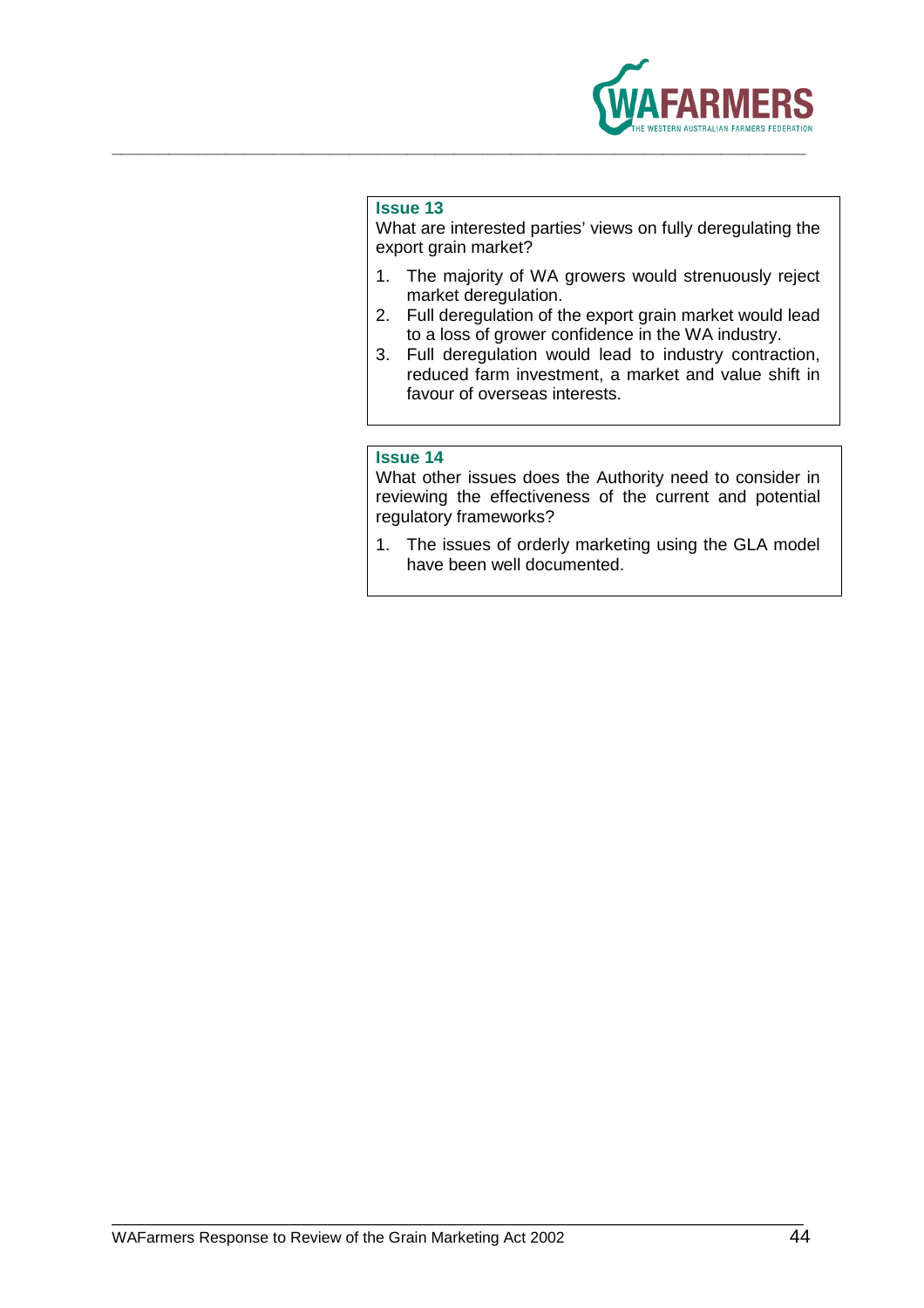

What are interested parties' views on fully deregulating the export grain market?

- 1. The majority of WA growers would strenuously reject market deregulation.
- 2. Full deregulation of the export grain market would lead to a loss of grower confidence in the WA industry.
- 3. Full deregulation would lead to industry contraction, reduced farm investment, a market and value shift in favour of overseas interests.

### **Issue 14**

What other issues does the Authority need to consider in reviewing the effectiveness of the current and potential regulatory frameworks?

1. The issues of orderly marketing using the GLA model have been well documented.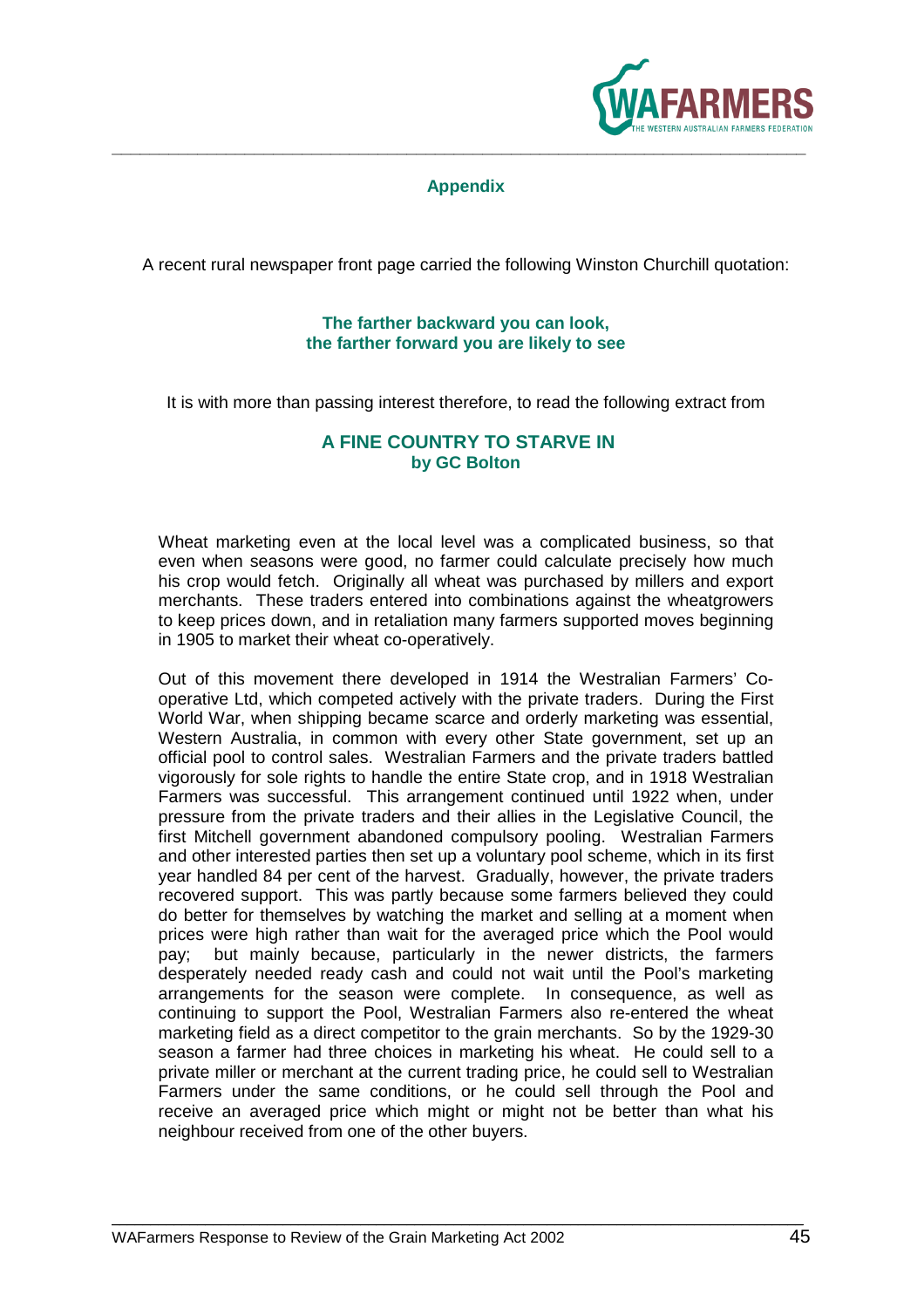

### **Appendix**

A recent rural newspaper front page carried the following Winston Churchill quotation:

### **The farther backward you can look, the farther forward you are likely to see**

It is with more than passing interest therefore, to read the following extract from

### **A FINE COUNTRY TO STARVE IN by GC Bolton**

Wheat marketing even at the local level was a complicated business, so that even when seasons were good, no farmer could calculate precisely how much his crop would fetch. Originally all wheat was purchased by millers and export merchants. These traders entered into combinations against the wheatgrowers to keep prices down, and in retaliation many farmers supported moves beginning in 1905 to market their wheat co-operatively.

Out of this movement there developed in 1914 the Westralian Farmers' Cooperative Ltd, which competed actively with the private traders. During the First World War, when shipping became scarce and orderly marketing was essential, Western Australia, in common with every other State government, set up an official pool to control sales. Westralian Farmers and the private traders battled vigorously for sole rights to handle the entire State crop, and in 1918 Westralian Farmers was successful. This arrangement continued until 1922 when, under pressure from the private traders and their allies in the Legislative Council, the first Mitchell government abandoned compulsory pooling. Westralian Farmers and other interested parties then set up a voluntary pool scheme, which in its first year handled 84 per cent of the harvest. Gradually, however, the private traders recovered support. This was partly because some farmers believed they could do better for themselves by watching the market and selling at a moment when prices were high rather than wait for the averaged price which the Pool would pay; but mainly because, particularly in the newer districts, the farmers desperately needed ready cash and could not wait until the Pool's marketing arrangements for the season were complete. In consequence, as well as continuing to support the Pool, Westralian Farmers also re-entered the wheat marketing field as a direct competitor to the grain merchants. So by the 1929-30 season a farmer had three choices in marketing his wheat. He could sell to a private miller or merchant at the current trading price, he could sell to Westralian Farmers under the same conditions, or he could sell through the Pool and receive an averaged price which might or might not be better than what his neighbour received from one of the other buyers.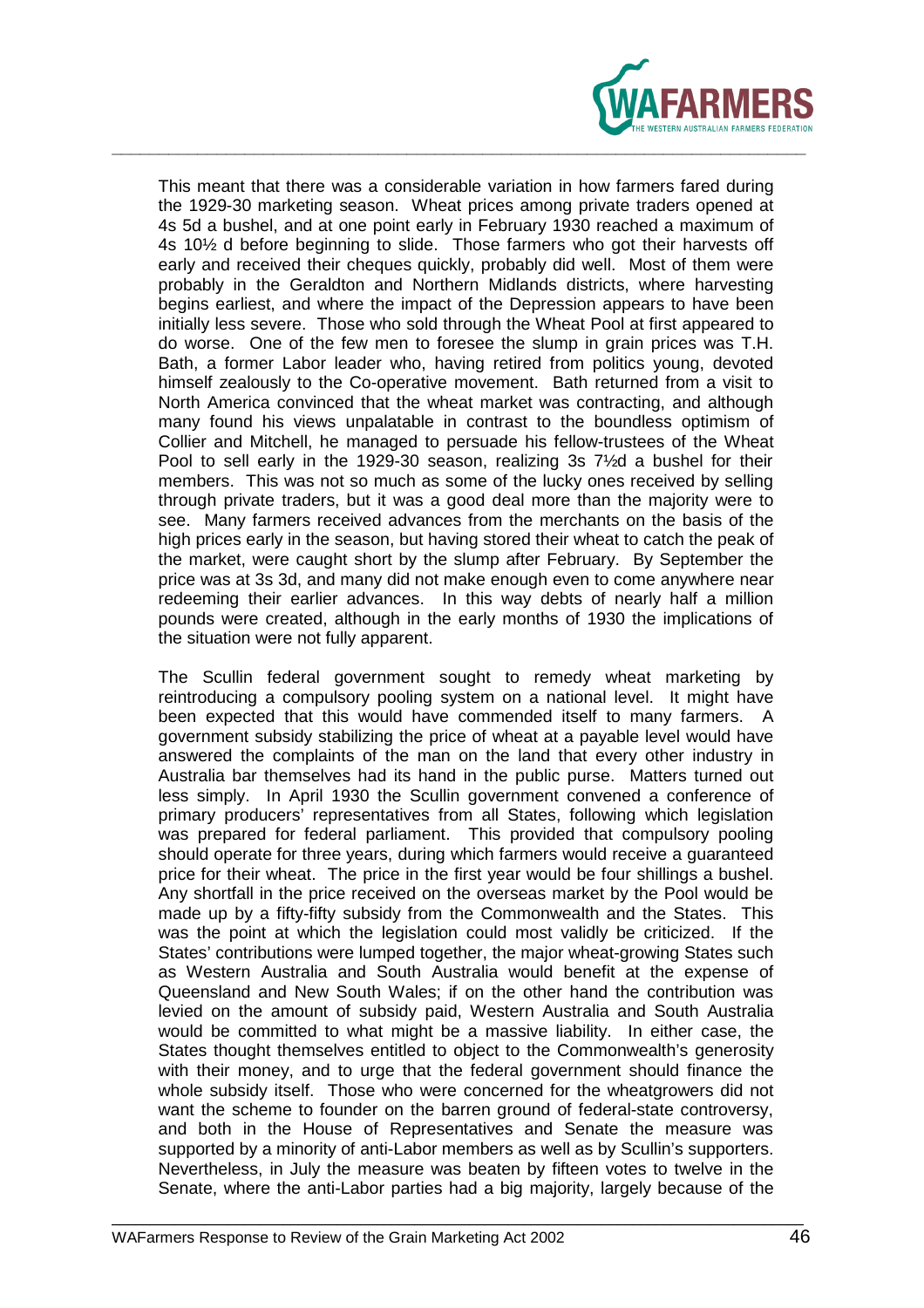

This meant that there was a considerable variation in how farmers fared during the 1929-30 marketing season. Wheat prices among private traders opened at 4s 5d a bushel, and at one point early in February 1930 reached a maximum of 4s 10½ d before beginning to slide. Those farmers who got their harvests off early and received their cheques quickly, probably did well. Most of them were probably in the Geraldton and Northern Midlands districts, where harvesting begins earliest, and where the impact of the Depression appears to have been initially less severe. Those who sold through the Wheat Pool at first appeared to do worse. One of the few men to foresee the slump in grain prices was T.H. Bath, a former Labor leader who, having retired from politics young, devoted himself zealously to the Co-operative movement. Bath returned from a visit to North America convinced that the wheat market was contracting, and although many found his views unpalatable in contrast to the boundless optimism of Collier and Mitchell, he managed to persuade his fellow-trustees of the Wheat Pool to sell early in the 1929-30 season, realizing 3s 7½d a bushel for their members. This was not so much as some of the lucky ones received by selling through private traders, but it was a good deal more than the majority were to see. Many farmers received advances from the merchants on the basis of the high prices early in the season, but having stored their wheat to catch the peak of the market, were caught short by the slump after February. By September the price was at 3s 3d, and many did not make enough even to come anywhere near redeeming their earlier advances. In this way debts of nearly half a million pounds were created, although in the early months of 1930 the implications of the situation were not fully apparent.

The Scullin federal government sought to remedy wheat marketing by reintroducing a compulsory pooling system on a national level. It might have been expected that this would have commended itself to many farmers. A government subsidy stabilizing the price of wheat at a payable level would have answered the complaints of the man on the land that every other industry in Australia bar themselves had its hand in the public purse. Matters turned out less simply. In April 1930 the Scullin government convened a conference of primary producers' representatives from all States, following which legislation was prepared for federal parliament. This provided that compulsory pooling should operate for three years, during which farmers would receive a guaranteed price for their wheat. The price in the first year would be four shillings a bushel. Any shortfall in the price received on the overseas market by the Pool would be made up by a fifty-fifty subsidy from the Commonwealth and the States. This was the point at which the legislation could most validly be criticized. If the States' contributions were lumped together, the major wheat-growing States such as Western Australia and South Australia would benefit at the expense of Queensland and New South Wales; if on the other hand the contribution was levied on the amount of subsidy paid, Western Australia and South Australia would be committed to what might be a massive liability. In either case, the States thought themselves entitled to object to the Commonwealth's generosity with their money, and to urge that the federal government should finance the whole subsidy itself. Those who were concerned for the wheatgrowers did not want the scheme to founder on the barren ground of federal-state controversy, and both in the House of Representatives and Senate the measure was supported by a minority of anti-Labor members as well as by Scullin's supporters. Nevertheless, in July the measure was beaten by fifteen votes to twelve in the Senate, where the anti-Labor parties had a big majority, largely because of the